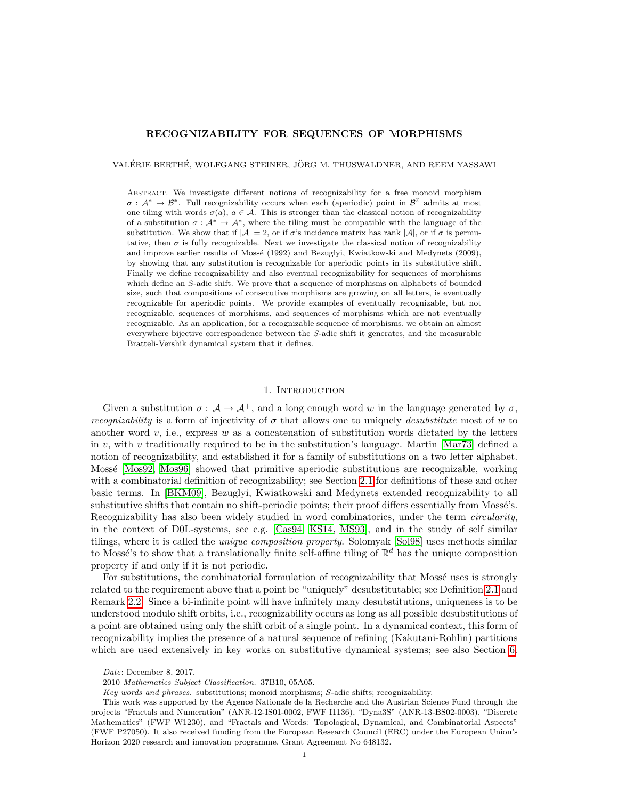# RECOGNIZABILITY FOR SEQUENCES OF MORPHISMS

VALÉRIE BERTHÉ, WOLFGANG STEINER, JÖRG M. THUSWALDNER, AND REEM YASSAWI

Abstract. We investigate different notions of recognizability for a free monoid morphism  $\sigma : A^* \to B^*$ . Full recognizability occurs when each (aperiodic) point in  $B^{\mathbb{Z}}$  admits at most one tiling with words  $\sigma(a)$ ,  $a \in \mathcal{A}$ . This is stronger than the classical notion of recognizability of a substitution  $\sigma : \mathcal{A}^* \to \mathcal{A}^*$ , where the tiling must be compatible with the language of the substitution. We show that if  $|\mathcal{A}| = 2$ , or if  $\sigma$ 's incidence matrix has rank  $|\mathcal{A}|$ , or if  $\sigma$  is permutative, then  $\sigma$  is fully recognizable. Next we investigate the classical notion of recognizability and improve earlier results of Mossé (1992) and Bezuglyi, Kwiatkowski and Medynets (2009), by showing that any substitution is recognizable for aperiodic points in its substitutive shift. Finally we define recognizability and also eventual recognizability for sequences of morphisms which define an S-adic shift. We prove that a sequence of morphisms on alphabets of bounded size, such that compositions of consecutive morphisms are growing on all letters, is eventually recognizable for aperiodic points. We provide examples of eventually recognizable, but not recognizable, sequences of morphisms, and sequences of morphisms which are not eventually recognizable. As an application, for a recognizable sequence of morphisms, we obtain an almost everywhere bijective correspondence between the S-adic shift it generates, and the measurable Bratteli-Vershik dynamical system that it defines.

### 1. Introduction

Given a substitution  $\sigma : \mathcal{A} \to \mathcal{A}^+$ , and a long enough word w in the language generated by  $\sigma$ . *recognizability* is a form of injectivity of  $\sigma$  that allows one to uniquely *desubstitute* most of w to another word  $v$ , i.e., express  $w$  as a concatenation of substitution words dictated by the letters in v, with v traditionally required to be in the substitution's language. Martin [\[Mar73\]](#page-26-0) defined a notion of recognizability, and established it for a family of substitutions on a two letter alphabet. Mossé [\[Mos92,](#page-27-0) [Mos96\]](#page-27-1) showed that primitive aperiodic substitutions are recognizable, working with a combinatorial definition of recognizability; see Section [2.1](#page-2-0) for definitions of these and other basic terms. In [\[BKM09\]](#page-26-1), Bezuglyi, Kwiatkowski and Medynets extended recognizability to all substitutive shifts that contain no shift-periodic points; their proof differs essentially from Mossé's. Recognizability has also been widely studied in word combinatorics, under the term *circularity*, in the context of D0L-systems, see e.g. [\[Cas94,](#page-26-2) [KS14,](#page-26-3) [MS93\]](#page-27-2), and in the study of self similar tilings, where it is called the unique composition property. Solomyak [\[Sol98\]](#page-27-3) uses methods similar to Mossé's to show that a translationally finite self-affine tiling of  $\mathbb{R}^d$  has the unique composition property if and only if it is not periodic.

For substitutions, the combinatorial formulation of recognizability that Mossé uses is strongly related to the requirement above that a point be "uniquely" desubstitutable; see Definition [2.1](#page-3-0) and Remark [2.2.](#page-3-1) Since a bi-infinite point will have infinitely many desubstitutions, uniqueness is to be understood modulo shift orbits, i.e., recognizability occurs as long as all possible desubstitutions of a point are obtained using only the shift orbit of a single point. In a dynamical context, this form of recognizability implies the presence of a natural sequence of refining (Kakutani-Rohlin) partitions which are used extensively in key works on substitutive dynamical systems; see also Section [6.](#page-19-0)

Date: December 8, 2017.

<sup>2010</sup> Mathematics Subject Classification. 37B10, 05A05.

Key words and phrases. substitutions; monoid morphisms; S-adic shifts; recognizability.

This work was supported by the Agence Nationale de la Recherche and the Austrian Science Fund through the projects "Fractals and Numeration" (ANR-12-IS01-0002, FWF I1136), "Dyna3S" (ANR-13-BS02-0003), "Discrete Mathematics" (FWF W1230), and "Fractals and Words: Topological, Dynamical, and Combinatorial Aspects" (FWF P27050). It also received funding from the European Research Council (ERC) under the European Union's Horizon 2020 research and innovation programme, Grant Agreement No 648132.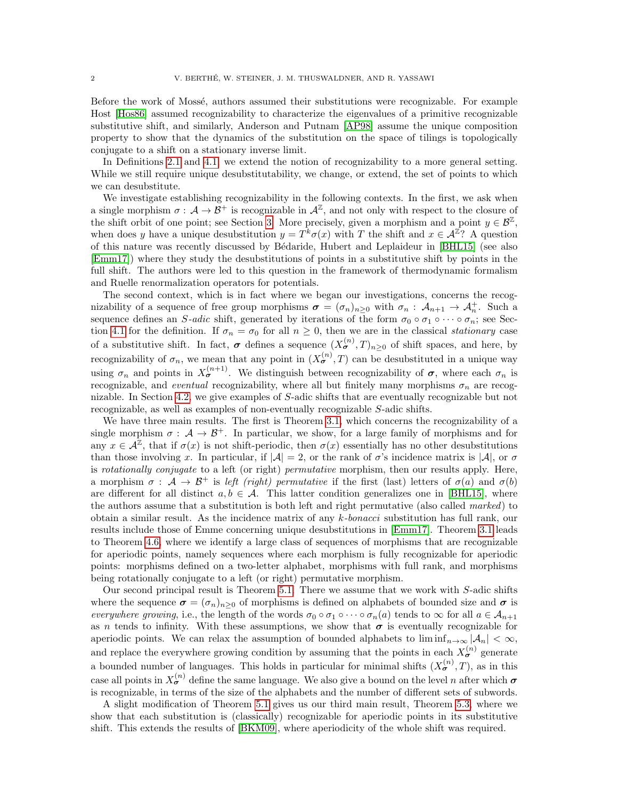Before the work of Mossé, authors assumed their substitutions were recognizable. For example Host [\[Hos86\]](#page-26-4) assumed recognizability to characterize the eigenvalues of a primitive recognizable substitutive shift, and similarly, Anderson and Putnam [\[AP98\]](#page-25-0) assume the unique composition property to show that the dynamics of the substitution on the space of tilings is topologically conjugate to a shift on a stationary inverse limit.

In Definitions [2.1](#page-3-0) and [4.1,](#page-10-0) we extend the notion of recognizability to a more general setting. While we still require unique desubstitutability, we change, or extend, the set of points to which we can desubstitute.

We investigate establishing recognizability in the following contexts. In the first, we ask when a single morphism  $\sigma : \mathcal{A} \to \mathcal{B}^+$  is recognizable in  $\mathcal{A}^{\mathbb{Z}}$ , and not only with respect to the closure of the shift orbit of one point; see Section [3.](#page-6-0) More precisely, given a morphism and a point  $y \in \mathcal{B}^{\mathbb{Z}}$ , when does y have a unique desubstitution  $y = T^k \sigma(x)$  with T the shift and  $x \in \mathcal{A}^{\mathbb{Z}}$ ? A question of this nature was recently discussed by B´edaride, Hubert and Leplaideur in [\[BHL15\]](#page-26-5) (see also [\[Emm17\]](#page-26-6)) where they study the desubstitutions of points in a substitutive shift by points in the full shift. The authors were led to this question in the framework of thermodynamic formalism and Ruelle renormalization operators for potentials.

The second context, which is in fact where we began our investigations, concerns the recognizability of a sequence of free group morphisms  $\sigma = (\sigma_n)_{n\geq 0}$  with  $\sigma_n : A_{n+1} \to A_n^+$ . Such a sequence defines an S-adic shift, generated by iterations of the form  $\sigma_0 \circ \sigma_1 \circ \cdots \circ \sigma_n$ ; see Sec-tion [4.1](#page-10-1) for the definition. If  $\sigma_n = \sigma_0$  for all  $n \geq 0$ , then we are in the classical stationary case of a substitutive shift. In fact,  $\sigma$  defines a sequence  $(X_{\sigma}^{(n)},T)_{n\geq 0}$  of shift spaces, and here, by recognizability of  $\sigma_n$ , we mean that any point in  $(X_{\sigma}^{(n)}, T)$  can be desubstituted in a unique way using  $\sigma_n$  and points in  $X_{\sigma}^{(n+1)}$ . We distinguish between recognizability of  $\sigma$ , where each  $\sigma_n$  is recognizable, and *eventual* recognizability, where all but finitely many morphisms  $\sigma_n$  are recognizable. In Section [4.2,](#page-10-2) we give examples of S-adic shifts that are eventually recognizable but not recognizable, as well as examples of non-eventually recognizable S-adic shifts.

We have three main results. The first is Theorem [3.1,](#page-6-1) which concerns the recognizability of a single morphism  $\sigma : A \to B^+$ . In particular, we show, for a large family of morphisms and for any  $x \in \mathcal{A}^{\mathbb{Z}}$ , that if  $\sigma(x)$  is not shift-periodic, then  $\sigma(x)$  essentially has no other desubstitutions than those involving x. In particular, if  $|\mathcal{A}| = 2$ , or the rank of  $\sigma$ 's incidence matrix is  $|\mathcal{A}|$ , or  $\sigma$ is rotationally conjugate to a left (or right) permutative morphism, then our results apply. Here, a morphism  $\sigma : A \to B^+$  is left (right) permutative if the first (last) letters of  $\sigma(a)$  and  $\sigma(b)$ are different for all distinct  $a, b \in \mathcal{A}$ . This latter condition generalizes one in [\[BHL15\]](#page-26-5), where the authors assume that a substitution is both left and right permutative (also called marked) to obtain a similar result. As the incidence matrix of any k-bonacci substitution has full rank, our results include those of Emme concerning unique desubstitutions in [\[Emm17\]](#page-26-6). Theorem [3.1](#page-6-1) leads to Theorem [4.6,](#page-11-0) where we identify a large class of sequences of morphisms that are recognizable for aperiodic points, namely sequences where each morphism is fully recognizable for aperiodic points: morphisms defined on a two-letter alphabet, morphisms with full rank, and morphisms being rotationally conjugate to a left (or right) permutative morphism.

Our second principal result is Theorem [5.1.](#page-12-0) There we assume that we work with S-adic shifts where the sequence  $\sigma = (\sigma_n)_{n\geq 0}$  of morphisms is defined on alphabets of bounded size and  $\sigma$  is everywhere growing, i.e., the length of the words  $\sigma_0 \circ \sigma_1 \circ \cdots \circ \sigma_n(a)$  tends to  $\infty$  for all  $a \in A_{n+1}$ as n tends to infinity. With these assumptions, we show that  $\sigma$  is eventually recognizable for aperiodic points. We can relax the assumption of bounded alphabets to  $\liminf_{n\to\infty} |\mathcal{A}_n| < \infty$ , and replace the everywhere growing condition by assuming that the points in each  $X_{\sigma}^{(n)}$  generate a bounded number of languages. This holds in particular for minimal shifts  $(X_{\sigma}^{(n)},T)$ , as in this case all points in  $X_{\sigma}^{(n)}$  define the same language. We also give a bound on the level n after which  $\sigma$ is recognizable, in terms of the size of the alphabets and the number of different sets of subwords.

A slight modification of Theorem [5.1](#page-12-0) gives us our third main result, Theorem [5.3,](#page-12-1) where we show that each substitution is (classically) recognizable for aperiodic points in its substitutive shift. This extends the results of [\[BKM09\]](#page-26-1), where aperiodicity of the whole shift was required.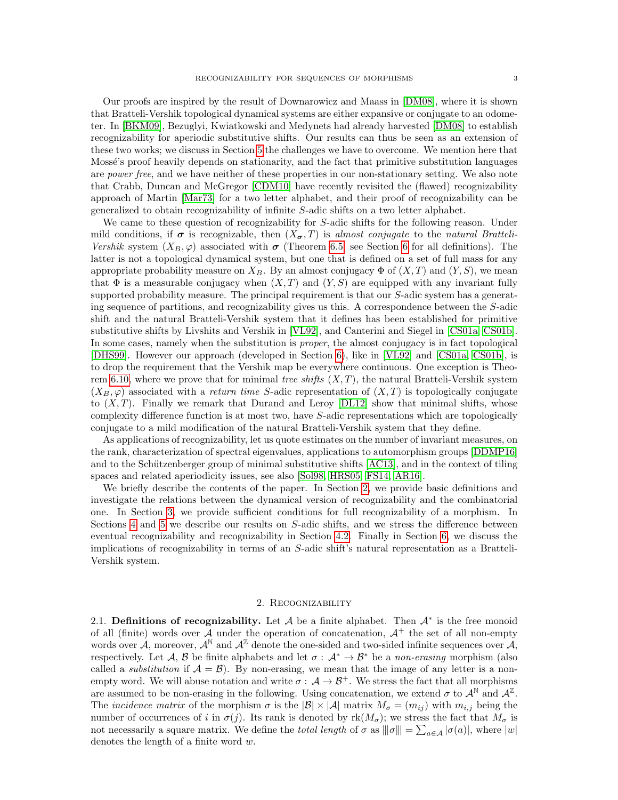Our proofs are inspired by the result of Downarowicz and Maass in [\[DM08\]](#page-26-7), where it is shown that Bratteli-Vershik topological dynamical systems are either expansive or conjugate to an odometer. In [\[BKM09\]](#page-26-1), Bezuglyi, Kwiatkowski and Medynets had already harvested [\[DM08\]](#page-26-7) to establish recognizability for aperiodic substitutive shifts. Our results can thus be seen as an extension of these two works; we discuss in Section [5](#page-12-2) the challenges we have to overcome. We mention here that Mossé's proof heavily depends on stationarity, and the fact that primitive substitution languages are power free, and we have neither of these properties in our non-stationary setting. We also note that Crabb, Duncan and McGregor [\[CDM10\]](#page-26-8) have recently revisited the (flawed) recognizability approach of Martin [\[Mar73\]](#page-26-0) for a two letter alphabet, and their proof of recognizability can be generalized to obtain recognizability of infinite S-adic shifts on a two letter alphabet.

We came to these question of recognizability for S-adic shifts for the following reason. Under mild conditions, if  $\sigma$  is recognizable, then  $(X_{\sigma},T)$  is almost conjugate to the natural Bratteli-Vershik system  $(X_B, \varphi)$  associated with  $\sigma$  (Theorem [6.5;](#page-22-0) see Section [6](#page-19-0) for all definitions). The latter is not a topological dynamical system, but one that is defined on a set of full mass for any appropriate probability measure on  $X_B$ . By an almost conjugacy  $\Phi$  of  $(X, T)$  and  $(Y, S)$ , we mean that  $\Phi$  is a measurable conjugacy when  $(X, T)$  and  $(Y, S)$  are equipped with any invariant fully supported probability measure. The principal requirement is that our  $S$ -adic system has a generating sequence of partitions, and recognizability gives us this. A correspondence between the S-adic shift and the natural Bratteli-Vershik system that it defines has been established for primitive substitutive shifts by Livshits and Vershik in [\[VL92\]](#page-27-4), and Canterini and Siegel in [\[CS01a,](#page-26-9) [CS01b\]](#page-26-10). In some cases, namely when the substitution is proper, the almost conjugacy is in fact topological [\[DHS99\]](#page-26-11). However our approach (developed in Section [6\)](#page-19-0), like in [\[VL92\]](#page-27-4) and [\[CS01a,](#page-26-9) [CS01b\]](#page-26-10), is to drop the requirement that the Vershik map be everywhere continuous. One exception is Theo-rem [6.10,](#page-25-1) where we prove that for minimal tree shifts  $(X, T)$ , the natural Bratteli-Vershik system  $(X_B, \varphi)$  associated with a *return time S*-adic representation of  $(X, T)$  is topologically conjugate to  $(X, T)$ . Finally we remark that Durand and Leroy  $[DL12]$  show that minimal shifts, whose complexity difference function is at most two, have S-adic representations which are topologically conjugate to a mild modification of the natural Bratteli-Vershik system that they define.

As applications of recognizability, let us quote estimates on the number of invariant measures, on the rank, characterization of spectral eigenvalues, applications to automorphism groups [\[DDMP16\]](#page-26-13) and to the Schützenberger group of minimal substitutive shifts [\[AC13\]](#page-25-2), and in the context of tiling spaces and related aperiodicity issues, see also [\[Sol98,](#page-27-3) [HRS05,](#page-26-14) [FS14,](#page-26-15) [AR16\]](#page-25-3).

We briefly describe the contents of the paper. In Section [2,](#page-2-1) we provide basic definitions and investigate the relations between the dynamical version of recognizability and the combinatorial one. In Section [3,](#page-6-0) we provide sufficient conditions for full recognizability of a morphism. In Sections [4](#page-9-0) and [5](#page-12-2) we describe our results on S-adic shifts, and we stress the difference between eventual recognizability and recognizability in Section [4.2.](#page-10-2) Finally in Section [6,](#page-19-0) we discuss the implications of recognizability in terms of an S-adic shift's natural representation as a Bratteli-Vershik system.

## 2. Recognizability

<span id="page-2-1"></span><span id="page-2-0"></span>2.1. Definitions of recognizability. Let  $A$  be a finite alphabet. Then  $A^*$  is the free monoid of all (finite) words over A under the operation of concatenation,  $A^+$  the set of all non-empty words over  $A$ , moreover,  $A^{\mathbb{N}}$  and  $A^{\mathbb{Z}}$  denote the one-sided and two-sided infinite sequences over  $A$ , respectively. Let A, B be finite alphabets and let  $\sigma : A^* \to B^*$  be a non-erasing morphism (also called a *substitution* if  $A = B$ ). By non-erasing, we mean that the image of any letter is a nonempty word. We will abuse notation and write  $\sigma : A \to B^+$ . We stress the fact that all morphisms are assumed to be non-erasing in the following. Using concatenation, we extend  $\sigma$  to  $\mathcal{A}^{\mathbb{N}}$  and  $\mathcal{A}^{\mathbb{Z}}$ . The *incidence matrix* of the morphism  $\sigma$  is the  $|\mathcal{B}| \times |\mathcal{A}|$  matrix  $M_{\sigma} = (m_{ij})$  with  $m_{i,j}$  being the number of occurrences of i in  $\sigma(j)$ . Its rank is denoted by  $rk(M_{\sigma})$ ; we stress the fact that  $M_{\sigma}$  is not necessarily a square matrix. We define the *total length* of  $\sigma$  as  $|||\sigma||| = \sum_{a \in \mathcal{A}} |\sigma(a)|$ , where  $|w|$ denotes the length of a finite word w.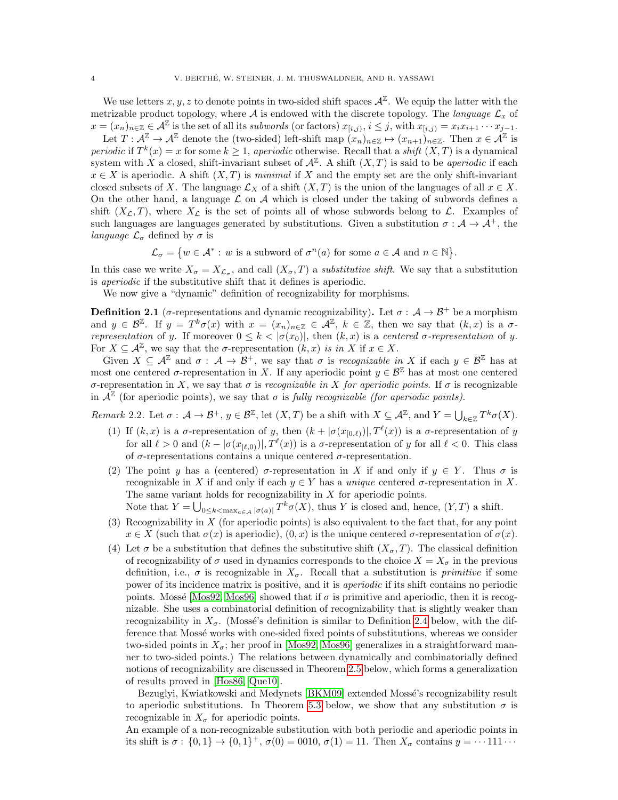We use letters  $x, y, z$  to denote points in two-sided shift spaces  $\mathcal{A}^{\mathbb{Z}}$ . We equip the latter with the metrizable product topology, where A is endowed with the discrete topology. The language  $\mathcal{L}_x$  of  $x = (x_n)_{n \in \mathbb{Z}} \in \mathcal{A}^{\mathbb{Z}}$  is the set of all its subwords (or factors)  $x_{[i,j)}$ ,  $i \leq j$ , with  $x_{[i,j)} = x_i x_{i+1} \cdots x_{j-1}$ .

Let  $T: \mathcal{A}^{\mathbb{Z}} \to \mathcal{A}^{\mathbb{Z}}$  denote the (two-sided) left-shift map  $(x_n)_{n \in \mathbb{Z}} \mapsto (x_{n+1})_{n \in \mathbb{Z}}$ . Then  $x \in \mathcal{A}^{\mathbb{Z}}$  is periodic if  $T^k(x) = x$  for some  $k \geq 1$ , aperiodic otherwise. Recall that a shift  $(X,T)$  is a dynamical system with X a closed, shift-invariant subset of  $\mathcal{A}^{\mathbb{Z}}$ . A shift  $(X,T)$  is said to be *aperiodic* if each  $x \in X$  is aperiodic. A shift  $(X, T)$  is minimal if X and the empty set are the only shift-invariant closed subsets of X. The language  $\mathcal{L}_X$  of a shift  $(X, T)$  is the union of the languages of all  $x \in X$ . On the other hand, a language  $\mathcal L$  on  $\mathcal A$  which is closed under the taking of subwords defines a shift  $(X_{\mathcal{L}}, T)$ , where  $X_{\mathcal{L}}$  is the set of points all of whose subwords belong to  $\mathcal{L}$ . Examples of such languages are languages generated by substitutions. Given a substitution  $\sigma : A \to A^+$ , the *language*  $\mathcal{L}_{\sigma}$  defined by  $\sigma$  is

$$
\mathcal{L}_{\sigma} = \{ w \in \mathcal{A}^* : w \text{ is a subword of } \sigma^n(a) \text{ for some } a \in \mathcal{A} \text{ and } n \in \mathbb{N} \}.
$$

In this case we write  $X_{\sigma} = X_{\mathcal{L}_{\sigma}}$ , and call  $(X_{\sigma}, T)$  a *substitutive shift*. We say that a substitution is aperiodic if the substitutive shift that it defines is aperiodic.

We now give a "dynamic" definition of recognizability for morphisms.

<span id="page-3-0"></span>**Definition 2.1** ( $\sigma$ -representations and dynamic recognizability). Let  $\sigma : A \rightarrow B^+$  be a morphism and  $y \in \mathcal{B}^{\mathbb{Z}}$ . If  $y = T^k \sigma(x)$  with  $x = (x_n)_{n \in \mathbb{Z}} \in \mathcal{A}^{\mathbb{Z}}$ ,  $k \in \mathbb{Z}$ , then we say that  $(k, x)$  is a  $\sigma$ representation of y. If moreover  $0 \leq k < |\sigma(x_0)|$ , then  $(k, x)$  is a centered  $\sigma$ -representation of y. For  $X \subseteq \mathcal{A}^{\mathbb{Z}}$ , we say that the  $\sigma$ -representation  $(k, x)$  is in X if  $x \in X$ .

Given  $X \subseteq \mathcal{A}^{\mathbb{Z}}$  and  $\sigma : \mathcal{A} \to \mathcal{B}^+$ , we say that  $\sigma$  is *recognizable in* X if each  $y \in \mathcal{B}^{\mathbb{Z}}$  has at most one centered  $\sigma$ -representation in X. If any aperiodic point  $y \in \mathcal{B}^{\mathbb{Z}}$  has at most one centered σ-representation in X, we say that σ is recognizable in X for aperiodic points. If σ is recognizable in  $\mathcal{A}^{\mathbb{Z}}$  (for aperiodic points), we say that  $\sigma$  is fully recognizable (for aperiodic points).

<span id="page-3-1"></span>Remark 2.2. Let  $\sigma: \mathcal{A} \to \mathcal{B}^+$ ,  $y \in \mathcal{B}^{\mathbb{Z}}$ , let  $(X,T)$  be a shift with  $X \subseteq \mathcal{A}^{\mathbb{Z}}$ , and  $Y = \bigcup_{k \in \mathbb{Z}} T^k \sigma(X)$ .

- (1) If  $(k, x)$  is a  $\sigma$ -representation of y, then  $(k + |\sigma(x_{[0,\ell)})|, T^{\ell}(x))$  is a  $\sigma$ -representation of y for all  $\ell > 0$  and  $(k - |\sigma(x_{[\ell,0)})|, T^{\ell}(x))$  is a  $\sigma$ -representation of y for all  $\ell < 0$ . This class of  $\sigma$ -representations contains a unique centered  $\sigma$ -representation.
- (2) The point y has a (centered)  $\sigma$ -representation in X if and only if  $y \in Y$ . Thus  $\sigma$  is recognizable in X if and only if each  $y \in Y$  has a unique centered  $\sigma$ -representation in X. The same variant holds for recognizability in  $X$  for aperiodic points. Note that  $Y = \bigcup_{0 \leq k < \max_{a \in A} |\sigma(a)|} T^k \sigma(X)$ , thus Y is closed and, hence,  $(Y, T)$  a shift.
- (3) Recognizability in  $X$  (for aperiodic points) is also equivalent to the fact that, for any point  $x \in X$  (such that  $\sigma(x)$  is aperiodic),  $(0, x)$  is the unique centered  $\sigma$ -representation of  $\sigma(x)$ .
- (4) Let  $\sigma$  be a substitution that defines the substitutive shift  $(X_{\sigma},T)$ . The classical definition of recognizability of  $\sigma$  used in dynamics corresponds to the choice  $X = X_{\sigma}$  in the previous definition, i.e.,  $\sigma$  is recognizable in  $X_{\sigma}$ . Recall that a substitution is *primitive* if some power of its incidence matrix is positive, and it is aperiodic if its shift contains no periodic points. Mossé [\[Mos92,](#page-27-0) [Mos96\]](#page-27-1) showed that if  $\sigma$  is primitive and aperiodic, then it is recognizable. She uses a combinatorial definition of recognizability that is slightly weaker than recognizability in  $X_{\sigma}$ . (Mossé's definition is similar to Definition [2.4](#page-4-0) below, with the difference that Mossé works with one-sided fixed points of substitutions, whereas we consider two-sided points in  $X_{\sigma}$ ; her proof in [\[Mos92,](#page-27-0) [Mos96\]](#page-27-1) generalizes in a straightforward manner to two-sided points.) The relations between dynamically and combinatorially defined notions of recognizability are discussed in Theorem [2.5](#page-4-1) below, which forms a generalization of results proved in [\[Hos86,](#page-26-4) [Que10\]](#page-27-5).

Bezuglyi, Kwiatkowski and Medynets [\[BKM09\]](#page-26-1) extended Mossé's recognizability result to aperiodic substitutions. In Theorem [5.3](#page-12-1) below, we show that any substitution  $\sigma$  is recognizable in  $X_{\sigma}$  for aperiodic points.

An example of a non-recognizable substitution with both periodic and aperiodic points in its shift is  $\sigma: \{0,1\} \to \{0,1\}^+, \sigma(0) = 0010, \sigma(1) = 11$ . Then  $X_{\sigma}$  contains  $y = \cdots 111 \cdots$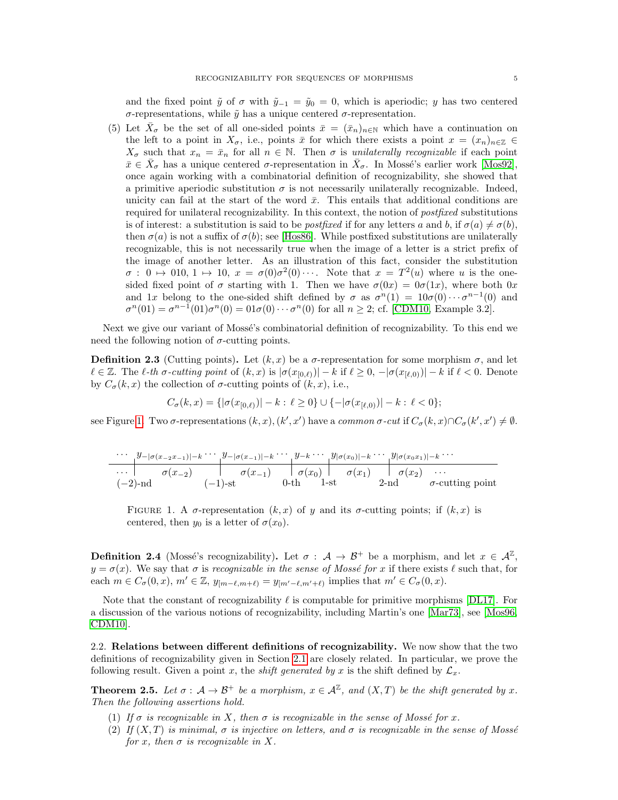and the fixed point  $\tilde{y}$  of  $\sigma$  with  $\tilde{y}_{-1} = \tilde{y}_0 = 0$ , which is aperiodic; y has two centered σ-representations, while  $\tilde{y}$  has a unique centered σ-representation.

(5) Let  $\bar{X}_{\sigma}$  be the set of all one-sided points  $\bar{x} = (\bar{x}_n)_{n \in \mathbb{N}}$  which have a continuation on the left to a point in  $X_{\sigma}$ , i.e., points  $\bar{x}$  for which there exists a point  $x = (x_n)_{n \in \mathbb{Z}} \in$  $X_{\sigma}$  such that  $x_n = \bar{x}_n$  for all  $n \in \mathbb{N}$ . Then  $\sigma$  is unilaterally recognizable if each point  $\bar{x} \in \bar{X}_{\sigma}$  has a unique centered  $\sigma$ -representation in  $\bar{X}_{\sigma}$ . In Mossé's earlier work [\[Mos92\]](#page-27-0), once again working with a combinatorial definition of recognizability, she showed that a primitive aperiodic substitution  $\sigma$  is not necessarily unilaterally recognizable. Indeed, unicity can fail at the start of the word  $\bar{x}$ . This entails that additional conditions are required for unilateral recognizability. In this context, the notion of postfixed substitutions is of interest: a substitution is said to be *postfixed* if for any letters a and b, if  $\sigma(a) \neq \sigma(b)$ , then  $\sigma(a)$  is not a suffix of  $\sigma(b)$ ; see [\[Hos86\]](#page-26-4). While postfixed substitutions are unilaterally recognizable, this is not necessarily true when the image of a letter is a strict prefix of the image of another letter. As an illustration of this fact, consider the substitution  $\sigma: 0 \mapsto 010, 1 \mapsto 10, x = \sigma(0)\sigma^2(0) \cdots$ . Note that  $x = T^2(u)$  where u is the onesided fixed point of  $\sigma$  starting with 1. Then we have  $\sigma(0x) = 0\sigma(1x)$ , where both 0x and 1x belong to the one-sided shift defined by  $\sigma$  as  $\sigma^{n}(1) = 10\sigma(0) \cdots \sigma^{n-1}(0)$  and  $\sigma^{n}(01) = \sigma^{n-1}(01)\sigma^{n}(0) = 01\sigma(0)\cdots\sigma^{n}(0)$  for all  $n \geq 2$ ; cf. [\[CDM10,](#page-26-8) Example 3.2].

Next we give our variant of Mossé's combinatorial definition of recognizability. To this end we need the following notion of  $\sigma$ -cutting points.

**Definition 2.3** (Cutting points). Let  $(k, x)$  be a  $\sigma$ -representation for some morphism  $\sigma$ , and let  $\ell \in \mathbb{Z}$ . The  $\ell$ -th  $\sigma$ -cutting point of  $(k, x)$  is  $|\sigma(x_{[0,\ell)})| - k$  if  $\ell \geq 0$ ,  $-|\sigma(x_{[\ell,0)})| - k$  if  $\ell < 0$ . Denote by  $C_{\sigma}(k, x)$  the collection of  $\sigma$ -cutting points of  $(k, x)$ , i.e.,

$$
C_{\sigma}(k, x) = \{ |\sigma(x_{[0,\ell)})| - k : \ell \ge 0 \} \cup \{ -|\sigma(x_{[\ell,0)})| - k : \ell < 0 \};
$$

see Figure [1.](#page-4-2) Two  $\sigma$ -representations  $(k, x), (k', x')$  have a *common*  $\sigma$ -cut if  $C_{\sigma}(k, x) \cap C_{\sigma}(k', x') \neq \emptyset$ .

|            | $\cdots$ $y_{- \sigma(x_{-2}x_{-1}) -k}\cdots y_{- \sigma(x_{-1}) -k}\cdots y_{-k}\cdots y_{ \sigma(x_0) -k}\cdots y_{ \sigma(x_0x_1) -k}\cdots$ |             |  |                              |  |
|------------|--------------------------------------------------------------------------------------------------------------------------------------------------|-------------|--|------------------------------|--|
|            | $\cdots$ $\sigma(x_{-2})$ $\sigma(x_{-1})$ $\sigma(x_0)$ $\sigma(x_1)$ $\sigma(x_2)$ $\cdots$                                                    |             |  |                              |  |
| $(-2)$ -nd | $(-1)$ -st                                                                                                                                       | $0-th$ 1-st |  | 2-nd $\sigma$ -cutting point |  |

<span id="page-4-2"></span>FIGURE 1. A  $\sigma$ -representation  $(k, x)$  of y and its  $\sigma$ -cutting points; if  $(k, x)$  is centered, then  $y_0$  is a letter of  $\sigma(x_0)$ .

<span id="page-4-0"></span>**Definition 2.4** (Mossé's recognizability). Let  $\sigma : A \to B^+$  be a morphism, and let  $x \in A^{\mathbb{Z}}$ ,  $y = \sigma(x)$ . We say that  $\sigma$  is recognizable in the sense of Mossé for x if there exists  $\ell$  such that, for each  $m \in C_{\sigma}(0, x), m' \in \mathbb{Z}, y_{[m-\ell,m+\ell)} = y_{[m'-\ell,m'+\ell)}$  implies that  $m' \in C_{\sigma}(0, x)$ .

Note that the constant of recognizability  $\ell$  is computable for primitive morphisms [\[DL17\]](#page-26-16). For a discussion of the various notions of recognizability, including Martin's one [\[Mar73\]](#page-26-0), see [\[Mos96,](#page-27-1) [CDM10\]](#page-26-8).

2.2. Relations between different definitions of recognizability. We now show that the two definitions of recognizability given in Section [2.1](#page-2-0) are closely related. In particular, we prove the following result. Given a point x, the *shift generated by x* is the shift defined by  $\mathcal{L}_x$ .

<span id="page-4-1"></span>**Theorem 2.5.** Let  $\sigma : A \to \mathcal{B}^+$  be a morphism,  $x \in \mathcal{A}^{\mathbb{Z}}$ , and  $(X,T)$  be the shift generated by x. Then the following assertions hold.

- (1) If  $\sigma$  is recognizable in X, then  $\sigma$  is recognizable in the sense of Mossé for x.
- (2) If  $(X, T)$  is minimal,  $\sigma$  is injective on letters, and  $\sigma$  is recognizable in the sense of Mossé for x, then  $\sigma$  is recognizable in X.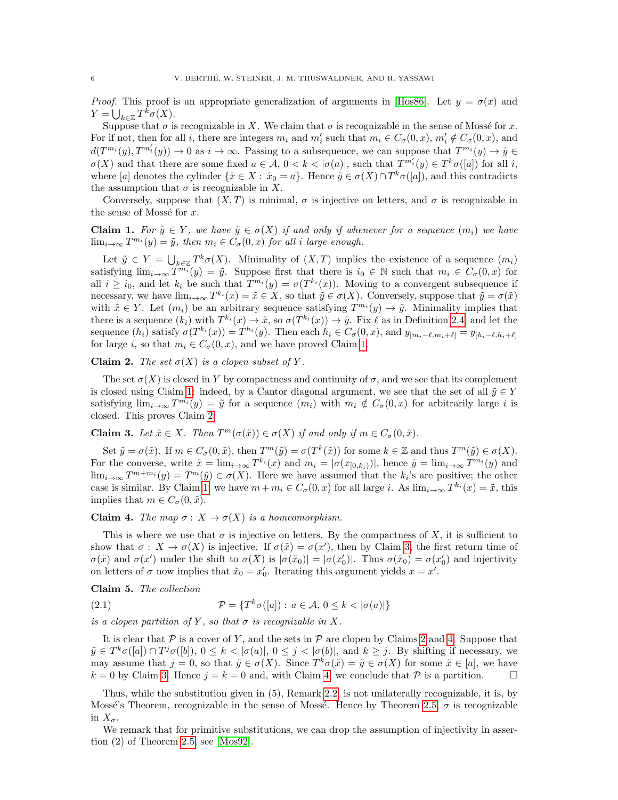*Proof.* This proof is an appropriate generalization of arguments in [\[Hos86\]](#page-26-4). Let  $y = \sigma(x)$  and  $Y = \bigcup_{k \in \mathbb{Z}} T^k \sigma(X).$ 

Suppose that  $\sigma$  is recognizable in X. We claim that  $\sigma$  is recognizable in the sense of Mossé for x. For if not, then for all i, there are integers  $m_i$  and  $m'_i$  such that  $m_i \in C_{\sigma}(0, x)$ ,  $m'_i \notin C_{\sigma}(0, x)$ , and  $d(T^{m_i}(y), T^{m'_i}(y)) \to 0$  as  $i \to \infty$ . Passing to a subsequence, we can suppose that  $T^{m_i}(y) \to \tilde{y} \in$  $\sigma(X)$  and that there are some fixed  $a \in \mathcal{A}, 0 < k < |\sigma(a)|$ , such that  $T^{m'_i}(y) \in T^k \sigma([a])$  for all i, where [a] denotes the cylinder  $\{\tilde{x} \in X : \tilde{x}_0 = a\}$ . Hence  $\tilde{y} \in \sigma(X) \cap T^k \sigma([a])$ , and this contradicts the assumption that  $\sigma$  is recognizable in X.

Conversely, suppose that  $(X, T)$  is minimal,  $\sigma$  is injective on letters, and  $\sigma$  is recognizable in the sense of Mossé for  $x$ .

<span id="page-5-0"></span>**Claim 1.** For  $\tilde{y} \in Y$ , we have  $\tilde{y} \in \sigma(X)$  if and only if whenever for a sequence  $(m_i)$  we have  $\lim_{i\to\infty} T^{m_i}(y) = \tilde{y}$ , then  $m_i \in C_{\sigma}(0, x)$  for all i large enough.

Let  $\tilde{y} \in Y = \bigcup_{k \in \mathbb{Z}} T^k \sigma(X)$ . Minimality of  $(X, T)$  implies the existence of a sequence  $(m_i)$ satisfying  $\lim_{i\to\infty} \overline{T}^{m_i}(y) = \tilde{y}$ . Suppose first that there is  $i_0 \in \mathbb{N}$  such that  $m_i \in C_{\sigma}(0, x)$  for all  $i \geq i_0$ , and let  $k_i$  be such that  $T^{m_i}(y) = \sigma(T^{k_i}(x))$ . Moving to a convergent subsequence if necessary, we have  $\lim_{i\to\infty} T^{k_i}(x) = \tilde{x} \in X$ , so that  $\tilde{y} \in \sigma(X)$ . Conversely, suppose that  $\tilde{y} = \sigma(\tilde{x})$ with  $\tilde{x} \in Y$ . Let  $(m_i)$  be an arbitrary sequence satisfying  $T^{m_i}(y) \to \tilde{y}$ . Minimality implies that there is a sequence  $(k_i)$  with  $T^{k_i}(x) \to \tilde{x}$ , so  $\sigma(T^{k_i}(x)) \to \tilde{y}$ . Fix  $\ell$  as in Definition [2.4,](#page-4-0) and let the sequence  $(h_i)$  satisfy  $\sigma(T^{k_i}(x)) = T^{h_i}(y)$ . Then each  $h_i \in C_{\sigma}(0, x)$ , and  $y_{[m_i-\ell,m_i+\ell]} = y_{[h_i-\ell,h_i+\ell]}$ for large i, so that  $m_i \in C_{\sigma}(0, x)$ , and we have proved Claim [1.](#page-5-0)

<span id="page-5-1"></span>**Claim 2.** The set  $\sigma(X)$  is a clopen subset of Y.

The set  $\sigma(X)$  is closed in Y by compactness and continuity of  $\sigma$ , and we see that its complement is closed using Claim [1:](#page-5-0) indeed, by a Cantor diagonal argument, we see that the set of all  $\tilde{y} \in Y$ satisfying  $\lim_{i\to\infty} T^{m_i}(y) = \tilde{y}$  for a sequence  $(m_i)$  with  $m_i \notin C_{\sigma}(0, x)$  for arbitrarily large i is closed. This proves Claim [2.](#page-5-1)

<span id="page-5-2"></span>**Claim 3.** Let  $\tilde{x} \in X$ . Then  $T^m(\sigma(\tilde{x})) \in \sigma(X)$  if and only if  $m \in C_{\sigma}(0, \tilde{x})$ .

Set  $\tilde{y} = \sigma(\tilde{x})$ . If  $m \in C_{\sigma}(0, \tilde{x})$ , then  $T^m(\tilde{y}) = \sigma(T^k(\tilde{x}))$  for some  $k \in \mathbb{Z}$  and thus  $T^m(\tilde{y}) \in \sigma(X)$ . For the converse, write  $\tilde{x} = \lim_{i \to \infty} T^{k_i}(x)$  and  $m_i = |\sigma(x_{[0,k_i)})|$ , hence  $\tilde{y} = \lim_{i \to \infty} T^{m_i}(y)$  and  $\lim_{i\to\infty} T^{m+m_i}(y) = T^m(\tilde{y}) \in \sigma(X)$ . Here we have assumed that the  $k_i$ 's are positive; the other case is similar. By Claim [1,](#page-5-0) we have  $m + m_i \in C_{\sigma}(0, x)$  for all large i. As  $\lim_{i \to \infty} T^{k_i}(x) = \tilde{x}$ , this implies that  $m \in C_{\sigma}(0, \tilde{x})$ .

<span id="page-5-3"></span>**Claim 4.** The map  $\sigma: X \to \sigma(X)$  is a homeomorphism.

This is where we use that  $\sigma$  is injective on letters. By the compactness of X, it is sufficient to show that  $\sigma: X \to \sigma(X)$  is injective. If  $\sigma(\tilde{x}) = \sigma(x')$ , then by Claim [3,](#page-5-2) the first return time of  $\sigma(\tilde{x})$  and  $\sigma(x')$  under the shift to  $\sigma(X)$  is  $|\sigma(\tilde{x}_0)| = |\sigma(x'_0)|$ . Thus  $\sigma(\tilde{x}_0) = \sigma(x'_0)$  and injectivity on letters of  $\sigma$  now implies that  $\tilde{x}_0 = x'_0$ . Iterating this argument yields  $x = x'$ .

Claim 5. The collection

(2.1) 
$$
\mathcal{P} = \{T^k \sigma([a]): a \in \mathcal{A}, 0 \le k < |\sigma(a)|\}
$$

is a clopen partition of Y, so that  $\sigma$  is recognizable in X.

It is clear that  $P$  is a cover of Y, and the sets in  $P$  are clopen by Claims [2](#page-5-1) and [4.](#page-5-3) Suppose that  $\tilde{y} \in T^k \sigma([a]) \cap T^j \sigma([b]), 0 \leq k < |\sigma(a)|, 0 \leq j < |\sigma(b)|$ , and  $k \geq j$ . By shifting if necessary, we may assume that  $j = 0$ , so that  $\tilde{y} \in \sigma(X)$ . Since  $T^k \sigma(\tilde{x}) = \tilde{y} \in \sigma(X)$  for some  $\tilde{x} \in [a]$ , we have  $k = 0$  by Claim [3.](#page-5-2) Hence  $j = k = 0$  and, with Claim [4,](#page-5-3) we conclude that P is a partition.

Thus, while the substitution given in (5), Remark [2.2,](#page-3-1) is not unilaterally recognizable, it is, by Mossé's Theorem, recognizable in the sense of Mossé. Hence by Theorem [2.5,](#page-4-1)  $\sigma$  is recognizable in  $X_{\sigma}$ .

We remark that for primitive substitutions, we can drop the assumption of injectivity in assertion (2) of Theorem [2.5,](#page-4-1) see [\[Mos92\]](#page-27-0).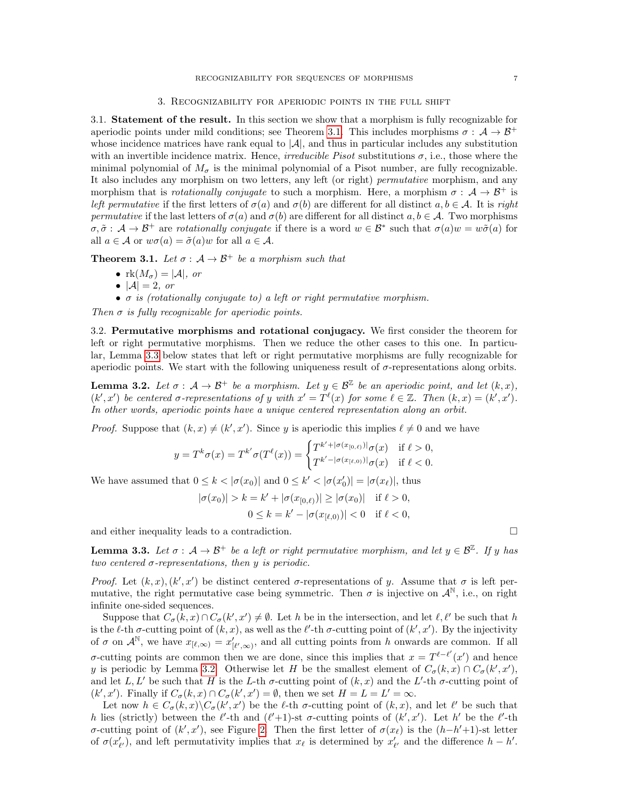<span id="page-6-0"></span>3.1. Statement of the result. In this section we show that a morphism is fully recognizable for aperiodic points under mild conditions; see Theorem [3.1.](#page-6-1) This includes morphisms  $\sigma : A \to B^+$ whose incidence matrices have rank equal to  $|\mathcal{A}|$ , and thus in particular includes any substitution with an invertible incidence matrix. Hence, *irreducible Pisot* substitutions  $\sigma$ , i.e., those where the minimal polynomial of  $M_{\sigma}$  is the minimal polynomial of a Pisot number, are fully recognizable. It also includes any morphism on two letters, any left (or right) *permutative* morphism, and any morphism that is *rotationally conjugate* to such a morphism. Here, a morphism  $\sigma : A \rightarrow B^+$  is left permutative if the first letters of  $\sigma(a)$  and  $\sigma(b)$  are different for all distinct  $a, b \in A$ . It is right permutative if the last letters of  $\sigma(a)$  and  $\sigma(b)$  are different for all distinct  $a, b \in A$ . Two morphisms  $\sigma, \tilde{\sigma}: A \to B^+$  are rotationally conjugate if there is a word  $w \in B^*$  such that  $\sigma(a)w = w\tilde{\sigma}(a)$  for all  $a \in \mathcal{A}$  or  $w\sigma(a) = \tilde{\sigma}(a)w$  for all  $a \in \mathcal{A}$ .

<span id="page-6-1"></span>**Theorem 3.1.** Let  $\sigma : A \rightarrow \mathcal{B}^+$  be a morphism such that

- $rk(M_{\sigma}) = |A|$ , or
- $|A|=2$ , or
- $\sigma$  is (rotationally conjugate to) a left or right permutative morphism.

Then  $\sigma$  is fully recognizable for aperiodic points.

3.2. Permutative morphisms and rotational conjugacy. We first consider the theorem for left or right permutative morphisms. Then we reduce the other cases to this one. In particular, Lemma [3.3](#page-6-2) below states that left or right permutative morphisms are fully recognizable for aperiodic points. We start with the following uniqueness result of  $\sigma$ -representations along orbits.

<span id="page-6-3"></span>**Lemma 3.2.** Let  $\sigma : A \to \mathcal{B}^+$  be a morphism. Let  $y \in \mathcal{B}^{\mathbb{Z}}$  be an aperiodic point, and let  $(k, x)$ ,  $(k',x')$  be centered  $\sigma$ -representations of y with  $x' = T^{\ell}(x)$  for some  $\ell \in \mathbb{Z}$ . Then  $(k, x) = (k', x')$ . In other words, aperiodic points have a unique centered representation along an orbit.

*Proof.* Suppose that  $(k, x) \neq (k', x')$ . Since y is aperiodic this implies  $\ell \neq 0$  and we have

$$
y=T^k\sigma(x)=T^{k'}\sigma(T^\ell(x))=\begin{cases}T^{k'+|\sigma(x_{[0,\ell)})|}\sigma(x)&\text{if }\ell>0,\\T^{k'-|\sigma(x_{[\ell,0)})|}\sigma(x)&\text{if }\ell<0.\end{cases}
$$

We have assumed that  $0 \leq k < |\sigma(x_0)|$  and  $0 \leq k' < |\sigma(x'_0)| = |\sigma(x_\ell)|$ , thus

$$
|\sigma(x_0)| > k = k' + |\sigma(x_{[0,\ell)})| \ge |\sigma(x_0)| \text{ if } \ell > 0,
$$
  
 
$$
0 \le k = k' - |\sigma(x_{[\ell,0)})| < 0 \text{ if } \ell < 0,
$$

and either inequality leads to a contradiction.

<span id="page-6-2"></span>**Lemma 3.3.** Let  $\sigma : A \to \mathcal{B}^+$  be a left or right permutative morphism, and let  $y \in \mathcal{B}^{\mathbb{Z}}$ . If y has two centered  $\sigma$ -representations, then y is periodic.

Proof. Let  $(k, x)$ ,  $(k', x')$  be distinct centered  $\sigma$ -representations of y. Assume that  $\sigma$  is left permutative, the right permutative case being symmetric. Then  $\sigma$  is injective on  $\mathcal{A}^{\mathbb{N}}$ , i.e., on right infinite one-sided sequences.

Suppose that  $C_{\sigma}(k, x) \cap C_{\sigma}(k', x') \neq \emptyset$ . Let h be in the intersection, and let  $\ell, \ell'$  be such that h is the  $\ell$ -th  $\sigma$ -cutting point of  $(k, x)$ , as well as the  $\ell'$ -th  $\sigma$ -cutting point of  $(k', x')$ . By the injectivity of  $\sigma$  on  $\mathcal{A}^{\mathbb{N}}$ , we have  $x_{[\ell,\infty)} = x'_{[\ell',\infty)}$ , and all cutting points from h onwards are common. If all  $\sigma$ -cutting points are common then we are done, since this implies that  $x = T^{\ell-\ell'}(x')$  and hence y is periodic by Lemma [3.2.](#page-6-3) Otherwise let H be the smallest element of  $C_{\sigma}(k, x) \cap C_{\sigma}(k', x')$ , and let L, L' be such that H is the L-th  $\sigma$ -cutting point of  $(k, x)$  and the L'-th  $\sigma$ -cutting point of  $(k', x')$ . Finally if  $C_{\sigma}(k, x) \cap C_{\sigma}(k', x') = \emptyset$ , then we set  $H = L = L' = \infty$ .

Let now  $h \in C_{\sigma}(k, x) \backslash C_{\sigma}(k', x')$  be the  $\ell$ -th  $\sigma$ -cutting point of  $(k, x)$ , and let  $\ell'$  be such that h lies (strictly) between the  $\ell'$ -th and  $(\ell'+1)$ -st  $\sigma$ -cutting points of  $(k', x')$ . Let h' be the  $\ell'$ -th σ-cutting point of  $(k', x')$ , see Figure [2.](#page-7-0) Then the first letter of  $\sigma(x_\ell)$  is the  $(h-h'+1)$ -st letter of  $\sigma(x'_{\ell'})$ , and left permutativity implies that  $x_{\ell}$  is determined by  $x'_{\ell'}$  and the difference  $h - h'$ .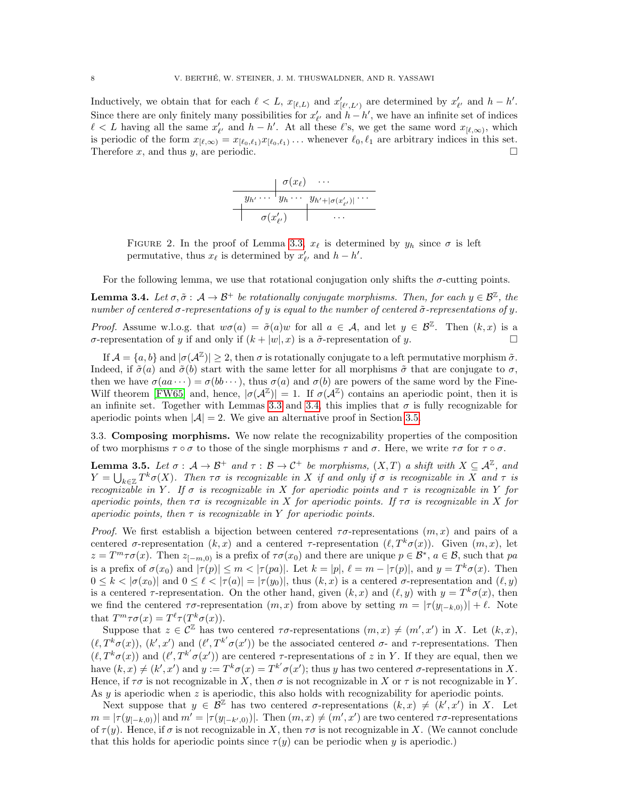Inductively, we obtain that for each  $\ell < L$ ,  $x_{[\ell,L)}$  and  $x'_{[\ell',L']}$  are determined by  $x'_{\ell'}$  and  $h - h'$ . Since there are only finitely many possibilities for  $x'_{\ell'}$  and  $h - h'$ , we have an infinite set of indices  $\ell < L$  having all the same  $x'_{\ell'}$  and  $h - h'$ . At all these  $\ell$ 's, we get the same word  $x_{\ell,\infty}$ , which is periodic of the form  $x_{[\ell,\infty)} = x_{[\ell_0,\ell_1)} x_{[\ell_0,\ell_1)} \dots$  whenever  $\ell_0, \ell_1$  are arbitrary indices in this set. Therefore x, and thus y, are periodic.



<span id="page-7-0"></span>FIGURE 2. In the proof of Lemma [3.3,](#page-6-2)  $x_{\ell}$  is determined by  $y_h$  since  $\sigma$  is left permutative, thus  $x_{\ell}$  is determined by  $x'_{\ell'}$  and  $h - h'$ .

For the following lemma, we use that rotational conjugation only shifts the  $\sigma$ -cutting points.

<span id="page-7-1"></span>**Lemma 3.4.** Let  $\sigma, \tilde{\sigma}: A \to \mathcal{B}^+$  be rotationally conjugate morphisms. Then, for each  $y \in \mathcal{B}^{\mathbb{Z}}$ , the number of centered  $\sigma$ -representations of y is equal to the number of centered  $\tilde{\sigma}$ -representations of y. *Proof.* Assume w.l.o.g. that  $w\sigma(a) = \tilde{\sigma}(a)w$  for all  $a \in \mathcal{A}$ , and let  $y \in \mathcal{B}^{\mathbb{Z}}$ . Then  $(k, x)$  is a σ-representation of y if and only if  $(k + |w|, x)$  is a  $\tilde{\sigma}$ -representation of y.

If  $\mathcal{A} = \{a, b\}$  and  $|\sigma(\mathcal{A}^{\mathbb{Z}})| \geq 2$ , then  $\sigma$  is rotationally conjugate to a left permutative morphism  $\tilde{\sigma}$ . Indeed, if  $\tilde{\sigma}(a)$  and  $\tilde{\sigma}(b)$  start with the same letter for all morphisms  $\tilde{\sigma}$  that are conjugate to  $\sigma$ , then we have  $\sigma(aa \cdots) = \sigma(bb \cdots)$ , thus  $\sigma(a)$  and  $\sigma(b)$  are powers of the same word by the Fine-Wilf theorem [\[FW65\]](#page-26-17) and, hence,  $|\sigma(A^{\mathbb{Z}})| = 1$ . If  $\sigma(A^{\mathbb{Z}})$  contains an aperiodic point, then it is an infinite set. Together with Lemmas [3.3](#page-6-2) and [3.4,](#page-7-1) this implies that  $\sigma$  is fully recognizable for aperiodic points when  $|\mathcal{A}| = 2$ . We give an alternative proof in Section [3.5.](#page-9-1)

3.3. Composing morphisms. We now relate the recognizability properties of the composition of two morphisms  $\tau \circ \sigma$  to those of the single morphisms  $\tau$  and  $\sigma$ . Here, we write  $\tau \sigma$  for  $\tau \circ \sigma$ .

<span id="page-7-2"></span>**Lemma 3.5.** Let  $\sigma : A \to B^+$  and  $\tau : B \to C^+$  be morphisms,  $(X,T)$  a shift with  $X \subseteq A^{\mathbb{Z}}$ , and  $Y = \bigcup_{k \in \mathbb{Z}} T^k \sigma(X)$ . Then  $\tau \sigma$  is recognizable in X if and only if  $\sigma$  is recognizable in X and  $\tau$  is recognizable in Y. If  $\sigma$  is recognizable in X for aperiodic points and  $\tau$  is recognizable in Y for aperiodic points, then  $\tau\sigma$  is recognizable in X for aperiodic points. If  $\tau\sigma$  is recognizable in X for aperiodic points, then  $\tau$  is recognizable in Y for aperiodic points.

*Proof.* We first establish a bijection between centered  $\tau\sigma$ -representations  $(m, x)$  and pairs of a centered  $\sigma$ -representation  $(k, x)$  and a centered  $\tau$ -representation  $(\ell, T^k \sigma(x))$ . Given  $(m, x)$ , let  $z = T^m \tau \sigma(x)$ . Then  $z_{[-m,0)}$  is a prefix of  $\tau \sigma(x_0)$  and there are unique  $p \in \mathcal{B}^*$ ,  $a \in \mathcal{B}$ , such that pa is a prefix of  $\sigma(x_0)$  and  $|\tau(p)| \leq m < |\tau(pa)|$ . Let  $k = |p|$ ,  $\ell = m - |\tau(p)|$ , and  $y = T^k \sigma(x)$ . Then  $0 \leq k < |\sigma(x_0)|$  and  $0 \leq \ell < |\tau(a)| = |\tau(y_0)|$ , thus  $(k, x)$  is a centered  $\sigma$ -representation and  $(\ell, y)$ is a centered  $\tau$ -representation. On the other hand, given  $(k, x)$  and  $(\ell, y)$  with  $y = T^k \sigma(x)$ , then we find the centered  $\tau \sigma$ -representation  $(m, x)$  from above by setting  $m = |\tau(y_{[-k,0)})| + \ell$ . Note that  $T^m \tau \sigma(x) = T^{\ell} \tau(T^k \sigma(x)).$ 

Suppose that  $z \in \mathcal{C}^{\mathbb{Z}}$  has two centered  $\tau\sigma$ -representations  $(m, x) \neq (m', x')$  in X. Let  $(k, x)$ ,  $(\ell, T^k\sigma(x)), (k', x')$  and  $(\ell', T^{k'}\sigma(x'))$  be the associated centered  $\sigma$ - and  $\tau$ -representations. Then  $(\ell, T^k \sigma(x))$  and  $(\ell', T^{k'} \sigma(x'))$  are centered  $\tau$ -representations of z in Y. If they are equal, then we have  $(k, x) \neq (k', x')$  and  $y := T^k \sigma(x) = T^{k'} \sigma(x')$ ; thus y has two centered  $\sigma$ -representations in X. Hence, if  $\tau\sigma$  is not recognizable in X, then  $\sigma$  is not recognizable in X or  $\tau$  is not recognizable in Y. As  $y$  is aperiodic when  $z$  is aperiodic, this also holds with recognizability for aperiodic points.

Next suppose that  $y \in \mathcal{B}^{\mathbb{Z}}$  has two centered  $\sigma$ -representations  $(k, x) \neq (k', x')$  in X. Let  $m = |\tau(y_{[-k,0)})|$  and  $m' = |\tau(y_{[-k',0)})|$ . Then  $(m, x) \neq (m', x')$  are two centered  $\tau \sigma$ -representations of  $\tau(y)$ . Hence, if  $\sigma$  is not recognizable in X, then  $\tau\sigma$  is not recognizable in X. (We cannot conclude that this holds for aperiodic points since  $\tau(y)$  can be periodic when y is aperiodic.)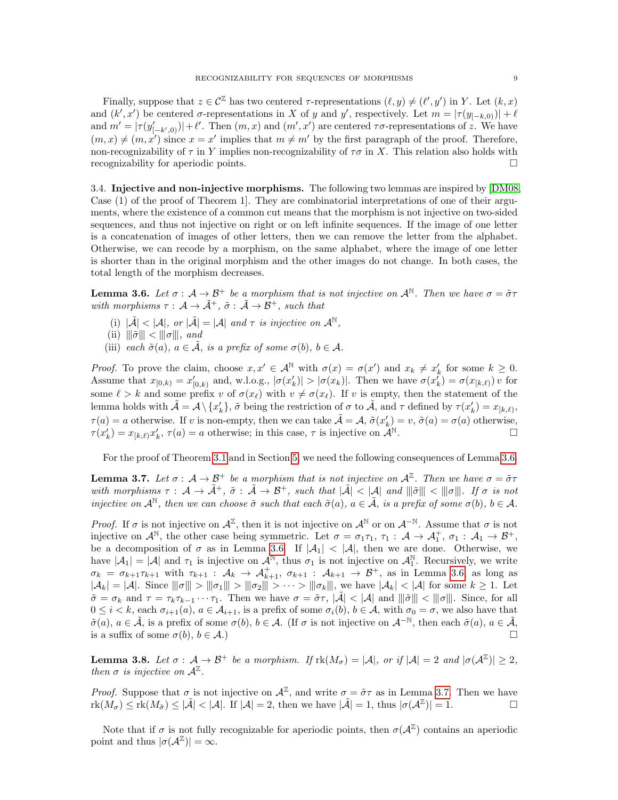Finally, suppose that  $z \in \mathcal{C}^{\mathbb{Z}}$  has two centered  $\tau$ -representations  $(\ell, y) \neq (\ell', y')$  in Y. Let  $(k, x)$ and  $(k', x')$  be centered  $\sigma$ -representations in X of y and y', respectively. Let  $m = |\tau(y_{[-k,0)})| + \ell$ and  $m' = |\tau(y'_{[-k',0)})| + \ell'.$  Then  $(m, x)$  and  $(m', x')$  are centered  $\tau \sigma$ -representations of z. We have  $(m, x) \neq (m, x')$  since  $x = x'$  implies that  $m \neq m'$  by the first paragraph of the proof. Therefore, non-recognizability of  $\tau$  in Y implies non-recognizability of  $\tau\sigma$  in X. This relation also holds with recognizability for aperiodic points.

3.4. Injective and non-injective morphisms. The following two lemmas are inspired by [\[DM08,](#page-26-7) Case (1) of the proof of Theorem 1]. They are combinatorial interpretations of one of their arguments, where the existence of a common cut means that the morphism is not injective on two-sided sequences, and thus not injective on right or on left infinite sequences. If the image of one letter is a concatenation of images of other letters, then we can remove the letter from the alphabet. Otherwise, we can recode by a morphism, on the same alphabet, where the image of one letter is shorter than in the original morphism and the other images do not change. In both cases, the total length of the morphism decreases.

<span id="page-8-0"></span>**Lemma 3.6.** Let  $\sigma : A \to B^+$  be a morphism that is not injective on  $A^{\mathbb{N}}$ . Then we have  $\sigma = \tilde{\sigma}\tau$ with morphisms  $\tau : A \to \tilde{A}^+, \tilde{\sigma} : \tilde{A} \to \tilde{B}^+,$  such that

- (i)  $|\tilde{\mathcal{A}}| < |\mathcal{A}|$ , or  $|\tilde{\mathcal{A}}| = |\mathcal{A}|$  and  $\tau$  is injective on  $\mathcal{A}^{\mathbb{N}}$ ,
- (ii)  $\|\tilde{\sigma}\| < \|\sigma\|$ , and
- (iii) each  $\tilde{\sigma}(a)$ ,  $a \in \tilde{\mathcal{A}}$ , is a prefix of some  $\sigma(b)$ ,  $b \in \mathcal{A}$ .

*Proof.* To prove the claim, choose  $x, x' \in A^{\mathbb{N}}$  with  $\sigma(x) = \sigma(x')$  and  $x_k \neq x'_k$  for some  $k \geq 0$ . Assume that  $x_{[0,k)} = x'_{[0,k)}$  and, w.l.o.g.,  $|\sigma(x'_k)| > |\sigma(x_k)|$ . Then we have  $\sigma(x'_k) = \sigma(x_{[k,\ell)}) v$  for some  $\ell > k$  and some prefix v of  $\sigma(x_\ell)$  with  $v \neq \sigma(x_\ell)$ . If v is empty, then the statement of the lemma holds with  $\tilde{\mathcal{A}} = \mathcal{A} \setminus \{x'_k\}, \tilde{\sigma}$  being the restriction of  $\sigma$  to  $\tilde{\mathcal{A}}$ , and  $\tau$  defined by  $\tau(x'_k) = x_{[k,\ell)},$  $\tau(a) = a$  otherwise. If v is non-empty, then we can take  $\tilde{A} = A$ ,  $\tilde{\sigma}(x'_k) = v$ ,  $\tilde{\sigma}(a) = \sigma(a)$  otherwise,  $\tau(x'_k) = x_{[k,\ell)} x'_k, \tau(a) = a$  otherwise; in this case,  $\tau$  is injective on  $\mathcal{A}^{\mathbb{N}}$ .

For the proof of Theorem [3.1](#page-6-1) and in Section [5,](#page-12-2) we need the following consequences of Lemma [3.6.](#page-8-0)

<span id="page-8-1"></span>**Lemma 3.7.** Let  $\sigma : A \to B^+$  be a morphism that is not injective on  $A^{\mathbb{Z}}$ . Then we have  $\sigma = \tilde{\sigma}\tau$ with morphisms  $\tau : A \to \tilde{A}^+, \tilde{\sigma} : A \to \mathcal{B}^+,$  such that  $|\tilde{A}| < |A|$  and  $||\tilde{\sigma}|| < ||\sigma||$ . If  $\sigma$  is not injective on  $\mathcal{A}^{\mathbb{N}}$ , then we can choose  $\tilde{\sigma}$  such that each  $\tilde{\sigma}(a)$ ,  $a \in \tilde{\mathcal{A}}$ , is a prefix of some  $\sigma(b)$ ,  $b \in \mathcal{A}$ .

*Proof.* If  $\sigma$  is not injective on  $\mathcal{A}^{\mathbb{Z}}$ , then it is not injective on  $\mathcal{A}^{\mathbb{N}}$  or on  $\mathcal{A}^{-\mathbb{N}}$ . Assume that  $\sigma$  is not injective on  $\mathcal{A}^{\mathbb{N}}$ , the other case being symmetric. Let  $\sigma = \sigma_1 \tau_1$ ,  $\tau_1 : \mathcal{A} \to \mathcal{A}_1^+$ ,  $\sigma_1 : \mathcal{A}_1 \to \mathcal{B}^+$ , be a decomposition of  $\sigma$  as in Lemma [3.6.](#page-8-0) If  $|A_1|$  <  $|A|$ , then we are done. Otherwise, we have  $|\mathcal{A}_1| = |\mathcal{A}|$  and  $\tau_1$  is injective on  $\mathcal{A}^{\mathbb{N}}$ , thus  $\sigma_1$  is not injective on  $\mathcal{A}_1^{\mathbb{N}}$ . Recursively, we write  $\sigma_k = \sigma_{k+1}\tau_{k+1}$  with  $\tau_{k+1}$ :  $\mathcal{A}_k \to \mathcal{A}_{k+1}^+$ ,  $\sigma_{k+1}$ :  $\mathcal{A}_{k+1} \to \mathcal{B}^+$ , as in Lemma [3.6,](#page-8-0) as long as  $|A_k| = |A|$ . Since  $\|\sigma\| > \|\sigma_1\| > \|\sigma_2\| > \cdots > \|\sigma_k\|$ , we have  $|A_k| < |A|$  for some  $k \ge 1$ . Let  $\tilde{\sigma} = \sigma_k$  and  $\tau = \tau_k \tau_{k-1} \cdots \tau_1$ . Then we have  $\sigma = \tilde{\sigma} \tau$ ,  $|\tilde{\mathcal{A}}| < |\mathcal{A}|$  and  $||\tilde{\sigma}||| < ||\sigma||$ . Since, for all  $0 \leq i < k$ , each  $\sigma_{i+1}(a)$ ,  $a \in \mathcal{A}_{i+1}$ , is a prefix of some  $\sigma_i(b)$ ,  $b \in \mathcal{A}$ , with  $\sigma_0 = \sigma$ , we also have that  $\tilde{\sigma}(a), a \in \tilde{\mathcal{A}},$  is a prefix of some  $\sigma(b), b \in \mathcal{A}$ . (If  $\sigma$  is not injective on  $\mathcal{A}^{-\mathbb{N}},$  then each  $\tilde{\sigma}(a), a \in \tilde{\mathcal{A}},$ is a suffix of some  $\sigma(b), b \in \mathcal{A}$ .)

<span id="page-8-2"></span>**Lemma 3.8.** Let  $\sigma : A \to B^+$  be a morphism. If  $rk(M_{\sigma}) = |A|$ , or if  $|A| = 2$  and  $|\sigma(A^{\mathbb{Z}})| \geq 2$ , then  $\sigma$  is injective on  $\mathcal{A}^{\mathbb{Z}}$ .

*Proof.* Suppose that  $\sigma$  is not injective on  $\mathcal{A}^{\mathbb{Z}}$ , and write  $\sigma = \tilde{\sigma}\tau$  as in Lemma [3.7.](#page-8-1) Then we have  $\text{rk}(M_{\sigma}) \leq \text{rk}(M_{\tilde{\sigma}}) \leq |\tilde{\mathcal{A}}| < |\mathcal{A}|.$  If  $|\mathcal{A}| = 2$ , then we have  $|\tilde{\mathcal{A}}| = 1$ , thus  $|\sigma(\mathcal{A}^{\mathbb{Z}})| = 1$ .

Note that if  $\sigma$  is not fully recognizable for aperiodic points, then  $\sigma(A^{\mathbb{Z}})$  contains an aperiodic point and thus  $|\sigma(A^{\mathbb{Z}})| = \infty$ .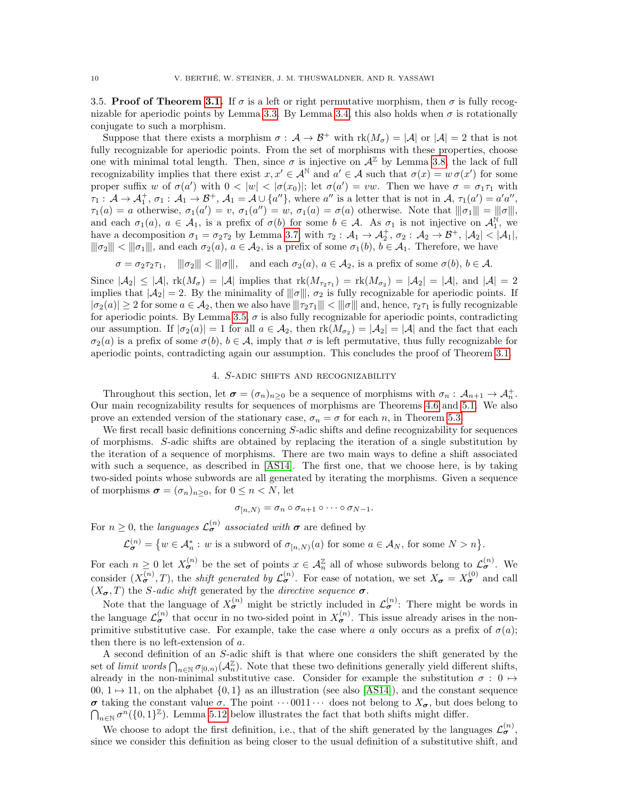<span id="page-9-1"></span>3.5. Proof of Theorem [3.1.](#page-6-1) If  $\sigma$  is a left or right permutative morphism, then  $\sigma$  is fully recog-nizable for aperiodic points by Lemma [3.3.](#page-6-2) By Lemma [3.4,](#page-7-1) this also holds when  $\sigma$  is rotationally conjugate to such a morphism.

Suppose that there exists a morphism  $\sigma : A \to B^+$  with  $rk(M_{\sigma}) = |A|$  or  $|A| = 2$  that is not fully recognizable for aperiodic points. From the set of morphisms with these properties, choose one with minimal total length. Then, since  $\sigma$  is injective on  $\mathcal{A}^{\mathbb{Z}}$  by Lemma [3.8,](#page-8-2) the lack of full recognizability implies that there exist  $x, x' \in A^{\mathbb{N}}$  and  $a' \in A$  such that  $\sigma(x) = w \sigma(x')$  for some proper suffix w of  $\sigma(a')$  with  $0 < |w| < |\sigma(x_0)|$ ; let  $\sigma(a') = vw$ . Then we have  $\sigma = \sigma_1 \tau_1$  with  $\tau_1: \mathcal{A} \to \mathcal{A}_1^+, \sigma_1: \mathcal{A}_1 \to \mathcal{B}^+, \mathcal{A}_1 = \mathcal{A} \cup \{a''\},\$  where  $a''$  is a letter that is not in  $\mathcal{A}, \tau_1(a') = a'a'',$  $\tau_1(a) = a$  otherwise,  $\sigma_1(a') = v$ ,  $\sigma_1(a'') = w$ ,  $\sigma_1(a) = \sigma(a)$  otherwise. Note that  $||\sigma_1|| = ||\sigma||$ ,<br>and sask  $\sigma_1(a) = c$ ,  $A_1$  is a profix of  $\sigma(b)$  for some  $b \in A_1$ . As  $\sigma_2$  is not injective on  $A^{\mathbb{N}}$  we and each  $\sigma_1(a)$ ,  $a \in \mathcal{A}_1$ , is a prefix of  $\sigma(b)$  for some  $b \in \mathcal{A}$ . As  $\sigma_1$  is not injective on  $\mathcal{A}_1^{\mathbb{N}}$ , we have a decomposition  $\sigma_1 = \sigma_2 \tau_2$  by Lemma [3.7,](#page-8-1) with  $\tau_2 : A_1 \to A_2^+$ ,  $\sigma_2 : A_2 \to B^+$ ,  $|A_2| < |A_1|$ ,  $\|\sigma_2\| < \|\sigma_1\|$ , and each  $\sigma_2(a)$ ,  $a \in \mathcal{A}_2$ , is a prefix of some  $\sigma_1(b)$ ,  $b \in \mathcal{A}_1$ . Therefore, we have

 $\sigma = \sigma_2 \tau_2 \tau_1$ ,  $\|\sigma_2\| < \|\sigma\|$ , and each  $\sigma_2(a)$ ,  $a \in \mathcal{A}_2$ , is a prefix of some  $\sigma(b)$ ,  $b \in \mathcal{A}$ .

Since  $|\mathcal{A}_2| \leq |\mathcal{A}|$ ,  $\text{rk}(M_{\sigma}) = |\mathcal{A}|$  implies that  $\text{rk}(M_{\tau_2\tau_1}) = \text{rk}(M_{\sigma_2}) = |\mathcal{A}_2| = |\mathcal{A}|$ , and  $|\mathcal{A}| = 2$ implies that  $|\mathcal{A}_2| = 2$ . By the minimality of  $||\sigma||$ ,  $\sigma_2$  is fully recognizable for aperiodic points. If  $|\sigma_2(a)| \geq 2$  for some  $a \in \mathcal{A}_2$ , then we also have  $\|\tau_2\tau_1\| < \|\sigma\|$  and, hence,  $\tau_2\tau_1$  is fully recognizable for aperiodic points. By Lemma [3.5,](#page-7-2)  $\sigma$  is also fully recognizable for aperiodic points, contradicting our assumption. If  $|\sigma_2(a)| = 1$  for all  $a \in \mathcal{A}_2$ , then  $rk(M_{\sigma_2}) = |\mathcal{A}_2| = |\mathcal{A}|$  and the fact that each  $\sigma_2(a)$  is a prefix of some  $\sigma(b)$ ,  $b \in \mathcal{A}$ , imply that  $\sigma$  is left permutative, thus fully recognizable for aperiodic points, contradicting again our assumption. This concludes the proof of Theorem [3.1.](#page-6-1)

### 4. S-adic shifts and recognizability

<span id="page-9-0"></span>Throughout this section, let  $\sigma = (\sigma_n)_{n\geq 0}$  be a sequence of morphisms with  $\sigma_n : A_{n+1} \to A_n^+$ . Our main recognizability results for sequences of morphisms are Theorems [4.6](#page-11-0) and [5.1.](#page-12-0) We also prove an extended version of the stationary case,  $\sigma_n = \sigma$  for each n, in Theorem [5.3.](#page-12-1)

We first recall basic definitions concerning S-adic shifts and define recognizability for sequences of morphisms. S-adic shifts are obtained by replacing the iteration of a single substitution by the iteration of a sequence of morphisms. There are two main ways to define a shift associated with such a sequence, as described in [\[AS14\]](#page-25-4). The first one, that we choose here, is by taking two-sided points whose subwords are all generated by iterating the morphisms. Given a sequence of morphisms  $\sigma = (\sigma_n)_{n \geq 0}$ , for  $0 \leq n < N$ , let

$$
\sigma_{[n,N)} = \sigma_n \circ \sigma_{n+1} \circ \cdots \circ \sigma_{N-1}.
$$

For  $n \geq 0$ , the *languages*  $\mathcal{L}_{\sigma}^{(n)}$  *associated with*  $\sigma$  are defined by

$$
\mathcal{L}_{\sigma}^{(n)} = \{ w \in \mathcal{A}_n^* : w \text{ is a subword of } \sigma_{[n,N)}(a) \text{ for some } a \in \mathcal{A}_N \text{, for some } N > n \}.
$$

For each  $n \geq 0$  let  $X_{\sigma}^{(n)}$  be the set of points  $x \in A_n^{\mathbb{Z}}$  all of whose subwords belong to  $\mathcal{L}_{\sigma}^{(n)}$ . We consider  $(X_{\sigma}^{(n)},T)$ , the *shift generated by*  $\mathcal{L}_{\sigma}^{(n)}$ . For ease of notation, we set  $X_{\sigma} = X_{\sigma}^{(0)}$  and call  $(X_{\sigma}, T)$  the *S-adic shift* generated by the *directive sequence*  $\sigma$ .

Note that the language of  $X_{\sigma}^{(n)}$  might be strictly included in  $\mathcal{L}_{\sigma}^{(n)}$ : There might be words in the language  $\mathcal{L}_{\sigma}^{(n)}$  that occur in no two-sided point in  $X_{\sigma}^{(n)}$ . This issue already arises in the nonprimitive substitutive case. For example, take the case where a only occurs as a prefix of  $\sigma(a)$ ; then there is no left-extension of a.

A second definition of an S-adic shift is that where one considers the shift generated by the set of limit words  $\bigcap_{n\in\mathbb{N}} \sigma_{[0,n)}(\mathcal{A}_n^{\mathbb{Z}})$ . Note that these two definitions generally yield different shifts, already in the non-minimal substitutive case. Consider for example the substitution  $\sigma : 0 \mapsto$ 00,  $1 \mapsto 11$ , on the alphabet  $\{0, 1\}$  as an illustration (see also [\[AS14\]](#page-25-4)), and the constant sequence  $\sigma$  taking the constant value  $\sigma$ . The point  $\cdots$  0011 $\cdots$  does not belong to  $X_{\sigma}$ , but does belong to  $\bigcap_{n\in\mathbb{N}}\sigma^n(\{0,1\}^{\mathbb{Z}})$ . Lemma [5.12](#page-17-0) below illustrates the fact that both shifts might differ.

We choose to adopt the first definition, i.e., that of the shift generated by the languages  $\mathcal{L}_{\sigma}^{(n)}$ , since we consider this definition as being closer to the usual definition of a substitutive shift, and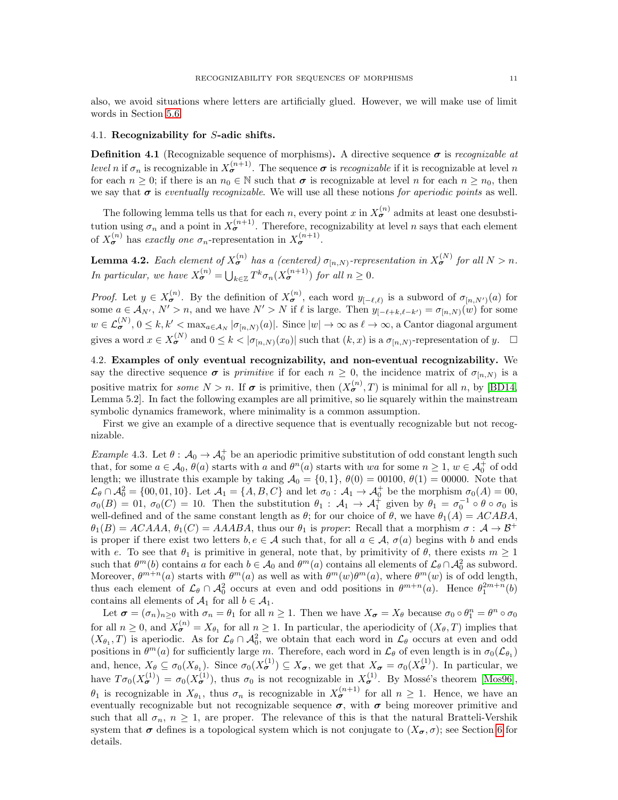also, we avoid situations where letters are artificially glued. However, we will make use of limit words in Section [5.6.](#page-17-1)

### <span id="page-10-1"></span>4.1. Recognizability for S-adic shifts.

<span id="page-10-0"></span>**Definition 4.1** (Recognizable sequence of morphisms). A directive sequence  $\sigma$  is recognizable at *level* n if  $\sigma_n$  is recognizable in  $X_{\sigma}^{(n+1)}$ . The sequence  $\sigma$  is recognizable if it is recognizable at level n for each  $n \geq 0$ ; if there is an  $n_0 \in \mathbb{N}$  such that  $\sigma$  is recognizable at level n for each  $n \geq n_0$ , then we say that  $\sigma$  is eventually recognizable. We will use all these notions for aperiodic points as well.

The following lemma tells us that for each n, every point x in  $X_{\sigma}^{(n)}$  admits at least one desubstitution using  $\sigma_n$  and a point in  $X_{\sigma}^{(n+1)}$ . Therefore, recognizability at level n says that each element of  $X_{\sigma}^{(n)}$  has exactly one  $\sigma_n$ -representation in  $X_{\sigma}^{(n+1)}$ .

<span id="page-10-4"></span>**Lemma 4.2.** Each element of  $X_{\sigma}^{(n)}$  has a (centered)  $\sigma_{[n,N)}$ -representation in  $X_{\sigma}^{(N)}$  for all  $N > n$ . In particular, we have  $X_{\sigma}^{(n)} = \bigcup_{k \in \mathbb{Z}} T^k \sigma_n(X_{\sigma}^{(n+1)})$  for all  $n \geq 0$ .

*Proof.* Let  $y \in X_{\sigma}^{(n)}$ . By the definition of  $X_{\sigma}^{(n)}$ , each word  $y_{[-\ell,\ell)}$  is a subword of  $\sigma_{[n,N')}(a)$  for some  $a \in \mathcal{A}_{N'}$ ,  $N' > n$ , and we have  $N' > N$  if  $\ell$  is large. Then  $y_{[-\ell+k,\ell-k')} = \sigma_{[n,N]}(w)$  for some  $w \in \mathcal{L}_{\boldsymbol{\sigma}}^{(N)},\, 0 \leq k,k' < \max_{a \in \mathcal{A}_N} |\sigma_{[n,N)}(a)|.$  Since  $|w| \to \infty$  as  $\ell \to \infty$ , a Cantor diagonal argument gives a word  $x \in X_{\sigma}^{(N)}$  and  $0 \leq k < |\sigma_{[n,N)}(x_0)|$  such that  $(k, x)$  is a  $\sigma_{[n,N)}$ -representation of y.  $\Box$ 

<span id="page-10-2"></span>4.2. Examples of only eventual recognizability, and non-eventual recognizability. We say the directive sequence  $\sigma$  is *primitive* if for each  $n \geq 0$ , the incidence matrix of  $\sigma_{[n,N)}$  is a positive matrix for *some*  $N > n$ . If  $\sigma$  is primitive, then  $(X_{\sigma}^{(n)}, T)$  is minimal for all n, by [\[BD14,](#page-25-5) Lemma 5.2]. In fact the following examples are all primitive, so lie squarely within the mainstream symbolic dynamics framework, where minimality is a common assumption.

First we give an example of a directive sequence that is eventually recognizable but not recognizable.

<span id="page-10-3"></span>Example 4.3. Let  $\theta: A_0 \to A_0^+$  be an aperiodic primitive substitution of odd constant length such that, for some  $a \in \mathcal{A}_0$ ,  $\theta(a)$  starts with a and  $\theta^n(a)$  starts with wa for some  $n \geq 1$ ,  $w \in \mathcal{A}_0^+$  of odd length; we illustrate this example by taking  $\mathcal{A}_0 = \{0, 1\}$ ,  $\theta(0) = 00100$ ,  $\theta(1) = 00000$ . Note that  $\mathcal{L}_{\theta} \cap \mathcal{A}_{0}^{2} = \{00, 01, 10\}$ . Let  $\mathcal{A}_{1} = \{A, B, C\}$  and let  $\sigma_{0}: \mathcal{A}_{1} \to \mathcal{A}_{0}^{+}$  be the morphism  $\sigma_{0}(A) = 00$ ,  $\sigma_0(B) = 0.0$ ,  $\sigma_0(C) = 10$ . Then the substitution  $\theta_1 : A_1 \to A_1^{\dagger}$  given by  $\theta_1 = \sigma_0^{-1} \circ \theta \circ \sigma_0$  is well-defined and of the same constant length as  $\theta$ ; for our choice of  $\theta$ , we have  $\theta_1(A) = ACABA$ ,  $\theta_1(B) = ACAAA$ ,  $\theta_1(C) = AAABA$ , thus our  $\theta_1$  is proper: Recall that a morphism  $\sigma : A \to B^+$ is proper if there exist two letters  $b, e \in A$  such that, for all  $a \in A$ ,  $\sigma(a)$  begins with b and ends with e. To see that  $\theta_1$  is primitive in general, note that, by primitivity of  $\theta$ , there exists  $m \geq 1$ such that  $\theta^m(b)$  contains a for each  $b \in \mathcal{A}_0$  and  $\theta^m(a)$  contains all elements of  $\mathcal{L}_\theta \cap \mathcal{A}_0^2$  as subword. Moreover,  $\theta^{m+n}(a)$  starts with  $\theta^m(a)$  as well as with  $\theta^m(w)\theta^m(a)$ , where  $\theta^m(w)$  is of odd length, thus each element of  $\mathcal{L}_{\theta} \cap \mathcal{A}_{0}^{2}$  occurs at even and odd positions in  $\theta^{m+n}(a)$ . Hence  $\theta_{1}^{2m+n}(b)$ contains all elements of  $\mathcal{A}_1$  for all  $b \in \mathcal{A}_1$ .

Let  $\sigma = (\sigma_n)_{n \geq 0}$  with  $\sigma_n = \theta_1$  for all  $n \geq 1$ . Then we have  $X_{\sigma} = X_{\theta}$  because  $\sigma_0 \circ \theta_1^n = \theta^n \circ \sigma_0$ for all  $n \geq 0$ , and  $X_{\sigma}^{(n)} = X_{\theta_1}$  for all  $n \geq 1$ . In particular, the aperiodicity of  $(X_{\theta}, T)$  implies that  $(X_{\theta_1}, T)$  is aperiodic. As for  $\mathcal{L}_{\theta} \cap \mathcal{A}_{0}^2$ , we obtain that each word in  $\mathcal{L}_{\theta}$  occurs at even and odd positions in  $\theta^m(a)$  for sufficiently large m. Therefore, each word in  $\mathcal{L}_{\theta}$  of even length is in  $\sigma_0(\mathcal{L}_{\theta_1})$ and, hence,  $X_{\theta} \subseteq \sigma_0(X_{\theta_1})$ . Since  $\sigma_0(X_{\theta}^{(1)}) \subseteq X_{\sigma}$ , we get that  $X_{\sigma} = \sigma_0(X_{\sigma}^{(1)})$ . In particular, we have  $T\sigma_0(X_{\sigma}^{(1)}) = \sigma_0(X_{\sigma}^{(1)})$ , thus  $\sigma_0$  is not recognizable in  $X_{\sigma}^{(1)}$ . By Mossé's theorem [\[Mos96\]](#page-27-1),  $\theta_1$  is recognizable in  $X_{\theta_1}$ , thus  $\sigma_n$  is recognizable in  $X_{\sigma}^{(n+1)}$  for all  $n \geq 1$ . Hence, we have an eventually recognizable but not recognizable sequence  $\sigma$ , with  $\sigma$  being moreover primitive and such that all  $\sigma_n$ ,  $n \geq 1$ , are proper. The relevance of this is that the natural Bratteli-Vershik system that  $\sigma$  defines is a topological system which is not conjugate to  $(X_{\sigma}, \sigma)$ ; see Section [6](#page-19-0) for details.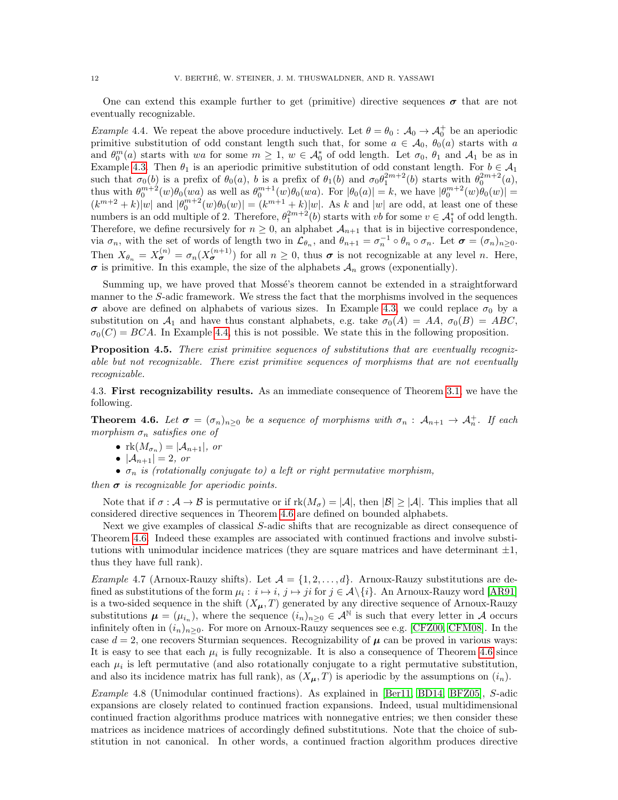One can extend this example further to get (primitive) directive sequences  $\sigma$  that are not eventually recognizable.

<span id="page-11-1"></span>*Example 4.4.* We repeat the above procedure inductively. Let  $\theta = \theta_0 : A_0 \to A_0^+$  be an aperiodic primitive substitution of odd constant length such that, for some  $a \in \mathcal{A}_0$ ,  $\theta_0(a)$  starts with a and  $\theta_0^m(a)$  starts with wa for some  $m \geq 1$ ,  $w \in \mathcal{A}_0^*$  of odd length. Let  $\sigma_0$ ,  $\theta_1$  and  $\mathcal{A}_1$  be as in Example [4.3.](#page-10-3) Then  $\theta_1$  is an aperiodic primitive substitution of odd constant length. For  $b \in \mathcal{A}_1$ such that  $\sigma_0(b)$  is a prefix of  $\theta_0(a)$ , b is a prefix of  $\theta_1(b)$  and  $\sigma_0\theta_1^{2m+2}(b)$  starts with  $\theta_0^{2m+2}(a)$ , thus with  $\theta_0^{m+2}(w)\theta_0(wa)$  as well as  $\theta_0^{m+1}(w)\theta_0(wa)$ . For  $|\theta_0(a)| = k$ , we have  $|\theta_0^{m+2}(w)\theta_0(w)| =$  $(k^{m+2}+k)|w|$  and  $|\theta_0^{m+2}(w)\theta_0(w)| = (k^{m+1}+k)|w|$ . As k and |w| are odd, at least one of these numbers is an odd multiple of 2. Therefore,  $\theta_1^{2m+2}(b)$  starts with vb for some  $v \in A_1^*$  of odd length. Therefore, we define recursively for  $n \geq 0$ , an alphabet  $\mathcal{A}_{n+1}$  that is in bijective correspondence, via  $\sigma_n$ , with the set of words of length two in  $\mathcal{L}_{\theta_n}$ , and  $\theta_{n+1} = \sigma_n^{-1} \circ \theta_n \circ \sigma_n$ . Let  $\boldsymbol{\sigma} = (\sigma_n)_{n \geq 0}$ . Then  $X_{\theta_n} = X_{\sigma}^{(n)} = \sigma_n(X_{\sigma}^{(n+1)})$  for all  $n \geq 0$ , thus  $\sigma$  is not recognizable at any level n. Here,  $\sigma$  is primitive. In this example, the size of the alphabets  $\mathcal{A}_n$  grows (exponentially).

Summing up, we have proved that Mossé's theorem cannot be extended in a straightforward manner to the S-adic framework. We stress the fact that the morphisms involved in the sequences  $\sigma$  above are defined on alphabets of various sizes. In Example [4.3,](#page-10-3) we could replace  $\sigma_0$  by a substitution on  $\mathcal{A}_1$  and have thus constant alphabets, e.g. take  $\sigma_0(A) = AA$ ,  $\sigma_0(B) = ABC$ ,  $\sigma_0(C) = BCA$ . In Example [4.4,](#page-11-1) this is not possible. We state this in the following proposition.

Proposition 4.5. There exist primitive sequences of substitutions that are eventually recognizable but not recognizable. There exist primitive sequences of morphisms that are not eventually recognizable.

4.3. First recognizability results. As an immediate consequence of Theorem [3.1,](#page-6-1) we have the following.

<span id="page-11-0"></span>**Theorem 4.6.** Let  $\sigma = (\sigma_n)_{n\geq 0}$  be a sequence of morphisms with  $\sigma_n : A_{n+1} \to A_n^+$ . If each morphism  $\sigma_n$  satisfies one of

- $\operatorname{rk}(M_{\sigma_n}) = |A_{n+1}|$ , or
- $|A_{n+1}| = 2$ , or
- $\sigma_n$  is (rotationally conjugate to) a left or right permutative morphism,

then  $\sigma$  is recognizable for aperiodic points.

Note that if  $\sigma : \mathcal{A} \to \mathcal{B}$  is permutative or if  $rk(M_{\sigma}) = |\mathcal{A}|$ , then  $|\mathcal{B}| \geq |\mathcal{A}|$ . This implies that all considered directive sequences in Theorem [4.6](#page-11-0) are defined on bounded alphabets.

Next we give examples of classical S-adic shifts that are recognizable as direct consequence of Theorem [4.6.](#page-11-0) Indeed these examples are associated with continued fractions and involve substitutions with unimodular incidence matrices (they are square matrices and have determinant  $\pm 1$ , thus they have full rank).

*Example 4.7* (Arnoux-Rauzy shifts). Let  $\mathcal{A} = \{1, 2, ..., d\}$ . Arnoux-Rauzy substitutions are defined as substitutions of the form  $\mu_i : i \mapsto i$ ,  $j \mapsto ji$  for  $j \in \mathcal{A}\backslash\{i\}$ . An Arnoux-Rauzy word [\[AR91\]](#page-25-6) is a two-sided sequence in the shift  $(X_{\mu}, T)$  generated by any directive sequence of Arnoux-Rauzy substitutions  $\mu = (\mu_{i_n})$ , where the sequence  $(i_n)_{n \geq 0} \in A^{\mathbb{N}}$  is such that every letter in A occurs infinitely often in  $(i_n)_{n>0}$ . For more on Arnoux-Rauzy sequences see e.g. [\[CFZ00,](#page-26-18) [CFM08\]](#page-26-19). In the case  $d = 2$ , one recovers Sturmian sequences. Recognizability of  $\mu$  can be proved in various ways: It is easy to see that each  $\mu_i$  is fully recognizable. It is also a consequence of Theorem [4.6](#page-11-0) since each  $\mu_i$  is left permutative (and also rotationally conjugate to a right permutative substitution, and also its incidence matrix has full rank), as  $(X_{\mu}, T)$  is aperiodic by the assumptions on  $(i_n)$ .

Example 4.8 (Unimodular continued fractions). As explained in [\[Ber11,](#page-25-7) [BD14,](#page-25-5) [BFZ05\]](#page-25-8), S-adic expansions are closely related to continued fraction expansions. Indeed, usual multidimensional continued fraction algorithms produce matrices with nonnegative entries; we then consider these matrices as incidence matrices of accordingly defined substitutions. Note that the choice of substitution in not canonical. In other words, a continued fraction algorithm produces directive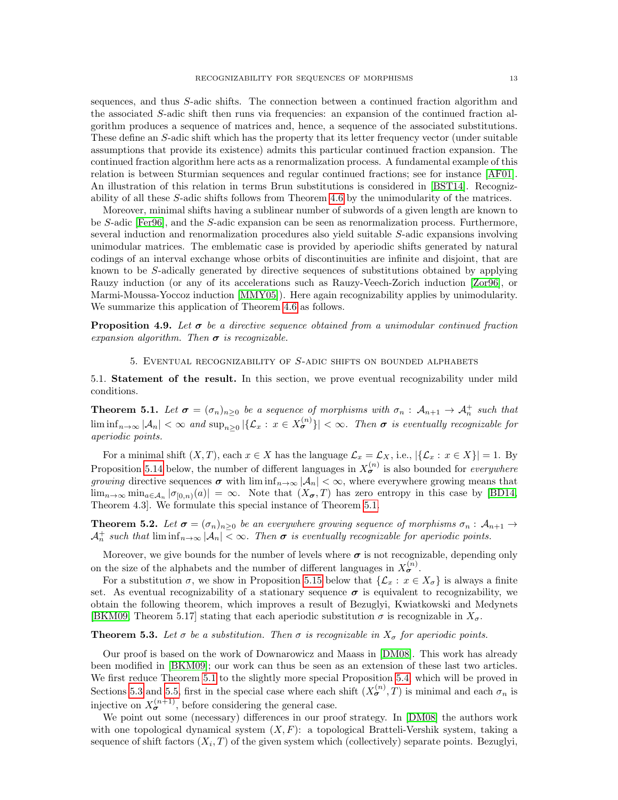sequences, and thus S-adic shifts. The connection between a continued fraction algorithm and the associated S-adic shift then runs via frequencies: an expansion of the continued fraction algorithm produces a sequence of matrices and, hence, a sequence of the associated substitutions. These define an S-adic shift which has the property that its letter frequency vector (under suitable assumptions that provide its existence) admits this particular continued fraction expansion. The continued fraction algorithm here acts as a renormalization process. A fundamental example of this relation is between Sturmian sequences and regular continued fractions; see for instance [\[AF01\]](#page-25-9). An illustration of this relation in terms Brun substitutions is considered in [\[BST14\]](#page-26-20). Recognizability of all these S-adic shifts follows from Theorem [4.6](#page-11-0) by the unimodularity of the matrices.

Moreover, minimal shifts having a sublinear number of subwords of a given length are known to be S-adic [\[Fer96\]](#page-26-21), and the S-adic expansion can be seen as renormalization process. Furthermore, several induction and renormalization procedures also yield suitable S-adic expansions involving unimodular matrices. The emblematic case is provided by aperiodic shifts generated by natural codings of an interval exchange whose orbits of discontinuities are infinite and disjoint, that are known to be S-adically generated by directive sequences of substitutions obtained by applying Rauzy induction (or any of its accelerations such as Rauzy-Veech-Zorich induction [\[Zor96\]](#page-27-6), or Marmi-Moussa-Yoccoz induction [\[MMY05\]](#page-26-22)). Here again recognizability applies by unimodularity. We summarize this application of Theorem [4.6](#page-11-0) as follows.

**Proposition 4.9.** Let  $\sigma$  be a directive sequence obtained from a unimodular continued fraction expansion algorithm. Then  $\sigma$  is recognizable.

### 5. Eventual recognizability of S-adic shifts on bounded alphabets

<span id="page-12-2"></span>5.1. Statement of the result. In this section, we prove eventual recognizability under mild conditions.

<span id="page-12-0"></span>**Theorem 5.1.** Let  $\sigma = (\sigma_n)_{n \geq 0}$  be a sequence of morphisms with  $\sigma_n : A_{n+1} \to A_n^+$  such that  $\liminf_{n\to\infty} |\mathcal{A}_n| < \infty$  and  $\sup_{n\geq 0} |\{\mathcal{L}_x : x \in X_{\sigma}^{(n)}\}| < \infty$ . Then  $\sigma$  is eventually recognizable for aperiodic points.

For a minimal shift  $(X, T)$ , each  $x \in X$  has the language  $\mathcal{L}_x = \mathcal{L}_X$ , i.e.,  $|\{\mathcal{L}_x : x \in X\}| = 1$ . By Proposition [5.14](#page-17-2) below, the number of different languages in  $X_{\sigma}^{(n)}$  is also bounded for *everywhere* growing directive sequences  $\sigma$  with  $\liminf_{n\to\infty} |\mathcal{A}_n| < \infty$ , where everywhere growing means that  $\lim_{n\to\infty} \min_{a\in\mathcal{A}_n} |\sigma_{[0,n)}(a)| = \infty$ . Note that  $(X_{\sigma},T)$  has zero entropy in this case by [\[BD14,](#page-25-5) Theorem 4.3]. We formulate this special instance of Theorem [5.1.](#page-12-0)

<span id="page-12-3"></span>**Theorem 5.2.** Let  $\sigma = (\sigma_n)_{n\geq 0}$  be an everywhere growing sequence of morphisms  $\sigma_n : A_{n+1} \to A_{n+1}$  $\mathcal{A}_n^+$  such that  $\liminf_{n\to\infty} |\mathcal{A}_n| < \infty$ . Then  $\sigma$  is eventually recognizable for aperiodic points.

Moreover, we give bounds for the number of levels where  $\sigma$  is not recognizable, depending only on the size of the alphabets and the number of different languages in  $X_{\sigma}^{(n)}$ .

For a substitution  $\sigma$ , we show in Proposition [5.15](#page-18-0) below that  $\{\mathcal{L}_x : x \in X_{\sigma}\}\$  is always a finite set. As eventual recognizability of a stationary sequence  $\sigma$  is equivalent to recognizability, we obtain the following theorem, which improves a result of Bezuglyi, Kwiatkowski and Medynets [\[BKM09,](#page-26-1) Theorem 5.17] stating that each aperiodic substitution  $\sigma$  is recognizable in  $X_{\sigma}$ .

## <span id="page-12-1"></span>**Theorem 5.3.** Let  $\sigma$  be a substitution. Then  $\sigma$  is recognizable in  $X_{\sigma}$  for aperiodic points.

Our proof is based on the work of Downarowicz and Maass in [\[DM08\]](#page-26-7). This work has already been modified in [\[BKM09\]](#page-26-1); our work can thus be seen as an extension of these last two articles. We first reduce Theorem [5.1](#page-12-0) to the slightly more special Proposition [5.4,](#page-13-0) which will be proved in Sections [5.3](#page-13-1) and [5.5,](#page-16-0) first in the special case where each shift  $(X_{\sigma}^{(n)},T)$  is minimal and each  $\sigma_n$  is injective on  $X_{\sigma}^{(n+1)}$ , before considering the general case.

We point out some (necessary) differences in our proof strategy. In [\[DM08\]](#page-26-7) the authors work with one topological dynamical system  $(X, F)$ : a topological Bratteli-Vershik system, taking a sequence of shift factors  $(X_i, T)$  of the given system which (collectively) separate points. Bezuglyi,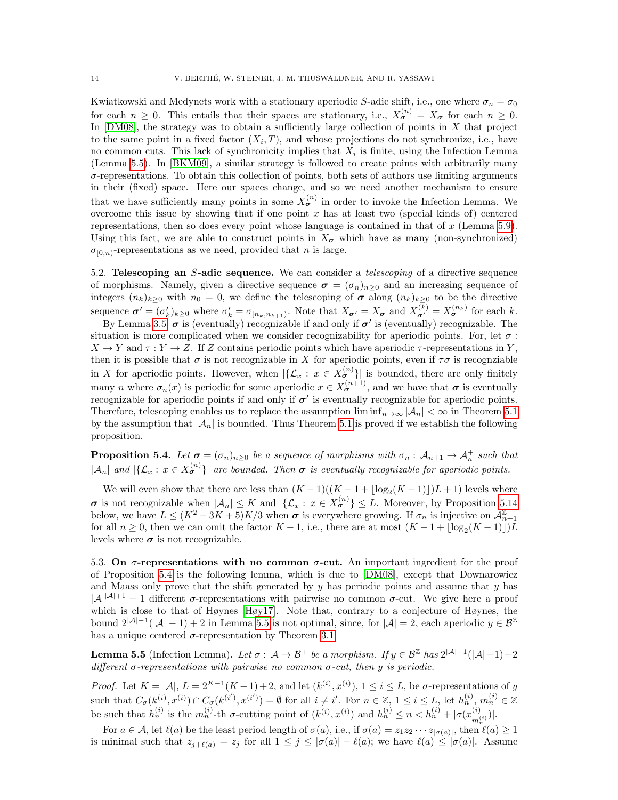Kwiatkowski and Medynets work with a stationary aperiodic S-adic shift, i.e., one where  $\sigma_n = \sigma_0$ for each  $n \geq 0$ . This entails that their spaces are stationary, i.e.,  $X_{\sigma}^{(n)} = X_{\sigma}$  for each  $n \geq 0$ . In  $[DM08]$ , the strategy was to obtain a sufficiently large collection of points in  $X$  that project to the same point in a fixed factor  $(X_i, T)$ , and whose projections do not synchronize, i.e., have no common cuts. This lack of synchronicity implies that  $X_i$  is finite, using the Infection Lemma (Lemma [5.5\)](#page-13-2). In [\[BKM09\]](#page-26-1), a similar strategy is followed to create points with arbitrarily many  $\sigma$ -representations. To obtain this collection of points, both sets of authors use limiting arguments in their (fixed) space. Here our spaces change, and so we need another mechanism to ensure that we have sufficiently many points in some  $X_{\sigma}^{(n)}$  in order to invoke the Infection Lemma. We overcome this issue by showing that if one point x has at least two (special kinds of) centered representations, then so does every point whose language is contained in that of  $x$  (Lemma [5.9\)](#page-15-0). Using this fact, we are able to construct points in  $X_{\sigma}$  which have as many (non-synchronized)  $\sigma_{[0,n)}$ -representations as we need, provided that *n* is large.

5.2. Telescoping an S-adic sequence. We can consider a *telescoping* of a directive sequence of morphisms. Namely, given a directive sequence  $\sigma = (\sigma_n)_{n\geq 0}$  and an increasing sequence of integers  $(n_k)_{k\geq 0}$  with  $n_0 = 0$ , we define the telescoping of  $\sigma$  along  $(n_k)_{k\geq 0}$  to be the directive sequence  $\sigma' = (\sigma'_k)_{k \geq 0}$  where  $\sigma'_k = \sigma_{[n_k, n_{k+1})}$ . Note that  $X_{\sigma'} = X_{\sigma}$  and  $X_{\sigma'}^{(k)} = X_{\sigma}^{(n_k)}$  for each k.

By Lemma [3.5,](#page-7-2)  $\sigma$  is (eventually) recognizable if and only if  $\sigma'$  is (eventually) recognizable. The situation is more complicated when we consider recognizability for aperiodic points. For, let  $\sigma$ :  $X \to Y$  and  $\tau : Y \to Z$ . If Z contains periodic points which have aperiodic  $\tau$ -representations in Y, then it is possible that  $\sigma$  is not recognizable in X for aperiodic points, even if  $\tau\sigma$  is recognziable in X for aperiodic points. However, when  $|\{\mathcal{L}_x : x \in X_{\sigma}^{(n)}\}|$  is bounded, there are only finitely many *n* where  $\sigma_n(x)$  is periodic for some aperiodic  $x \in X_{\sigma}^{(n+1)}$ , and we have that  $\sigma$  is eventually recognizable for aperiodic points if and only if  $\sigma'$  is eventually recognizable for aperiodic points. Therefore, telescoping enables us to replace the assumption  $\liminf_{n\to\infty} |\mathcal{A}_n| < \infty$  in Theorem [5.1](#page-12-0) by the assumption that  $|\mathcal{A}_n|$  is bounded. Thus Theorem [5.1](#page-12-0) is proved if we establish the following proposition.

<span id="page-13-0"></span>**Proposition 5.4.** Let  $\sigma = (\sigma_n)_{n \geq 0}$  be a sequence of morphisms with  $\sigma_n : A_{n+1} \to A_n^+$  such that  $|\mathcal{A}_n|$  and  $|\{\mathcal{L}_x : x \in X_{\sigma}^{(n)}\}|$  are bounded. Then  $\sigma$  is eventually recognizable for aperiodic points.

We will even show that there are less than  $(K-1)((K-1+\lfloor \log_2(K-1) \rfloor)L+1)$  levels where  $\sigma$  is not recognizable when  $|\mathcal{A}_n| \leq K$  and  $|\{\mathcal{L}_x : x \in X_{\sigma}^{(n)}\}\leq L$ . Moreover, by Proposition [5.14](#page-17-2) below, we have  $L \leq (K^2 - 3K + 5)K/3$  when  $\sigma$  is everywhere growing. If  $\sigma_n$  is injective on  $\mathcal{A}_{n+1}^{\mathbb{Z}}$ for all  $n \geq 0$ , then we can omit the factor  $K - 1$ , i.e., there are at most  $(K - 1 + \lfloor \log_2(K - 1) \rfloor)L$ levels where  $\sigma$  is not recognizable.

<span id="page-13-1"></span>5.3. On  $\sigma$ -representations with no common  $\sigma$ -cut. An important ingredient for the proof of Proposition [5.4](#page-13-0) is the following lemma, which is due to [\[DM08\]](#page-26-7), except that Downarowicz and Maass only prove that the shift generated by  $y$  has periodic points and assume that  $y$  has  $|\mathcal{A}|^{|\mathcal{A}|+1}+1$  different  $\sigma$ -representations with pairwise no common  $\sigma$ -cut. We give here a proof which is close to that of Høynes [\[Høy17\]](#page-26-23). Note that, contrary to a conjecture of Høynes, the bound  $2^{|\mathcal{A}|-1}(|\mathcal{A}|-1)+2$  in Lemma [5.5](#page-13-2) is not optimal, since, for  $|\mathcal{A}|=2$ , each aperiodic  $y \in \mathcal{B}^{\mathbb{Z}}$ has a unique centered  $\sigma$ -representation by Theorem [3.1.](#page-6-1)

<span id="page-13-2"></span>**Lemma 5.5** (Infection Lemma). Let  $\sigma : A \to B^+$  be a morphism. If  $y \in B^{\mathbb{Z}}$  has  $2^{|A|-1}(|A|-1)+2$ different  $\sigma$ -representations with pairwise no common  $\sigma$ -cut, then y is periodic.

*Proof.* Let  $K = |\mathcal{A}|$ ,  $L = 2^{K-1}(K-1) + 2$ , and let  $(k^{(i)}, x^{(i)})$ ,  $1 \le i \le L$ , be  $\sigma$ -representations of y such that  $C_{\sigma}(k^{(i)}, x^{(i)}) \cap C_{\sigma}(k^{(i')}, x^{(i')}) = \emptyset$  for all  $i \neq i'$ . For  $n \in \mathbb{Z}, 1 \leq i \leq L$ , let  $h_n^{(i)}$ ,  $m_n^{(i)} \in \mathbb{Z}$ be such that  $h_n^{(i)}$  is the  $m_n^{(i)}$ -th  $\sigma$ -cutting point of  $(k^{(i)}, x^{(i)})$  and  $h_n^{(i)} \leq n < h_n^{(i)} + |\sigma(x^{(i)})|$  $\frac{(i)}{m_n^{(i)}}\big)\big|.$ 

For  $a \in \mathcal{A}$ , let  $\ell(a)$  be the least period length of  $\sigma(a)$ , i.e., if  $\sigma(a) = z_1 z_2 \cdots z_{|\sigma(a)|}$ , then  $\ell(a) \ge 1$ is minimal such that  $z_{j+\ell(a)} = z_j$  for all  $1 \leq j \leq |\sigma(a)| - \ell(a)$ ; we have  $\ell(a) \leq |\sigma(a)|$ . Assume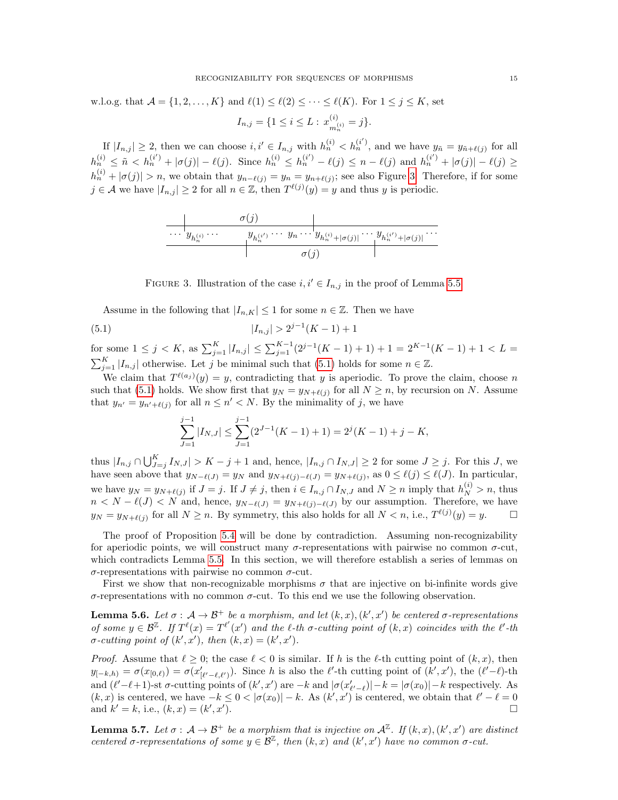w.l.o.g. that  $\mathcal{A} = \{1, 2, ..., K\}$  and  $\ell(1) \leq \ell(2) \leq \cdots \leq \ell(K)$ . For  $1 \leq j \leq K$ , set  $I_{n,j} = \{1 \leq i \leq L : x_{-i}^{(i)}\}$  $\binom{i}{m_n^{(i)}} = j$ .

If  $|I_{n,j}| \geq 2$ , then we can choose  $i, i' \in I_{n,j}$  with  $h_n^{(i)} < h_n^{(i')}$ , and we have  $y_{\tilde{n}} = y_{\tilde{n}+\ell(j)}$  for all  $h_n^{(i)} \leq \tilde{n} < h_n^{(i')} + |\sigma(j)| - \ell(j).$  Since  $h_n^{(i)} \leq h_n^{(i')} - \ell(j) \leq n - \ell(j)$  and  $h_n^{(i')} + |\sigma(j)| - \ell(j) \geq$  $|h_n^{(i)} + |\sigma(j)| > n$ , we obtain that  $y_{n-\ell(j)} = y_n = y_{n+\ell(j)}$ ; see also Figure [3.](#page-14-0) Therefore, if for some  $j \in \mathcal{A}$  we have  $|I_{n,j}| \geq 2$  for all  $n \in \mathbb{Z}$ , then  $T^{\ell(j)}(y) = y$  and thus y is periodic.

<span id="page-14-0"></span>
$$
\overbrace{\cdots y_{h_n^{(i)}} \cdots \cdots y_{h_n^{(i')}} \cdots y_{h_n^{(i')}} \cdots y_{h_n^{(i)}+|\sigma(j)|} \cdots y_{h_n^{(i')}+|\sigma(j)|} \cdots \cdots \cdots \cdots \cdots}}^{\sigma(j)}
$$



Assume in the following that  $|I_{n,K}| \leq 1$  for some  $n \in \mathbb{Z}$ . Then we have

(5.1) 
$$
|I_{n,j}| > 2^{j-1}(K-1) + 1
$$

for some  $1 \leq j < K$ , as  $\sum_{j=1}^{K} |I_{n,j}| \leq \sum_{j=1}^{K-1} (2^{j-1}(K-1)+1) + 1 = 2^{K-1}(K-1) + 1 < L$  $\sum_{j=1}^{K} |I_{n,j}|$  otherwise. Let j be minimal such that [\(5.1\)](#page-14-1) holds for some  $n \in \mathbb{Z}$ .

We claim that  $T^{\ell(a_j)}(y) = y$ , contradicting that y is aperiodic. To prove the claim, choose n such that [\(5.1\)](#page-14-1) holds. We show first that  $y_N = y_{N+\ell(j)}$  for all  $N \ge n$ , by recursion on N. Assume that  $y_{n'} = y_{n'+\ell(j)}$  for all  $n \leq n' < N$ . By the minimality of j, we have

<span id="page-14-1"></span>
$$
\sum_{J=1}^{j-1} |I_{N,J}| \le \sum_{J=1}^{j-1} (2^{J-1}(K-1) + 1) = 2^j(K-1) + j - K,
$$

thus  $|I_{n,j} \cap \bigcup_{J=j}^K I_{N,J}| > K - j + 1$  and, hence,  $|I_{n,j} \cap I_{N,J}| \ge 2$  for some  $J \ge j$ . For this J, we have seen above that  $y_{N-\ell}(J) = y_N$  and  $y_{N+\ell}(j) - \ell(J) = y_{N+\ell}(j)$ , as  $0 \leq \ell(j) \leq \ell(J)$ . In particular, we have  $y_N = y_{N+\ell(j)}$  if  $J = j$ . If  $J \neq j$ , then  $i \in I_{n,j} \cap I_{N,J}$  and  $N \geq n$  imply that  $h_N^{(i)} > n$ , thus  $n < N - \ell(J) < N$  and, hence,  $y_{N-\ell(J)} = y_{N+\ell(j)-\ell(J)}$  by our assumption. Therefore, we have  $y_N = y_{N+\ell(j)}$  for all  $N \ge n$ . By symmetry, this also holds for all  $N < n$ , i.e.,  $T^{\ell(j)}(y) = y$ .

The proof of Proposition [5.4](#page-13-0) will be done by contradiction. Assuming non-recognizability for aperiodic points, we will construct many  $\sigma$ -representations with pairwise no common  $\sigma$ -cut, which contradicts Lemma [5.5.](#page-13-2) In this section, we will therefore establish a series of lemmas on σ-representations with pairwise no common σ-cut.

First we show that non-recognizable morphisms  $\sigma$  that are injective on bi-infinite words give σ-representations with no common σ-cut. To this end we use the following observation.

<span id="page-14-2"></span>**Lemma 5.6.** Let  $\sigma : A \to \mathcal{B}^+$  be a morphism, and let  $(k, x), (k', x')$  be centered  $\sigma$ -representations of some  $y \in \mathcal{B}^{\mathbb{Z}}$ . If  $T^{\ell}(x) = T^{\ell'}(x')$  and the  $\ell$ -th  $\sigma$ -cutting point of  $(k, x)$  coincides with the  $\ell'$ -th  $\sigma$ -cutting point of  $(k', x')$ , then  $(k, x) = (k', x')$ .

*Proof.* Assume that  $\ell \geq 0$ ; the case  $\ell < 0$  is similar. If h is the  $\ell$ -th cutting point of  $(k, x)$ , then  $y_{[-k,h)} = \sigma(x_{[0,\ell)}) = \sigma(x'_{[\ell'-\ell,\ell']})$ . Since h is also the  $\ell'$ -th cutting point of  $(k',x')$ , the  $(\ell'-\ell)$ -th and  $(\ell'-\ell+1)$ -st  $\sigma$ -cutting points of  $(k', x')$  are  $-k$  and  $|\sigma(x'_{\ell'-\ell})| - k = |\sigma(x_0)| - k$  respectively. As  $(k, x)$  is centered, we have  $-k \leq 0 < |\sigma(x_0)| - k$ . As  $(k', x')$  is centered, we obtain that  $\ell' - \ell = 0$ and  $k' = k$ , i.e.,  $(k, x) = (k', x')$ ).

<span id="page-14-3"></span>**Lemma 5.7.** Let  $\sigma : A \to \mathcal{B}^+$  be a morphism that is injective on  $\mathcal{A}^{\mathbb{Z}}$ . If  $(k, x), (k', x')$  are distinct centered σ-representations of some  $y \in \mathcal{B}^{\mathbb{Z}}$ , then  $(k, x)$  and  $(k', x')$  have no common  $\sigma$ -cut.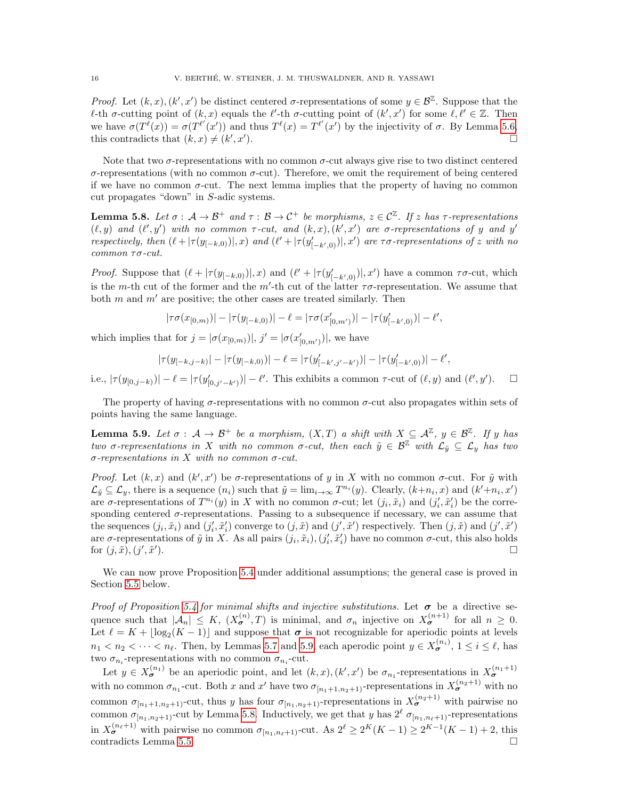Proof. Let  $(k, x)$ ,  $(k', x')$  be distinct centered  $\sigma$ -representations of some  $y \in \mathcal{B}^{\mathbb{Z}}$ . Suppose that the  $\ell$ -th  $\sigma$ -cutting point of  $(k, x)$  equals the  $\ell'$ -th  $\sigma$ -cutting point of  $(k', x')$  for some  $\ell, \ell' \in \mathbb{Z}$ . Then we have  $\sigma(T^{\ell}(x)) = \sigma(T^{\ell'}(x'))$  and thus  $T^{\ell}(x) = T^{\ell'}(x')$  by the injectivity of  $\sigma$ . By Lemma [5.6,](#page-14-2) this contradicts that  $(k, x) \neq (k', x')$ ).

Note that two  $\sigma$ -representations with no common  $\sigma$ -cut always give rise to two distinct centered  $\sigma$ -representations (with no common  $\sigma$ -cut). Therefore, we omit the requirement of being centered if we have no common  $\sigma$ -cut. The next lemma implies that the property of having no common cut propagates "down" in S-adic systems.

<span id="page-15-1"></span>**Lemma 5.8.** Let  $\sigma : A \to B^+$  and  $\tau : B \to C^+$  be morphisms,  $z \in C^{\mathbb{Z}}$ . If z has  $\tau$ -representations  $(\ell, y)$  and  $(\ell', y')$  with no common  $\tau$ -cut, and  $(k, x), (k', x')$  are  $\sigma$ -representations of y and y' respectively, then  $(\ell + |\tau(y_{[-k,0)}|,x)$  and  $(\ell' + |\tau(y'_{[-k',0)}|,x')$  are  $\tau\sigma$ -representations of z with no common τσ-cut.

*Proof.* Suppose that  $(\ell + |\tau(y_{[-k,0)})|, x)$  and  $(\ell' + |\tau(y'_{[-k',0)})|, x')$  have a common  $\tau\sigma$ -cut, which is the m-th cut of the former and the m'-th cut of the latter  $\tau\sigma$ -representation. We assume that both m and  $m'$  are positive; the other cases are treated similarly. Then

$$
|\tau\sigma(x_{[0,m)})|-|\tau(y_{[-k,0)})|-\ell=|\tau\sigma(x'_{[0,m')})|-|\tau(y'_{[-k',0)})|-\ell',
$$

which implies that for  $j = |\sigma(x_{[0,m)})|, j' = |\sigma(x'_{[0,m')})|$ , we have

$$
|\tau(y_{[-k,j-k)}|-|\tau(y_{[-k,0)})|-\ell=|\tau(y'_{[-k',j'-k')})|-|\tau(y'_{[-k',0)})|-\ell',
$$

i.e.,  $|\tau(y_{[0,j-k)})| - \ell = |\tau(y'_{[0,j'-k')})| - \ell'$ . This exhibits a common  $\tau$ -cut of  $(\ell, y)$  and  $(\ell', y')$ .  $\Box$ 

The property of having  $\sigma$ -representations with no common  $\sigma$ -cut also propagates within sets of points having the same language.

<span id="page-15-0"></span>**Lemma 5.9.** Let  $\sigma : A \to \mathcal{B}^+$  be a morphism,  $(X,T)$  a shift with  $X \subseteq \mathcal{A}^{\mathbb{Z}}$ ,  $y \in \mathcal{B}^{\mathbb{Z}}$ . If y has two σ-representations in X with no common σ-cut, then each  $\tilde{y} \in \mathcal{B}^{\mathbb{Z}}$  with  $\mathcal{L}_{\tilde{y}} \subseteq \mathcal{L}_y$  has two σ-representations in X with no common σ-cut.

Proof. Let  $(k, x)$  and  $(k', x')$  be  $\sigma$ -representations of y in X with no common  $\sigma$ -cut. For  $\tilde{y}$  with  $\mathcal{L}_{\tilde{y}} \subseteq \mathcal{L}_y$ , there is a sequence  $(n_i)$  such that  $\tilde{y} = \lim_{i \to \infty} T^{n_i}(y)$ . Clearly,  $(k+n_i, x)$  and  $(k'+n_i, x')$ are  $\sigma$ -representations of  $T^{n_i}(y)$  in X with no common  $\sigma$ -cut; let  $(j_i, \tilde{x}_i)$  and  $(j'_i, \tilde{x}'_i)$  be the corresponding centered  $\sigma$ -representations. Passing to a subsequence if necessary, we can assume that the sequences  $(j_i, \tilde{x}_i)$  and  $(j'_i, \tilde{x}'_i)$  converge to  $(j, \tilde{x})$  and  $(j', \tilde{x}')$  respectively. Then  $(j, \tilde{x})$  and  $(j', \tilde{x}')$ are  $\sigma$ -representations of  $\tilde{y}$  in X. As all pairs  $(j_i, \tilde{x}_i), (j'_i, \tilde{x}'_i)$  have no common  $\sigma$ -cut, this also holds for  $(j, \tilde{x}), (j', \tilde{x}')$ ).

We can now prove Proposition [5.4](#page-13-0) under additional assumptions; the general case is proved in Section [5.5](#page-16-0) below.

Proof of Proposition [5.4](#page-13-0) for minimal shifts and injective substitutions. Let  $\sigma$  be a directive sequence such that  $|\mathcal{A}_n| \leq K$ ,  $(X_{\sigma}^{(n)}, T)$  is minimal, and  $\sigma_n$  injective on  $X_{\sigma}^{(n+1)}$  for all  $n \geq 0$ . Let  $\ell = K + \lfloor \log_2(K - 1) \rfloor$  and suppose that  $\sigma$  is not recognizable for aperiodic points at levels  $n_1 < n_2 < \cdots < n_\ell$ . Then, by Lemmas [5.7](#page-14-3) and [5.9,](#page-15-0) each aperodic point  $y \in X_{\sigma}^{(n_i)}$ ,  $1 \le i \le \ell$ , has two  $\sigma_{n_i}$ -representations with no common  $\sigma_{n_i}$ -cut.

Let  $y \in X_{\sigma}^{(n_1)}$  be an aperiodic point, and let  $(k, x), (k', x')$  be  $\sigma_{n_1}$ -representations in  $X_{\sigma}^{(n_1+1)}$ with no common  $\sigma_{n_1}$ -cut. Both x and x' have two  $\sigma_{[n_1+1,n_2+1)}$ -representations in  $X_{\sigma}^{(n_2+1)}$  with no common  $\sigma_{[n_1+1,n_2+1)}$ -cut, thus y has four  $\sigma_{[n_1,n_2+1)}$ -representations in  $X_{\sigma}^{(n_2+1)}$  with pairwise no common  $\sigma_{[n_1,n_2+1)}$ -cut by Lemma [5.8.](#page-15-1) Inductively, we get that y has  $2^{\ell}$   $\sigma_{[n_1,n_2+1)}$ -representations in  $X_{\sigma}^{(n_{\ell}+1)}$  with pairwise no common  $\sigma_{[n_1,n_{\ell}+1)}$ -cut. As  $2^{\ell} \geq 2^K(K-1) \geq 2^{K-1}(K-1) + 2$ , this contradicts Lemma [5.5.](#page-13-2)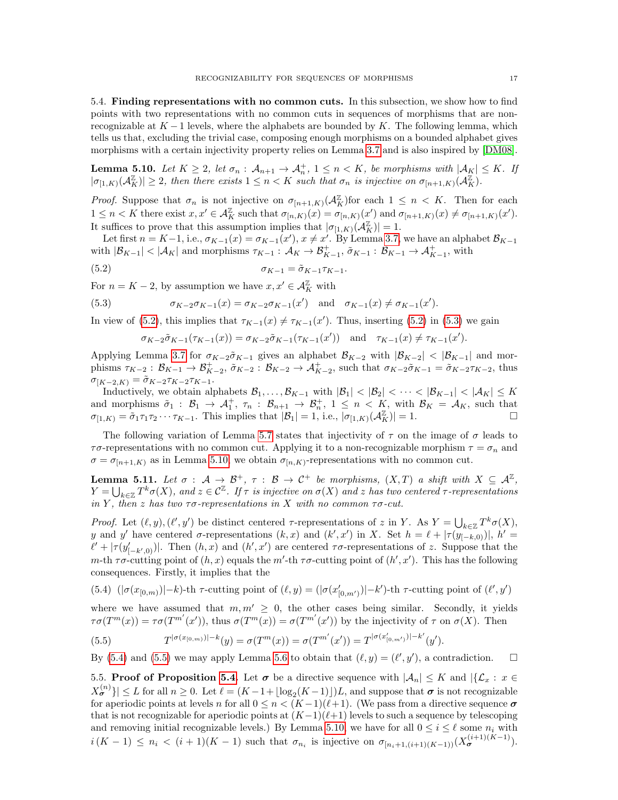5.4. Finding representations with no common cuts. In this subsection, we show how to find points with two representations with no common cuts in sequences of morphisms that are nonrecognizable at  $K-1$  levels, where the alphabets are bounded by K. The following lemma, which tells us that, excluding the trivial case, composing enough morphisms on a bounded alphabet gives morphisms with a certain injectivity property relies on Lemma [3.7](#page-8-1) and is also inspired by [\[DM08\]](#page-26-7).

<span id="page-16-3"></span>**Lemma 5.10.** Let  $K \geq 2$ , let  $\sigma_n$ :  $\mathcal{A}_{n+1} \to \mathcal{A}_n^+$ ,  $1 \leq n \leq K$ , be morphisms with  $|\mathcal{A}_K| \leq K$ . If  $|\sigma_{[1,K)}(\mathcal{A}_K^{\mathbb{Z}})| \geq 2$ , then there exists  $1 \leq n < K$  such that  $\sigma_n$  is injective on  $\sigma_{[n+1,K)}(\mathcal{A}_K^{\mathbb{Z}})$ .

*Proof.* Suppose that  $\sigma_n$  is not injective on  $\sigma_{[n+1,K)}(\mathcal{A}_{K}^{\mathbb{Z}})$  for each  $1 \leq n \leq K$ . Then for each  $1 \leq n < K$  there exist  $x, x' \in \mathcal{A}_{K}^{\mathbb{Z}}$  such that  $\sigma_{[n,K)}(x) = \sigma_{[n,K)}(x')$  and  $\sigma_{[n+1,K)}(x) \neq \sigma_{[n+1,K)}(x')$ . It suffices to prove that this assumption implies that  $|\sigma_{[1,K)}(A_K^{\mathbb{Z}})| = 1$ .

Let first  $n = K-1$ , i.e.,  $\sigma_{K-1}(x) = \sigma_{K-1}(x')$ ,  $x \neq x'$ . By Lemma [3.7,](#page-8-1) we have an alphabet  $\mathcal{B}_{K-1}$ with  $|\mathcal{B}_{K-1}| < |\mathcal{A}_K|$  and morphisms  $\tau_{K-1} : \mathcal{A}_K \to \mathcal{B}_{K-1}^+$ ,  $\tilde{\sigma}_{K-1} : \mathcal{B}_{K-1} \to \mathcal{A}_{K-1}^+$ , with

$$
\sigma_{K-1} = \tilde{\sigma}_{K-1} \tau_{K-1}.
$$

For  $n = K - 2$ , by assumption we have  $x, x' \in \mathcal{A}_{K}^{\mathbb{Z}}$  with

(5.3) 
$$
\sigma_{K-2}\sigma_{K-1}(x) = \sigma_{K-2}\sigma_{K-1}(x') \text{ and } \sigma_{K-1}(x) \neq \sigma_{K-1}(x').
$$

In view of [\(5.2\)](#page-16-1), this implies that  $\tau_{K-1}(x) \neq \tau_{K-1}(x')$ . Thus, inserting (5.2) in [\(5.3\)](#page-16-2) we gain

<span id="page-16-2"></span><span id="page-16-1"></span>
$$
\sigma_{K-2}\tilde{\sigma}_{K-1}(\tau_{K-1}(x)) = \sigma_{K-2}\tilde{\sigma}_{K-1}(\tau_{K-1}(x')) \text{ and } \tau_{K-1}(x) \neq \tau_{K-1}(x').
$$

Applying Lemma [3.7](#page-8-1) for  $\sigma_{K-2}\tilde{\sigma}_{K-1}$  gives an alphabet  $\mathcal{B}_{K-2}$  with  $|\mathcal{B}_{K-2}| < |\mathcal{B}_{K-1}|$  and morphisms  $\tau_{K-2}: \mathcal{B}_{K-1} \to \mathcal{B}_{K-2}^+$ ,  $\tilde{\sigma}_{K-2}: \mathcal{B}_{K-2} \to \mathcal{A}_{K-2}^+$ , such that  $\sigma_{K-2}\tilde{\sigma}_{K-1} = \tilde{\sigma}_{K-2}\tau_{K-2}$ , thus  $\sigma_{[K-2,K)} = \tilde{\sigma}_{K-2} \tau_{K-2} \tau_{K-1}.$ 

Inductively, we obtain alphabets  $\mathcal{B}_1, \ldots, \mathcal{B}_{K-1}$  with  $|\mathcal{B}_1| < |\mathcal{B}_2| < \cdots < |\mathcal{B}_{K-1}| < |\mathcal{A}_K| \leq K$ and morphisms  $\tilde{\sigma}_1$  :  $\mathcal{B}_1 \to \mathcal{A}_1^+$ ,  $\tau_n$  :  $\mathcal{B}_{n+1} \to \mathcal{B}_n^+$ ,  $1 \leq n \lt K$ , with  $\mathcal{B}_K = \mathcal{A}_K$ , such that  $\sigma_{[1,K)} = \tilde{\sigma}_1 \tau_1 \tau_2 \cdots \tau_{K-1}$ . This implies that  $|\mathcal{B}_1| = 1$ , i.e.,  $|\sigma_{[1,K)}(\mathcal{A}_K^{\mathbb{Z}})| = 1$ .

The following variation of Lemma [5.7](#page-14-3) states that injectivity of  $\tau$  on the image of  $\sigma$  leads to  $\tau\sigma$ -representations with no common cut. Applying it to a non-recognizable morphism  $\tau = \sigma_n$  and  $\sigma = \sigma_{[n+1,K]}$  as in Lemma [5.10,](#page-16-3) we obtain  $\sigma_{[n,K]}$ -representations with no common cut.

<span id="page-16-6"></span>**Lemma 5.11.** Let  $\sigma : A \to \mathcal{B}^+, \tau : B \to C^+$  be morphisms,  $(X,T)$  a shift with  $X \subseteq \mathcal{A}^{\mathbb{Z}}$ ,  $Y=\bigcup_{k\in\mathbb{Z}}T^k\sigma(X),\ and\ z\in\mathcal{C}^\mathbb{Z}.$  If  $\tau$  is injective on  $\sigma(X)$  and  $z$  has two centered  $\tau$ -representations in Y, then z has two  $\tau\sigma$ -representations in X with no common  $\tau\sigma$ -cut.

Proof. Let  $(\ell, y), (\ell', y')$  be distinct centered  $\tau$ -representations of z in Y. As  $Y = \bigcup_{k \in \mathbb{Z}} T^k \sigma(X)$ , y and y' have centered  $\sigma$ -representations  $(k, x)$  and  $(k', x')$  in X. Set  $h = \ell + |\tau(y_{[-k,0)})|, h' =$  $\ell' + |\tau(y'_{[-k',0)})|$ . Then  $(h, x)$  and  $(h', x')$  are centered  $\tau \sigma$ -representations of z. Suppose that the m-th  $\tau\sigma$ -cutting point of  $(h, x)$  equals the m'-th  $\tau\sigma$ -cutting point of  $(h', x')$ . This has the following consequences. Firstly, it implies that the

<span id="page-16-4"></span>(5.4)  $(|\sigma(x_{[0,m)})|-k)$ -th  $\tau$ -cutting point of  $(\ell, y) = (|\sigma(x'_{[0,m')})|-k')$ -th  $\tau$ -cutting point of  $(\ell', y')$ 

where we have assumed that  $m, m' \geq 0$ , the other cases being similar. Secondly, it yields  $\tau\sigma(T^m(x)) = \tau\sigma(T^{m'}(x'))$ , thus  $\sigma(T^m(x)) = \sigma(T^{m'}(x'))$  by the injectivity of  $\tau$  on  $\sigma(X)$ . Then

<span id="page-16-5"></span>(5.5) 
$$
T^{|\sigma(x_{[0,m)})|-k}(y) = \sigma(T^m(x)) = \sigma(T^{m'}(x')) = T^{|\sigma(x'_{[0,m')})|-k'}(y').
$$

By [\(5.4\)](#page-16-4) and [\(5.5\)](#page-16-5) we may apply Lemma [5.6](#page-14-2) to obtain that  $(\ell, y) = (\ell', y')$ , a contradiction.  $\square$ 

<span id="page-16-0"></span>5.5. Proof of Proposition [5.4.](#page-13-0) Let  $\sigma$  be a directive sequence with  $|\mathcal{A}_n| \leq K$  and  $|\{\mathcal{L}_x : x \in$  $|X_{\sigma}^{(n)}\rangle | \leq L$  for all  $n \geq 0$ . Let  $\ell = (K - 1 + \lfloor \log_2(K - 1) \rfloor)L$ , and suppose that  $\sigma$  is not recognizable for aperiodic points at levels n for all  $0 \le n < (K-1)(\ell+1)$ . (We pass from a directive sequence  $\sigma$ that is not recognizable for aperiodic points at  $(K-1)(\ell+1)$  levels to such a sequence by telescoping and removing initial recognizable levels.) By Lemma [5.10,](#page-16-3) we have for all  $0 \le i \le \ell$  some  $n_i$  with  $i(K-1) \leq n_i < (i+1)(K-1)$  such that  $\sigma_{n_i}$  is injective on  $\sigma_{[n_i+1,(i+1)(K-1))}(X_{\sigma}^{(i+1)(K-1)}).$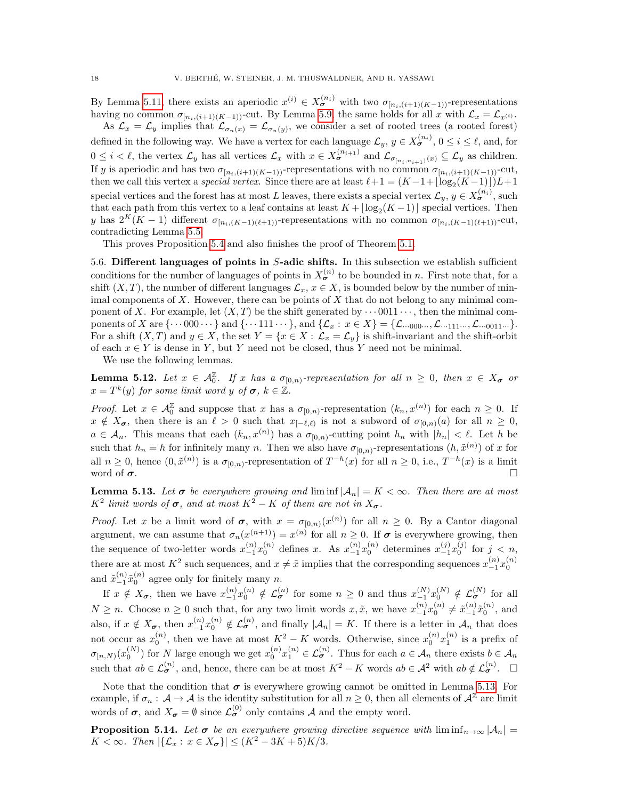By Lemma [5.11,](#page-16-6) there exists an aperiodic  $x^{(i)} \in X_{\sigma}^{(n_i)}$  with two  $\sigma_{[n_i,(i+1)(K-1))}$ -representations having no common  $\sigma_{[n_i,(i+1)(K-1))}$ -cut. By Lemma [5.9,](#page-15-0) the same holds for all x with  $\mathcal{L}_x = \mathcal{L}_{x^{(i)}}$ .

As  $\mathcal{L}_x = \mathcal{L}_y$  implies that  $\mathcal{L}_{\sigma_n(x)} = \mathcal{L}_{\sigma_n(y)}$ , we consider a set of rooted trees (a rooted forest) defined in the following way. We have a vertex for each language  $\mathcal{L}_y, y \in X_{\sigma}^{(n_i)}$ ,  $0 \le i \le \ell$ , and, for  $0 \leq i < \ell$ , the vertex  $\mathcal{L}_y$  has all vertices  $\mathcal{L}_x$  with  $x \in X_{\sigma}^{(n_{i+1})}$  and  $\mathcal{L}_{\sigma_{[n_i,n_{i+1})}(x)} \subseteq \mathcal{L}_y$  as children. If y is aperiodic and has two  $\sigma_{[n_i,(i+1)(K-1))}$ -representations with no common  $\sigma_{[n_i,(i+1)(K-1))}$ -cut, then we call this vertex a *special vertex*. Since there are at least  $\ell + 1 = (K - 1 + \lfloor \log_2(K - 1) \rfloor)L + 1$ special vertices and the forest has at most L leaves, there exists a special vertex  $\mathcal{L}_y, y \in X_{\sigma}^{(n_i)}$ , such that each path from this vertex to a leaf contains at least  $K + \lfloor \log_2(K - 1) \rfloor$  special vertices. Then y has  $2^K(K-1)$  different  $\sigma_{[n_i,(K-1)(\ell+1))}$ -representations with no common  $\sigma_{[n_i,(K-1)(\ell+1))}$ -cut, contradicting Lemma [5.5.](#page-13-2)

This proves Proposition [5.4](#page-13-0) and also finishes the proof of Theorem [5.1.](#page-12-0)

<span id="page-17-1"></span>5.6. Different languages of points in  $S$ -adic shifts. In this subsection we establish sufficient conditions for the number of languages of points in  $X_{\sigma}^{(n)}$  to be bounded in n. First note that, for a shift  $(X, T)$ , the number of different languages  $\mathcal{L}_x, x \in X$ , is bounded below by the number of minimal components of  $X$ . However, there can be points of  $X$  that do not belong to any minimal component of X. For example, let  $(X, T)$  be the shift generated by  $\cdots$  0011 $\cdots$ , then the minimal components of X are  $\{\cdots 000 \cdots\}$  and  $\{\cdots 111 \cdots\}$ , and  $\{\mathcal{L}_x : x \in X\} = \{\mathcal{L}_{\cdots 000} \cdots, \mathcal{L}_{\cdots 111} \cdots, \mathcal{L}_{\cdots 0011} \cdots\}$ . For a shift  $(X, T)$  and  $y \in X$ , the set  $Y = \{x \in X : \mathcal{L}_x = \mathcal{L}_y\}$  is shift-invariant and the shift-orbit of each  $x \in Y$  is dense in Y, but Y need not be closed, thus Y need not be minimal.

We use the following lemmas.

<span id="page-17-0"></span>**Lemma 5.12.** Let  $x \in \mathcal{A}_{0}^{\mathbb{Z}}$ . If x has a  $\sigma_{[0,n)}$ -representation for all  $n \geq 0$ , then  $x \in X_{\sigma}$  or  $x = T^k(y)$  for some limit word y of  $\sigma, k \in \mathbb{Z}$ .

*Proof.* Let  $x \in \mathcal{A}_{0}^{\mathbb{Z}}$  and suppose that x has a  $\sigma_{[0,n)}$ -representation  $(k_n, x^{(n)})$  for each  $n \geq 0$ . If  $x \notin X_{\sigma}$ , then there is an  $\ell > 0$  such that  $x_{[-\ell,\ell)}$  is not a subword of  $\sigma_{[0,n)}(a)$  for all  $n \geq 0$ ,  $a \in \mathcal{A}_n$ . This means that each  $(k_n, x^{(n)})$  has a  $\sigma_{[0,n)}$ -cutting point  $h_n$  with  $|h_n| < \ell$ . Let h be such that  $h_n = h$  for infinitely many n. Then we also have  $\sigma_{[0,n)}$ -representations  $(h, \tilde{x}^{(n)})$  of x for all  $n \geq 0$ , hence  $(0, \tilde{x}^{(n)})$  is a  $\sigma_{[0,n)}$ -representation of  $T^{-h}(x)$  for all  $n \geq 0$ , i.e.,  $T^{-h}(x)$  is a limit word of  $\sigma$ .

<span id="page-17-3"></span>**Lemma 5.13.** Let  $\sigma$  be everywhere growing and  $\liminf |\mathcal{A}_n| = K < \infty$ . Then there are at most  $K^2$  limit words of  $\sigma$ , and at most  $K^2 - K$  of them are not in  $X_{\sigma}$ .

*Proof.* Let x be a limit word of  $\sigma$ , with  $x = \sigma_{[0,n]}(x^{(n)})$  for all  $n \geq 0$ . By a Cantor diagonal argument, we can assume that  $\sigma_n(x^{(n+1)}) = x^{(n)}$  for all  $n \geq 0$ . If  $\sigma$  is everywhere growing, then the sequence of two-letter words  $x_{-1}^{(n)}x_0^{(n)}$  defines x. As  $x_{-1}^{(n)}x_0^{(n)}$  determines  $x_{-1}^{(j)}x_0^{(j)}$  for  $j < n$ , there are at most  $K^2$  such sequences, and  $x \neq \tilde{x}$  implies that the corresponding sequences  $x_{-1}^{(n)}x_0^{(n)}$ and  $\tilde{x}_{-1}^{(n)}\tilde{x}_0^{(n)}$  agree only for finitely many n. 0

If  $x \notin X_{\sigma}$ , then we have  $x_{-1}^{(n)}x_0^{(n)} \notin \mathcal{L}_{\sigma}^{(n)}$  for some  $n \geq 0$  and thus  $x_{-1}^{(N)}x_0^{(N)} \notin \mathcal{L}_{\sigma}^{(N)}$  for all  $N \geq n$ . Choose  $n \geq 0$  such that, for any two limit words  $x, \tilde{x}$ , we have  $x_{-1}^{(n)}x_0^{(n)} \neq \tilde{x}_{-1}^{(n)}\tilde{x}_0^{(n)}$ , and also, if  $x \notin X_{\sigma}$ , then  $x_{-1}^{(n)}x_0^{(n)} \notin \mathcal{L}_{\sigma}^{(n)}$ , and finally  $|\mathcal{A}_n| = K$ . If there is a letter in  $\mathcal{A}_n$  that does not occur as  $x_0^{(n)}$ , then we have at most  $K^2 - K$  words. Otherwise, since  $x_0^{(n)}x_1^{(n)}$  is a prefix of  $\sigma_{[n,N)}(x_0^{(N)})$  for N large enough we get  $x_0^{(n)}x_1^{(n)} \in \mathcal{L}_{\sigma}^{(n)}$ . Thus for each  $a \in \mathcal{A}_n$  there exists  $b \in \mathcal{A}_n$ such that  $ab \in \mathcal{L}_{\sigma}^{(n)}$ , and, hence, there can be at most  $K^2 - K$  words  $ab \in \mathcal{A}^2$  with  $ab \notin \mathcal{L}_{\sigma}^{(n)}$ .  $\square$ 

Note that the condition that  $\sigma$  is everywhere growing cannot be omitted in Lemma [5.13.](#page-17-3) For example, if  $\sigma_n : A \to A$  is the identity substitution for all  $n \geq 0$ , then all elements of  $A^{\mathbb{Z}}$  are limit words of  $\sigma$ , and  $X_{\sigma} = \emptyset$  since  $\mathcal{L}_{\sigma}^{(0)}$  only contains A and the empty word.

<span id="page-17-2"></span>**Proposition 5.14.** Let  $\sigma$  be an everywhere growing directive sequence with  $\liminf_{n\to\infty} |\mathcal{A}_n|$  $K < \infty$ . Then  $|\{\mathcal{L}_x : x \in X_{\sigma}\}| \leq (K^2 - 3K + 5)K/3$ .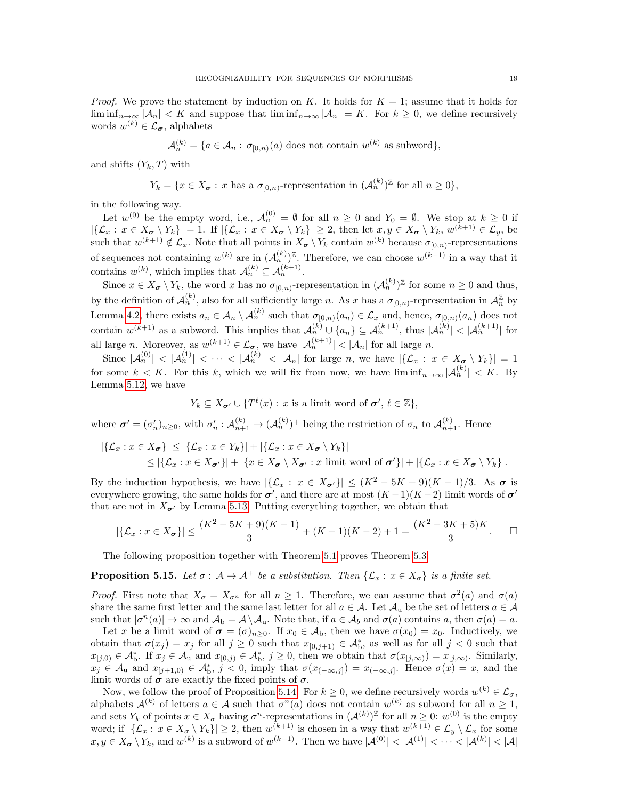*Proof.* We prove the statement by induction on K. It holds for  $K = 1$ ; assume that it holds for  $\liminf_{n\to\infty}$   $|\mathcal{A}_n| < K$  and suppose that  $\liminf_{n\to\infty}$   $|\mathcal{A}_n| = K$ . For  $k \geq 0$ , we define recursively words  $w^{(k)} \in \mathcal{L}_{\sigma}$ , alphabets

$$
\mathcal{A}_n^{(k)} = \{a \in \mathcal{A}_n : \sigma_{[0,n)}(a) \text{ does not contain } w^{(k)} \text{ as subword}\},
$$

and shifts  $(Y_k, T)$  with

$$
Y_k = \{x \in X_{\sigma} : x \text{ has a } \sigma_{[0,n)}\text{-representation in } (\mathcal{A}_n^{(k)})^{\mathbb{Z}} \text{ for all } n \geq 0\},
$$

in the following way.

Let  $w^{(0)}$  be the empty word, i.e.,  $\mathcal{A}_n^{(0)} = \emptyset$  for all  $n \geq 0$  and  $Y_0 = \emptyset$ . We stop at  $k \geq 0$  if  $|\{\mathcal{L}_x : x \in X_{\sigma} \setminus Y_k\}| = 1$ . If  $|\{\mathcal{L}_x : x \in X_{\sigma} \setminus Y_k\}| \geq 2$ , then let  $x, y \in X_{\sigma} \setminus Y_k$ ,  $w^{(k+1)} \in \mathcal{L}_y$ , be such that  $w^{(k+1)} \notin \mathcal{L}_x$ . Note that all points in  $X_{\sigma} \setminus Y_k$  contain  $w^{(k)}$  because  $\sigma_{[0,n)}$ -representations of sequences not containing  $w^{(k)}$  are in  $(\mathcal{A}_n^{(k)})^{\mathbb{Z}}$ . Therefore, we can choose  $w^{(k+1)}$  in a way that it contains  $w^{(k)}$ , which implies that  $\mathcal{A}_n^{(k)} \subseteq \mathcal{A}_n^{(k+1)}$ .

Since  $x \in X_{\sigma} \setminus Y_k$ , the word x has no  $\sigma_{[0,n)}$ -representation in  $(\mathcal{A}_n^{(k)})^{\mathbb{Z}}$  for some  $n \geq 0$  and thus, by the definition of  $\mathcal{A}_n^{(k)}$ , also for all sufficiently large n. As x has a  $\sigma_{[0,n)}$ -representation in  $\mathcal{A}_n^{\mathbb{Z}}$  by Lemma [4.2,](#page-10-4) there exists  $a_n \in \mathcal{A}_n \setminus \mathcal{A}_n^{(k)}$  such that  $\sigma_{[0,n)}(a_n) \in \mathcal{L}_x$  and, hence,  $\sigma_{[0,n)}(a_n)$  does not contain  $w^{(k+1)}$  as a subword. This implies that  $\mathcal{A}_n^{(k)} \cup \{a_n\} \subseteq \mathcal{A}_n^{(k+1)}$ , thus  $|\mathcal{A}_n^{(k)}| < |\mathcal{A}_n^{(k+1)}|$  for all large *n*. Moreover, as  $w^{(k+1)} \in \mathcal{L}_{\sigma}$ , we have  $|\mathcal{A}_n^{(k+1)}| < |\mathcal{A}_n|$  for all large *n*.

Since  $|{\cal A}^{(0)}_n| < |{\cal A}^{(1)}_n| < \cdots < |{\cal A}^{(k)}_n| < |{\cal A}_n|$  for large n, we have  $|\{{\cal L}_x : x \in X_{\sigma} \setminus Y_k\}| = 1$ for some  $k < K$ . For this k, which we will fix from now, we have  $\liminf_{n\to\infty} |\mathcal{A}_n^{(k)}| < K$ . By Lemma [5.12,](#page-17-0) we have

$$
Y_k \subseteq X_{\sigma'} \cup \{T^{\ell}(x) : x \text{ is a limit word of } \sigma', \ell \in \mathbb{Z}\},
$$

where  $\boldsymbol{\sigma}' = (\sigma'_n)_{n \geq 0}$ , with  $\sigma'_n : \mathcal{A}_{n+1}^{(k)} \to (\mathcal{A}_n^{(k)})^+$  being the restriction of  $\sigma_n$  to  $\mathcal{A}_{n+1}^{(k)}$ . Hence

$$
|\{\mathcal{L}_x : x \in X_{\sigma}\}| \le |\{\mathcal{L}_x : x \in Y_k\}| + |\{\mathcal{L}_x : x \in X_{\sigma} \setminus Y_k\}|
$$
  
\$\le |\{\mathcal{L}\_x : x \in X\_{\sigma'}\}| + |\{x \in X\_{\sigma} \setminus X\_{\sigma'} : x \text{ limit word of } \sigma'\}| + |\{\mathcal{L}\_x : x \in X\_{\sigma} \setminus Y\_k\}|.

By the induction hypothesis, we have  $|\{\mathcal{L}_x : x \in X_{\sigma'}\}| \leq (K^2 - 5K + 9)(K - 1)/3$ . As  $\sigma$  is everywhere growing, the same holds for  $\sigma'$ , and there are at most  $(K-1)(K-2)$  limit words of  $\sigma'$ that are not in  $X_{\sigma}$  by Lemma [5.13.](#page-17-3) Putting everything together, we obtain that

$$
|\{\mathcal{L}_x : x \in X_{\sigma}\}| \le \frac{(K^2 - 5K + 9)(K - 1)}{3} + (K - 1)(K - 2) + 1 = \frac{(K^2 - 3K + 5)K}{3}.
$$

The following proposition together with Theorem [5.1](#page-12-0) proves Theorem [5.3.](#page-12-1)

<span id="page-18-0"></span>**Proposition 5.15.** Let  $\sigma : A \to A^+$  be a substitution. Then  $\{\mathcal{L}_x : x \in X_{\sigma}\}\)$  is a finite set.

*Proof.* First note that  $X_{\sigma} = X_{\sigma^n}$  for all  $n \geq 1$ . Therefore, we can assume that  $\sigma^2(a)$  and  $\sigma(a)$ share the same first letter and the same last letter for all  $a \in \mathcal{A}$ . Let  $\mathcal{A}_u$  be the set of letters  $a \in \mathcal{A}$ such that  $|\sigma^n(a)| \to \infty$  and  $\mathcal{A}_b = \mathcal{A} \setminus \mathcal{A}_u$ . Note that, if  $a \in \mathcal{A}_b$  and  $\sigma(a)$  contains a, then  $\sigma(a) = a$ .

Let x be a limit word of  $\sigma = (\sigma)_{n \geq 0}$ . If  $x_0 \in A_b$ , then we have  $\sigma(x_0) = x_0$ . Inductively, we obtain that  $\sigma(x_j) = x_j$  for all  $j \geq 0$  such that  $x_{[0,j+1)} \in \mathcal{A}_{\text{b}}^*$ , as well as for all  $j < 0$  such that  $x_{[j,0)} \in \mathcal{A}_{\text{b}}^*$ . If  $x_j \in \mathcal{A}_{\text{u}}$  and  $x_{[0,j)} \in \mathcal{A}_{\text{b}}^*$ ,  $j \geq 0$ , then we obtain that  $\sigma(x_{[j,\infty)}) = x_{[j,\infty)}$ . Similarly,  $x_j \in \mathcal{A}_{\mathbf{u}}$  and  $x_{[j+1,0)} \in \mathcal{A}_{\mathbf{b}}^*$ ,  $j < 0$ , imply that  $\sigma(x_{(-\infty,j]}) = x_{(-\infty,j]}$ . Hence  $\sigma(x) = x$ , and the limit words of  $\sigma$  are exactly the fixed points of  $\sigma$ .

Now, we follow the proof of Proposition [5.14.](#page-17-2) For  $k \geq 0$ , we define recursively words  $w^{(k)} \in \mathcal{L}_{\sigma}$ , alphabets  $\mathcal{A}^{(k)}$  of letters  $a \in \mathcal{A}$  such that  $\sigma^n(a)$  does not contain  $w^{(k)}$  as subword for all  $n \geq 1$ , and sets  $Y_k$  of points  $x \in X_{\sigma}$  having  $\sigma^n$ -representations in  $({\cal A}^{(k)})^{\mathbb{Z}}$  for all  $n \geq 0$ :  $w^{(0)}$  is the empty word; if  $|\{\mathcal{L}_x : x \in X_\sigma \setminus Y_k\}| \geq 2$ , then  $w^{(k+1)}$  is chosen in a way that  $w^{(k+1)} \in \mathcal{L}_y \setminus \mathcal{L}_x$  for some  $x, y \in X_{\sigma} \setminus Y_k$ , and  $w^{(k)}$  is a subword of  $w^{(k+1)}$ . Then we have  $|\mathcal{A}^{(0)}| < |\mathcal{A}^{(1)}| < \cdots < |\mathcal{A}^{(k)}| < |\mathcal{A}|$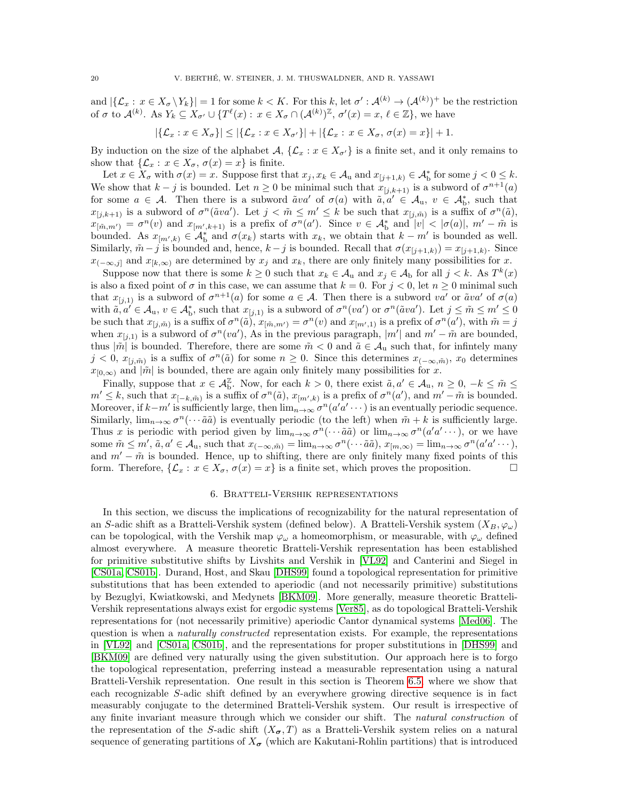and  $|\{\mathcal{L}_x : x \in X_\sigma \setminus Y_k\}| = 1$  for some  $k < K$ . For this k, let  $\sigma' : \mathcal{A}^{(k)} \to (\mathcal{A}^{(k)})^+$  be the restriction of  $\sigma$  to  $\mathcal{A}^{(k)}$ . As  $Y_k \subseteq X_{\sigma'} \cup \{T^{\ell}(x) : x \in X_{\sigma} \cap (\mathcal{A}^{(k)})^{\mathbb{Z}}, \sigma'(x) = x, \ell \in \mathbb{Z}\},\$ we have

$$
|\{\mathcal{L}_x : x \in X_\sigma\}| \le |\{\mathcal{L}_x : x \in X_{\sigma'}\}| + |\{\mathcal{L}_x : x \in X_\sigma, \sigma(x) = x\}| + 1.
$$

By induction on the size of the alphabet  $\mathcal{A}, \{\mathcal{L}_x : x \in X_{\sigma'}\}$  is a finite set, and it only remains to show that  $\{\mathcal{L}_x : x \in X_\sigma, \sigma(x) = x\}$  is finite.

Let  $x \in X_{\sigma}$  with  $\sigma(x) = x$ . Suppose first that  $x_j, x_k \in A_u$  and  $x_{[j+1,k)} \in A_b^*$  for some  $j < 0 \leq k$ . We show that  $k - j$  is bounded. Let  $n \geq 0$  be minimal such that  $x_{[j,k+1)}$  is a subword of  $\sigma^{n+1}(a)$ for some  $a \in \mathcal{A}$ . Then there is a subword  $\tilde{a}va'$  of  $\sigma(a)$  with  $\tilde{a}, a' \in \mathcal{A}_u$ ,  $v \in \mathcal{A}_b^*$ , such that  $x_{[j,k+1)}$  is a subword of  $\sigma^n(\tilde{a}va')$ . Let  $j < \tilde{m} \leq m' \leq k$  be such that  $x_{[j,\tilde{m})}$  is a suffix of  $\sigma^n(\tilde{a})$ ,  $x_{\lfloor \tilde{m},m'\rfloor} = \sigma^n(v)$  and  $x_{\lfloor m',k+1\rceil}$  is a prefix of  $\sigma^n(a')$ . Since  $v \in A_b^*$  and  $|v| < |\sigma(a)|$ ,  $m' - \tilde{m}$  is bounded. As  $x_{[m',k)} \in \mathcal{A}_{\text{b}}^*$  and  $\sigma(x_k)$  starts with  $x_k$ , we obtain that  $k - m'$  is bounded as well. Similarly,  $\tilde{m} - j$  is bounded and, hence,  $k - j$  is bounded. Recall that  $\sigma(x_{[j+1,k)}) = x_{[j+1,k)}$ . Since  $x_{(-\infty,j]}$  and  $x_{[k,\infty)}$  are determined by  $x_j$  and  $x_k$ , there are only finitely many possibilities for x.

Suppose now that there is some  $k \geq 0$  such that  $x_k \in A_u$  and  $x_j \in A_b$  for all  $j < k$ . As  $T^k(x)$ is also a fixed point of  $\sigma$  in this case, we can assume that  $k = 0$ . For  $j < 0$ , let  $n \ge 0$  minimal such that  $x_{[j,1)}$  is a subword of  $\sigma^{n+1}(a)$  for some  $a \in \mathcal{A}$ . Then there is a subword va' or  $\tilde{a}va'$  of  $\sigma(a)$ with  $\tilde{a}, a' \in \mathcal{A}_{u}, v \in \mathcal{A}_{b}^{*}$ , such that  $x_{[j,1)}$  is a subword of  $\sigma^{n}(va')$  or  $\sigma^{n}(\tilde{a}va')$ . Let  $j \leq \tilde{m} \leq m' \leq 0$ be such that  $x_{[j,\tilde{m})}$  is a suffix of  $\sigma^n(\tilde{a})$ ,  $x_{[\tilde{m},m')} = \sigma^n(v)$  and  $x_{[m',1)}$  is a prefix of  $\sigma^n(a')$ , with  $\tilde{m} = j$ when  $x_{[j,1)}$  is a subword of  $\sigma^n(va')$ , As in the previous paragraph, |m'| and  $m'-\tilde{m}$  are bounded, thus  $|\tilde{m}|$  is bounded. Therefore, there are some  $\tilde{m} < 0$  and  $\tilde{a} \in A_u$  such that, for infinitely many  $j < 0$ ,  $x_{[j,\tilde{m})}$  is a suffix of  $\sigma^{n}(\tilde{a})$  for some  $n \geq 0$ . Since this determines  $x_{(-\infty,\tilde{m})}$ ,  $x_0$  determines  $x_{[0,\infty)}$  and  $|\tilde{m}|$  is bounded, there are again only finitely many possibilities for x.

Finally, suppose that  $x \in \mathcal{A}_{\text{b}}^{\mathbb{Z}}$ . Now, for each  $k > 0$ , there exist  $\tilde{a}, a' \in \mathcal{A}_{\text{u}}, n \geq 0, -k \leq \tilde{m} \leq$  $m' \leq k$ , such that  $x_{[-k,\tilde{m})}$  is a suffix of  $\sigma^{n}(\tilde{a})$ ,  $x_{[m',k)}$  is a prefix of  $\sigma^{n}(a')$ , and  $m'-\tilde{m}$  is bounded. Moreover, if  $k-m'$  is sufficiently large, then  $\lim_{n\to\infty} \sigma^n(a'a'\cdots)$  is an eventually periodic sequence. Similarly,  $\lim_{n\to\infty} \sigma^n(\cdots \tilde{a}\tilde{a})$  is eventually periodic (to the left) when  $\tilde{m}+k$  is sufficiently large. Thus x is periodic with period given by  $\lim_{n\to\infty} \sigma^n(\cdots \tilde{a}\tilde{a})$  or  $\lim_{n\to\infty} \sigma^n(a'a'\cdots)$ , or we have some  $\tilde{m} \leq m'$ ,  $\tilde{a}, a' \in A_u$ , such that  $x_{(-\infty,\tilde{m})} = \lim_{n \to \infty} \sigma^n(\cdots \tilde{a}\tilde{a})$ ,  $x_{[m,\infty)} = \lim_{n \to \infty} \sigma^n(a'a' \cdots)$ , and  $m' - \tilde{m}$  is bounded. Hence, up to shifting, there are only finitely many fixed points of this form. Therefore,  $\{\mathcal{L}_x : x \in X_{\sigma}, \sigma(x) = x\}$  is a finite set, which proves the proposition.

### 6. Bratteli-Vershik representations

<span id="page-19-0"></span>In this section, we discuss the implications of recognizability for the natural representation of an S-adic shift as a Bratteli-Vershik system (defined below). A Bratteli-Vershik system  $(X_B, \varphi_\omega)$ can be topological, with the Vershik map  $\varphi_{\omega}$  a homeomorphism, or measurable, with  $\varphi_{\omega}$  defined almost everywhere. A measure theoretic Bratteli-Vershik representation has been established for primitive substitutive shifts by Livshits and Vershik in [\[VL92\]](#page-27-4) and Canterini and Siegel in [\[CS01a,](#page-26-9) [CS01b\]](#page-26-10). Durand, Host, and Skau [\[DHS99\]](#page-26-11) found a topological representation for primitive substitutions that has been extended to aperiodic (and not necessarily primitive) substitutions by Bezuglyi, Kwiatkowski, and Medynets [\[BKM09\]](#page-26-1). More generally, measure theoretic Bratteli-Vershik representations always exist for ergodic systems [\[Ver85\]](#page-27-7), as do topological Bratteli-Vershik representations for (not necessarily primitive) aperiodic Cantor dynamical systems [\[Med06\]](#page-26-24). The question is when a *naturally constructed* representation exists. For example, the representations in [\[VL92\]](#page-27-4) and [\[CS01a,](#page-26-9) [CS01b\]](#page-26-10), and the representations for proper substitutions in [\[DHS99\]](#page-26-11) and [\[BKM09\]](#page-26-1) are defined very naturally using the given substitution. Our approach here is to forgo the topological representation, preferring instead a measurable representation using a natural Bratteli-Vershik representation. One result in this section is Theorem [6.5,](#page-22-0) where we show that each recognizable S-adic shift defined by an everywhere growing directive sequence is in fact measurably conjugate to the determined Bratteli-Vershik system. Our result is irrespective of any finite invariant measure through which we consider our shift. The natural construction of the representation of the S-adic shift  $(X_{\sigma},T)$  as a Bratteli-Vershik system relies on a natural sequence of generating partitions of  $X_{\sigma}$  (which are Kakutani-Rohlin partitions) that is introduced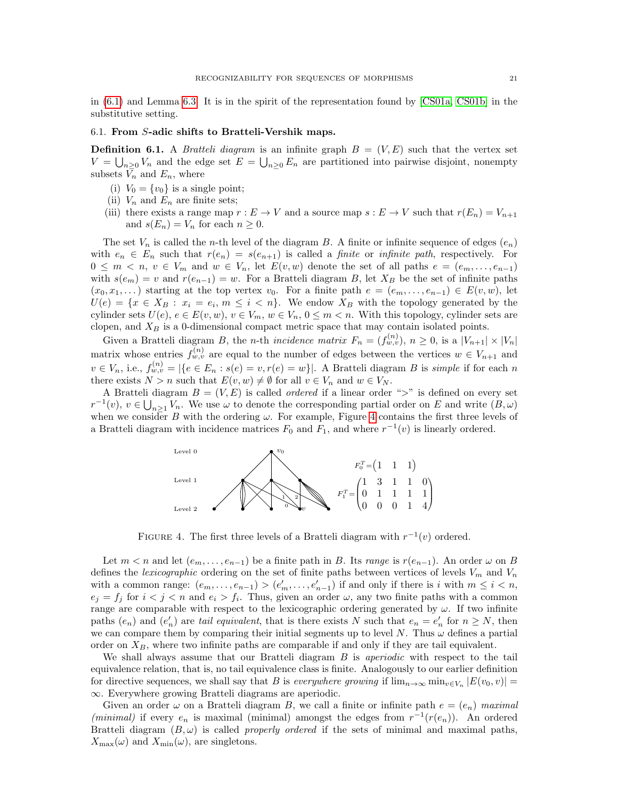in [\(6.1\)](#page-21-0) and Lemma [6.3.](#page-22-1) It is in the spirit of the representation found by [\[CS01a,](#page-26-9) [CS01b\]](#page-26-10) in the substitutive setting.

# 6.1. From S-adic shifts to Bratteli-Vershik maps.

**Definition 6.1.** A *Bratteli diagram* is an infinite graph  $B = (V, E)$  such that the vertex set  $V = \bigcup_{n\geq 0} V_n$  and the edge set  $E = \bigcup_{n\geq 0} E_n$  are partitioned into pairwise disjoint, nonempty subsets  $\bar{V}_n$  and  $E_n$ , where

- (i)  $V_0 = \{v_0\}$  is a single point;
- (ii)  $V_n$  and  $E_n$  are finite sets;
- (iii) there exists a range map  $r : E \to V$  and a source map  $s : E \to V$  such that  $r(E_n) = V_{n+1}$ and  $s(E_n) = V_n$  for each  $n \geq 0$ .

The set  $V_n$  is called the *n*-th level of the diagram B. A finite or infinite sequence of edges  $(e_n)$ with  $e_n \in E_n$  such that  $r(e_n) = s(e_{n+1})$  is called a *finite* or *infinite path*, respectively. For  $0 \leq m \leq n, v \in V_m$  and  $w \in V_n$ , let  $E(v, w)$  denote the set of all paths  $e = (e_m, \ldots, e_{n-1})$ with  $s(e_m) = v$  and  $r(e_{n-1}) = w$ . For a Bratteli diagram B, let  $X_B$  be the set of infinite paths  $(x_0, x_1, \ldots)$  starting at the top vertex  $v_0$ . For a finite path  $e = (e_m, \ldots, e_{n-1}) \in E(v, w)$ , let  $U(e) = \{x \in X_B : x_i = e_i, m \leq i < n\}.$  We endow  $X_B$  with the topology generated by the cylinder sets  $U(e)$ ,  $e \in E(v, w)$ ,  $v \in V_m$ ,  $w \in V_n$ ,  $0 \leq m < n$ . With this topology, cylinder sets are clopen, and  $X_B$  is a 0-dimensional compact metric space that may contain isolated points.

Given a Bratteli diagram B, the *n*-th incidence matrix  $F_n = (f_{w,v}^{(n)}), n \ge 0$ , is a  $|V_{n+1}| \times |V_n|$ matrix whose entries  $f_{w,v}^{(n)}$  are equal to the number of edges between the vertices  $w \in V_{n+1}$  and  $v \in V_n$ , i.e.,  $f_{w,v}^{(n)} = |\{e \in E_n : s(e) = v, r(e) = w\}|$ . A Bratteli diagram B is simple if for each n there exists  $N > n$  such that  $E(v, w) \neq \emptyset$  for all  $v \in V_n$  and  $w \in V_N$ .

A Bratteli diagram  $B = (V, E)$  is called *ordered* if a linear order ">" is defined on every set  $r^{-1}(v)$ ,  $v \in \bigcup_{n\geq 1} V_n$ . We use  $\omega$  to denote the corresponding partial order on E and write  $(B,\omega)$ when we consider B with the ordering  $\omega$ . For example, Figure [4](#page-20-0) contains the first three levels of a Bratteli diagram with incidence matrices  $F_0$  and  $F_1$ , and where  $r^{-1}(v)$  is linearly ordered.



<span id="page-20-0"></span>FIGURE 4. The first three levels of a Bratteli diagram with  $r^{-1}(v)$  ordered.

Let  $m < n$  and let  $(e_m, \ldots, e_{n-1})$  be a finite path in B. Its range is  $r(e_{n-1})$ . An order  $\omega$  on B defines the *lexicographic* ordering on the set of finite paths between vertices of levels  $V_m$  and  $V_n$ with a common range:  $(e_m, \ldots, e_{n-1}) > (e'_m, \ldots, e'_{n-1})$  if and only if there is i with  $m \leq i < n$ ,  $e_j = f_j$  for  $i < j < n$  and  $e_i > f_i$ . Thus, given an order  $\omega$ , any two finite paths with a common range are comparable with respect to the lexicographic ordering generated by  $\omega$ . If two infinite paths  $(e_n)$  and  $(e'_n)$  are tail equivalent, that is there exists N such that  $e_n = e'_n$  for  $n \geq N$ , then we can compare them by comparing their initial segments up to level  $N$ . Thus  $\omega$  defines a partial order on  $X_B$ , where two infinite paths are comparable if and only if they are tail equivalent.

We shall always assume that our Bratteli diagram B is *aperiodic* with respect to the tail equivalence relation, that is, no tail equivalence class is finite. Analogously to our earlier definition for directive sequences, we shall say that B is *everywhere growing* if  $\lim_{n\to\infty} \min_{v\in V_n} |E(v_0, v)| =$ ∞. Everywhere growing Bratteli diagrams are aperiodic.

Given an order  $\omega$  on a Bratteli diagram B, we call a finite or infinite path  $e = (e_n)$  maximal (minimal) if every  $e_n$  is maximal (minimal) amongst the edges from  $r^{-1}(r(e_n))$ . An ordered Bratteli diagram  $(B, \omega)$  is called *properly ordered* if the sets of minimal and maximal paths,  $X_{\text{max}}(\omega)$  and  $X_{\text{min}}(\omega)$ , are singletons.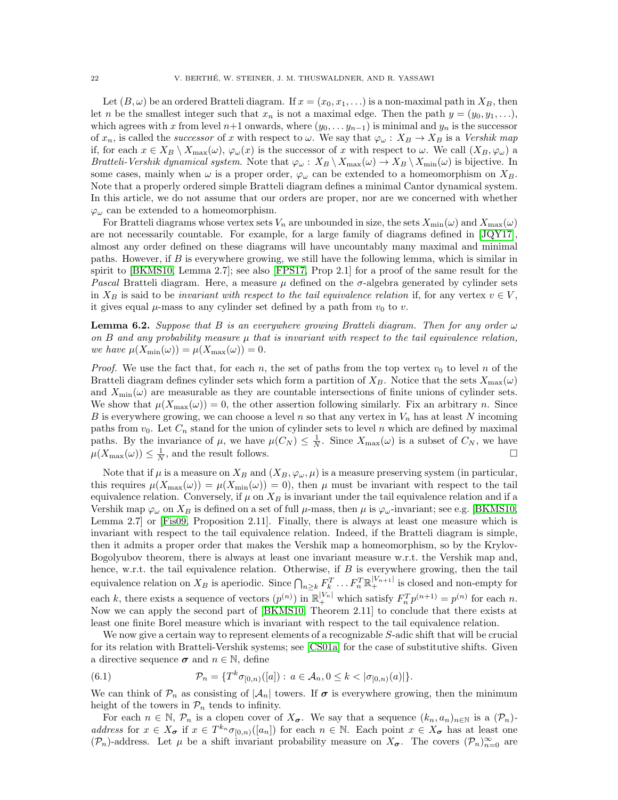Let  $(B, \omega)$  be an ordered Bratteli diagram. If  $x = (x_0, x_1, \ldots)$  is a non-maximal path in  $X_B$ , then let n be the smallest integer such that  $x_n$  is not a maximal edge. Then the path  $y = (y_0, y_1, \ldots)$ , which agrees with x from level n+1 onwards, where  $(y_0, \ldots, y_{n-1})$  is minimal and  $y_n$  is the successor of  $x_n$ , is called the *successor* of x with respect to  $\omega$ . We say that  $\varphi_{\omega}: X_B \to X_B$  is a Vershik map if, for each  $x \in X_B \setminus X_{\max}(\omega)$ ,  $\varphi_\omega(x)$  is the successor of x with respect to  $\omega$ . We call  $(X_B, \varphi_\omega)$  a Bratteli-Vershik dynamical system. Note that  $\varphi_{\omega}: X_B \setminus X_{\max}(\omega) \to X_B \setminus X_{\min}(\omega)$  is bijective. In some cases, mainly when  $\omega$  is a proper order,  $\varphi_{\omega}$  can be extended to a homeomorphism on  $X_B$ . Note that a properly ordered simple Bratteli diagram defines a minimal Cantor dynamical system. In this article, we do not assume that our orders are proper, nor are we concerned with whether  $\varphi_{\omega}$  can be extended to a homeomorphism.

For Bratteli diagrams whose vertex sets  $V_n$  are unbounded in size, the sets  $X_{\min}(\omega)$  and  $X_{\max}(\omega)$ are not necessarily countable. For example, for a large family of diagrams defined in [\[JQY17\]](#page-26-25), almost any order defined on these diagrams will have uncountably many maximal and minimal paths. However, if B is everywhere growing, we still have the following lemma, which is similar in spirit to [\[BKMS10,](#page-26-26) Lemma 2.7]; see also [\[FPS17,](#page-26-27) Prop 2.1] for a proof of the same result for the Pascal Bratteli diagram. Here, a measure  $\mu$  defined on the  $\sigma$ -algebra generated by cylinder sets in  $X_B$  is said to be invariant with respect to the tail equivalence relation if, for any vertex  $v \in V$ , it gives equal  $\mu$ -mass to any cylinder set defined by a path from  $v_0$  to v.

<span id="page-21-1"></span>**Lemma 6.2.** Suppose that B is an everywhere growing Bratteli diagram. Then for any order  $\omega$ on  $B$  and any probability measure  $\mu$  that is invariant with respect to the tail equivalence relation, we have  $\mu(X_{\min}(\omega)) = \mu(X_{\max}(\omega)) = 0.$ 

*Proof.* We use the fact that, for each n, the set of paths from the top vertex  $v_0$  to level n of the Bratteli diagram defines cylinder sets which form a partition of  $X_B$ . Notice that the sets  $X_{\text{max}}(\omega)$ and  $X_{\text{min}}(\omega)$  are measurable as they are countable intersections of finite unions of cylinder sets. We show that  $\mu(X_{\max}(\omega)) = 0$ , the other assertion following similarly. Fix an arbitrary n. Since B is everywhere growing, we can choose a level n so that any vertex in  $V_n$  has at least N incoming paths from  $v_0$ . Let  $C_n$  stand for the union of cylinder sets to level n which are defined by maximal paths. By the invariance of  $\mu$ , we have  $\mu(C_N) \leq \frac{1}{N}$ . Since  $X_{\max}(\omega)$  is a subset of  $C_N$ , we have  $\mu(X_{\max}(\omega)) \leq \frac{1}{N}$ , and the result follows.

Note that if  $\mu$  is a measure on  $X_B$  and  $(X_B, \varphi_\omega, \mu)$  is a measure preserving system (in particular, this requires  $\mu(X_{\max}(\omega)) = \mu(X_{\min}(\omega)) = 0$ , then  $\mu$  must be invariant with respect to the tail equivalence relation. Conversely, if  $\mu$  on  $X_B$  is invariant under the tail equivalence relation and if a Vershik map  $\varphi_\omega$  on  $X_B$  is defined on a set of full  $\mu$ -mass, then  $\mu$  is  $\varphi_\omega$ -invariant; see e.g. [\[BKMS10,](#page-26-26) Lemma 2.7] or [\[Fis09,](#page-26-28) Proposition 2.11]. Finally, there is always at least one measure which is invariant with respect to the tail equivalence relation. Indeed, if the Bratteli diagram is simple, then it admits a proper order that makes the Vershik map a homeomorphism, so by the Krylov-Bogolyubov theorem, there is always at least one invariant measure w.r.t. the Vershik map and, hence, w.r.t. the tail equivalence relation. Otherwise, if B is everywhere growing, then the tail equivalence relation on  $X_B$  is aperiodic. Since  $\bigcap_{n\geq k} F_k^T \dots F_n^T \mathbb{R}^{|V_{n+1}|}_+$  is closed and non-empty for each k, there exists a sequence of vectors  $(p^{(n)})$  in  $\mathbb{R}^{|V_n|}_+$  which satisfy  $F_n^T p^{(n+1)} = p^{(n)}$  for each n. Now we can apply the second part of [\[BKMS10,](#page-26-26) Theorem 2.11] to conclude that there exists at least one finite Borel measure which is invariant with respect to the tail equivalence relation.

We now give a certain way to represent elements of a recognizable S-adic shift that will be crucial for its relation with Bratteli-Vershik systems; see [\[CS01a\]](#page-26-9) for the case of substitutive shifts. Given a directive sequence  $\sigma$  and  $n \in \mathbb{N}$ , define

<span id="page-21-0"></span>(6.1) 
$$
\mathcal{P}_n = \{ T^k \sigma_{[0,n)}([a]) : a \in \mathcal{A}_n, 0 \le k < |\sigma_{[0,n)}(a)| \}.
$$

We can think of  $\mathcal{P}_n$  as consisting of  $|\mathcal{A}_n|$  towers. If  $\sigma$  is everywhere growing, then the minimum height of the towers in  $\mathcal{P}_n$  tends to infinity.

For each  $n \in \mathbb{N}$ ,  $\mathcal{P}_n$  is a clopen cover of  $X_{\sigma}$ . We say that a sequence  $(k_n, a_n)_{n \in \mathbb{N}}$  is a  $(\mathcal{P}_n)$ address for  $x \in X_{\sigma}$  if  $x \in T^{k_n} \sigma_{[0,n)}([a_n])$  for each  $n \in \mathbb{N}$ . Each point  $x \in X_{\sigma}$  has at least one  $(\mathcal{P}_n)$ -address. Let  $\mu$  be a shift invariant probability measure on  $X_{\sigma}$ . The covers  $(\mathcal{P}_n)_{n=0}^{\infty}$  are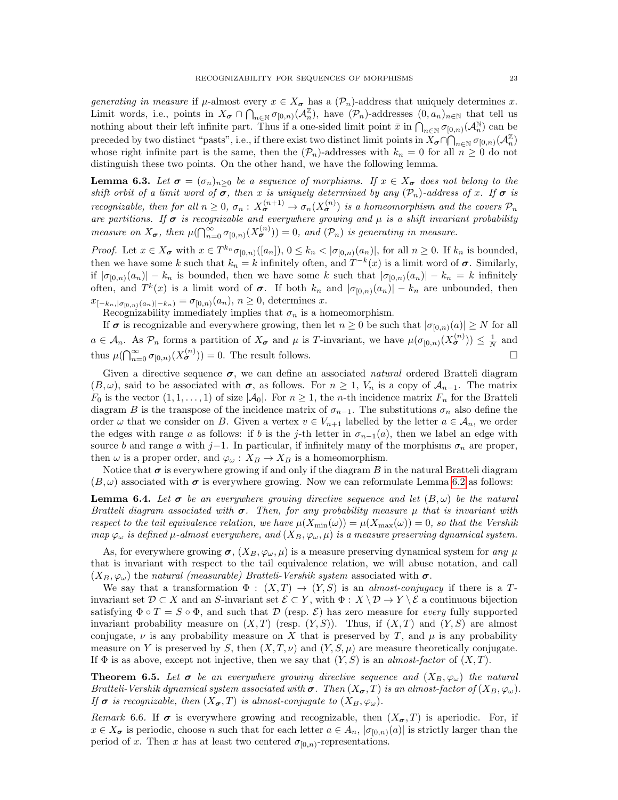generating in measure if  $\mu$ -almost every  $x \in X_{\sigma}$  has a  $(\mathcal{P}_n)$ -address that uniquely determines x. Limit words, i.e., points in  $X_{\sigma} \cap \bigcap_{n \in \mathbb{N}} \sigma_{[0,n)}(\mathcal{A}_n^{\mathbb{Z}})$ , have  $(\mathcal{P}_n)$ -addresses  $(0, a_n)_{n \in \mathbb{N}}$  that tell us nothing about their left infinite part. Thus if a one-sided limit point  $\bar{x}$  in  $\bigcap_{n\in\mathbb{N}}\sigma_{[0,n)}(\mathcal{A}_n^{\mathbb{N}})$  can be preceded by two distinct "pasts", i.e., if there exist two distinct limit points in  $X_{\sigma} \cap \bigcap_{n \in \mathbb{N}} \sigma_{[0,n)}(\mathcal{A}_n^{\mathbb{Z}})$ whose right infinite part is the same, then the  $(\mathcal{P}_n)$ -addresses with  $k_n = 0$  for all  $n \geq 0$  do not distinguish these two points. On the other hand, we have the following lemma.

<span id="page-22-1"></span>**Lemma 6.3.** Let  $\sigma = (\sigma_n)_{n>0}$  be a sequence of morphisms. If  $x \in X_{\sigma}$  does not belong to the shift orbit of a limit word of  $\sigma$ , then x is uniquely determined by any  $(\mathcal{P}_n)$ -address of x. If  $\sigma$  is recognizable, then for all  $n \geq 0$ ,  $\sigma_n : X_{\sigma}^{(n+1)} \to \sigma_n(X_{\sigma}^{(n)})$  is a homeomorphism and the covers  $\mathcal{P}_n$ are partitions. If  $\sigma$  is recognizable and everywhere growing and  $\mu$  is a shift invariant probability measure on  $X_{\sigma}$ , then  $\mu(\bigcap_{n=0}^{\infty} \sigma_{[0,n)}(X_{\sigma}^{(n)})=0$ , and  $(\mathcal{P}_n)$  is generating in measure.

*Proof.* Let  $x \in X_{\sigma}$  with  $x \in T^{k_n} \sigma_{[0,n)}([a_n])$ ,  $0 \leq k_n < |\sigma_{[0,n)}(a_n)|$ , for all  $n \geq 0$ . If  $k_n$  is bounded, then we have some k such that  $k_n = k$  infinitely often, and  $T^{-k}(x)$  is a limit word of  $\sigma$ . Similarly, if  $|\sigma_{[0,n)}(a_n)| - k_n$  is bounded, then we have some k such that  $|\sigma_{[0,n)}(a_n)| - k_n = k$  infinitely often, and  $T^k(x)$  is a limit word of  $\sigma$ . If both  $k_n$  and  $|\sigma_{[0,n)}(a_n)| - k_n$  are unbounded, then  $x_{[-k_n, \mid \sigma_{[0,n)}(a_n)|-k_n)} = \sigma_{[0,n)}(a_n), n \geq 0$ , determines x.

Recognizability immediately implies that  $\sigma_n$  is a homeomorphism.

If  $\sigma$  is recognizable and everywhere growing, then let  $n \geq 0$  be such that  $|\sigma_{[0,n)}(a)| \geq N$  for all  $a \in \mathcal{A}_n$ . As  $\mathcal{P}_n$  forms a partition of  $X_{\sigma}$  and  $\mu$  is T-invariant, we have  $\mu(\sigma_{[0,n)}(X_{\sigma}^{(n)})) \leq \frac{1}{N}$  and thus  $\mu(\bigcap_{n=0}^{\infty} \sigma_{[0,n)}(X_{\sigma}^{(n)}) ) = 0$ . The result follows.

Given a directive sequence  $\sigma$ , we can define an associated *natural* ordered Bratteli diagram  $(B, \omega)$ , said to be associated with  $\sigma$ , as follows. For  $n \geq 1$ ,  $V_n$  is a copy of  $\mathcal{A}_{n-1}$ . The matrix  $F_0$  is the vector  $(1, 1, \ldots, 1)$  of size  $|\mathcal{A}_0|$ . For  $n \geq 1$ , the *n*-th incidence matrix  $F_n$  for the Bratteli diagram B is the transpose of the incidence matrix of  $\sigma_{n-1}$ . The substitutions  $\sigma_n$  also define the order  $\omega$  that we consider on B. Given a vertex  $v \in V_{n+1}$  labelled by the letter  $a \in A_n$ , we order the edges with range a as follows: if b is the j-th letter in  $\sigma_{n-1}(a)$ , then we label an edge with source b and range a with j−1. In particular, if infinitely many of the morphisms  $\sigma_n$  are proper, then  $\omega$  is a proper order, and  $\varphi_{\omega}: X_B \to X_B$  is a homeomorphism.

Notice that  $\sigma$  is everywhere growing if and only if the diagram B in the natural Bratteli diagram  $(B,\omega)$  associated with  $\sigma$  is everywhere growing. Now we can reformulate Lemma [6.2](#page-21-1) as follows:

**Lemma 6.4.** Let  $\sigma$  be an everywhere growing directive sequence and let  $(B, \omega)$  be the natural Bratteli diagram associated with  $\sigma$ . Then, for any probability measure  $\mu$  that is invariant with respect to the tail equivalence relation, we have  $\mu(X_{\min}(\omega)) = \mu(X_{\max}(\omega)) = 0$ , so that the Vershik map  $\varphi_{\omega}$  is defined  $\mu$ -almost everywhere, and  $(X_B, \varphi_{\omega}, \mu)$  is a measure preserving dynamical system.

As, for everywhere growing  $\sigma$ ,  $(X_B, \varphi_\omega, \mu)$  is a measure preserving dynamical system for any  $\mu$ that is invariant with respect to the tail equivalence relation, we will abuse notation, and call  $(X_B, \varphi_\omega)$  the natural (measurable) Bratteli-Vershik system associated with  $\sigma$ .

We say that a transformation  $\Phi : (X,T) \to (Y,S)$  is an *almost-conjugacy* if there is a Tinvariant set  $\mathcal{D} \subset X$  and an S-invariant set  $\mathcal{E} \subset Y$ , with  $\Phi : X \setminus \mathcal{D} \to Y \setminus \mathcal{E}$  a continuous bijection satisfying  $\Phi \circ T = S \circ \Phi$ , and such that D (resp.  $\mathcal{E}$ ) has zero measure for *every* fully supported invariant probability measure on  $(X, T)$  (resp.  $(Y, S)$ ). Thus, if  $(X, T)$  and  $(Y, S)$  are almost conjugate,  $\nu$  is any probability measure on X that is preserved by T, and  $\mu$  is any probability measure on Y is preserved by S, then  $(X, T, \nu)$  and  $(Y, S, \mu)$  are measure theoretically conjugate. If  $\Phi$  is as above, except not injective, then we say that  $(Y, S)$  is an almost-factor of  $(X, T)$ .

<span id="page-22-0"></span>**Theorem 6.5.** Let  $\sigma$  be an everywhere growing directive sequence and  $(X_B, \varphi_\omega)$  the natural Bratteli-Vershik dynamical system associated with  $\sigma$ . Then  $(X_{\sigma}, T)$  is an almost-factor of  $(X_B, \varphi_{\omega})$ . If  $\sigma$  is recognizable, then  $(X_{\sigma}, T)$  is almost-conjugate to  $(X_B, \varphi_{\omega})$ .

Remark 6.6. If  $\sigma$  is everywhere growing and recognizable, then  $(X_{\sigma},T)$  is aperiodic. For, if  $x \in X_{\sigma}$  is periodic, choose n such that for each letter  $a \in A_n$ ,  $|\sigma_{[0,n)}(a)|$  is strictly larger than the period of x. Then x has at least two centered  $\sigma_{[0,n)}$ -representations.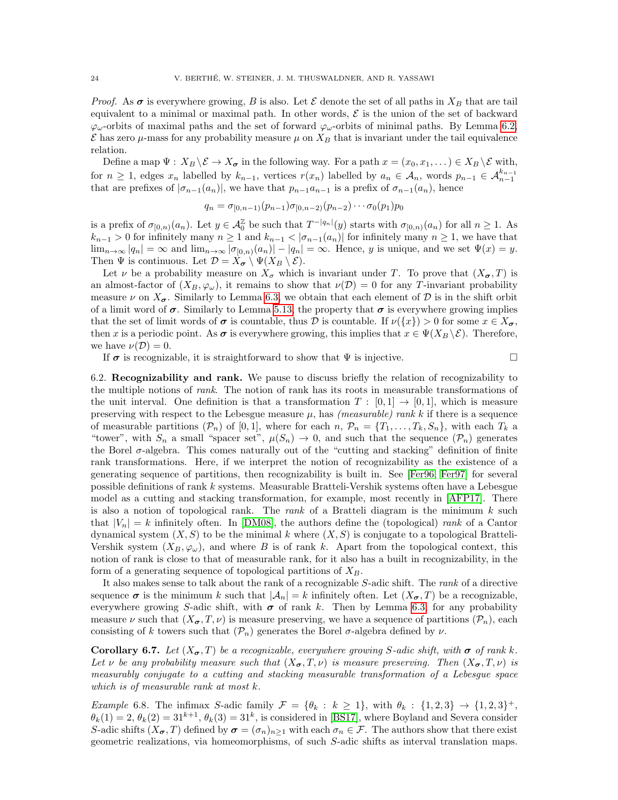*Proof.* As  $\sigma$  is everywhere growing, B is also. Let  $\mathcal E$  denote the set of all paths in  $X_B$  that are tail equivalent to a minimal or maximal path. In other words,  $\mathcal E$  is the union of the set of backward  $\varphi_{\omega}$ -orbits of maximal paths and the set of forward  $\varphi_{\omega}$ -orbits of minimal paths. By Lemma [6.2,](#page-21-1)  $\mathcal E$  has zero  $\mu$ -mass for any probability measure  $\mu$  on  $X_B$  that is invariant under the tail equivalence relation.

Define a map  $\Psi : X_B \backslash \mathcal{E} \to X_{\sigma}$  in the following way. For a path  $x = (x_0, x_1, \dots) \in X_B \backslash \mathcal{E}$  with, for  $n \geq 1$ , edges  $x_n$  labelled by  $k_{n-1}$ , vertices  $r(x_n)$  labelled by  $a_n \in \mathcal{A}_n$ , words  $p_{n-1} \in \mathcal{A}_{n-1}^{k_{n-1}}$ that are prefixes of  $|\sigma_{n-1}(a_n)|$ , we have that  $p_{n-1}a_{n-1}$  is a prefix of  $\sigma_{n-1}(a_n)$ , hence

$$
q_n = \sigma_{[0,n-1)}(p_{n-1})\sigma_{[0,n-2)}(p_{n-2})\cdots\sigma_0(p_1)p_0
$$

is a prefix of  $\sigma_{[0,n)}(a_n)$ . Let  $y \in \mathcal{A}_{0}^{\mathbb{Z}}$  be such that  $T^{-|q_n|}(y)$  starts with  $\sigma_{[0,n)}(a_n)$  for all  $n \geq 1$ . As  $k_{n-1} > 0$  for infinitely many  $n \ge 1$  and  $k_{n-1} < |\sigma_{n-1}(a_n)|$  for infinitely many  $n \ge 1$ , we have that  $\lim_{n\to\infty} |q_n| = \infty$  and  $\lim_{n\to\infty} |\sigma_{[0,n)}(a_n)| - |q_n| = \infty$ . Hence, y is unique, and we set  $\Psi(x) = y$ . Then  $\Psi$  is continuous. Let  $\mathcal{D} = X_{\sigma} \setminus \Psi(X_B \setminus \mathcal{E}).$ 

Let  $\nu$  be a probability measure on  $X_{\sigma}$  which is invariant under T. To prove that  $(X_{\sigma}, T)$  is an almost-factor of  $(X_B, \varphi_\omega)$ , it remains to show that  $\nu(\mathcal{D}) = 0$  for any T-invariant probability measure  $\nu$  on  $X_{\sigma}$ . Similarly to Lemma [6.3,](#page-22-1) we obtain that each element of  $\mathcal D$  is in the shift orbit of a limit word of  $\sigma$ . Similarly to Lemma [5.13,](#page-17-3) the property that  $\sigma$  is everywhere growing implies that the set of limit words of  $\sigma$  is countable, thus D is countable. If  $\nu({x}) > 0$  for some  $x \in X_{\sigma}$ , then x is a periodic point. As  $\sigma$  is everywhere growing, this implies that  $x \in \Psi(X_B \setminus \mathcal{E})$ . Therefore, we have  $\nu(\mathcal{D})=0$ .

If  $\sigma$  is recognizable, it is straightforward to show that  $\Psi$  is injective.

6.2. Recognizability and rank. We pause to discuss briefly the relation of recognizability to the multiple notions of rank. The notion of rank has its roots in measurable transformations of the unit interval. One definition is that a transformation  $T : [0,1] \rightarrow [0,1]$ , which is measure preserving with respect to the Lebesgue measure  $\mu$ , has *(measurable) rank k* if there is a sequence of measurable partitions  $(\mathcal{P}_n)$  of  $[0, 1]$ , where for each  $n, \mathcal{P}_n = \{T_1, \ldots, T_k, S_n\}$ , with each  $T_k$  a "tower", with  $S_n$  a small "spacer set",  $\mu(S_n) \to 0$ , and such that the sequence  $(\mathcal{P}_n)$  generates the Borel  $\sigma$ -algebra. This comes naturally out of the "cutting and stacking" definition of finite rank transformations. Here, if we interpret the notion of recognizability as the existence of a generating sequence of partitions, then recognizability is built in. See [\[Fer96,](#page-26-21) [Fer97\]](#page-26-29) for several possible definitions of rank k systems. Measurable Bratteli-Vershik systems often have a Lebesgue model as a cutting and stacking transformation, for example, most recently in [\[AFP17\]](#page-25-10). There is also a notion of topological rank. The *rank* of a Bratteli diagram is the minimum  $k$  such that  $|V_n| = k$  infinitely often. In [\[DM08\]](#page-26-7), the authors define the (topological) rank of a Cantor dynamical system  $(X, S)$  to be the minimal k where  $(X, S)$  is conjugate to a topological Bratteli-Vershik system  $(X_B, \varphi_\omega)$ , and where B is of rank k. Apart from the topological context, this notion of rank is close to that of measurable rank, for it also has a built in recognizability, in the form of a generating sequence of topological partitions of  $X_B$ .

It also makes sense to talk about the rank of a recognizable S-adic shift. The rank of a directive sequence  $\sigma$  is the minimum k such that  $|\mathcal{A}_n| = k$  infinitely often. Let  $(X_{\sigma}, T)$  be a recognizable, everywhere growing S-adic shift, with  $\sigma$  of rank k. Then by Lemma [6.3,](#page-22-1) for any probability measure  $\nu$  such that  $(X_{\sigma}, T, \nu)$  is measure preserving, we have a sequence of partitions  $(\mathcal{P}_n)$ , each consisting of k towers such that  $(\mathcal{P}_n)$  generates the Borel  $\sigma$ -algebra defined by  $\nu$ .

**Corollary 6.7.** Let  $(X_{\sigma},T)$  be a recognizable, everywhere growing S-adic shift, with  $\sigma$  of rank k. Let v be any probability measure such that  $(X_{\sigma}, T, \nu)$  is measure preserving. Then  $(X_{\sigma}, T, \nu)$  is measurably conjugate to a cutting and stacking measurable transformation of a Lebesgue space which is of measurable rank at most k.

Example 6.8. The infimax S-adic family  $\mathcal{F} = \{\theta_k : k \geq 1\}$ , with  $\theta_k : \{1,2,3\} \to \{1,2,3\}^+,$  $\theta_k(1) = 2, \theta_k(2) = 31^{k+1}, \theta_k(3) = 31^k$ , is considered in [\[BS17\]](#page-26-30), where Boyland and Severa consider S-adic shifts  $(X_{\sigma}, T)$  defined by  $\sigma = (\sigma_n)_{n>1}$  with each  $\sigma_n \in \mathcal{F}$ . The authors show that there exist geometric realizations, via homeomorphisms, of such S-adic shifts as interval translation maps.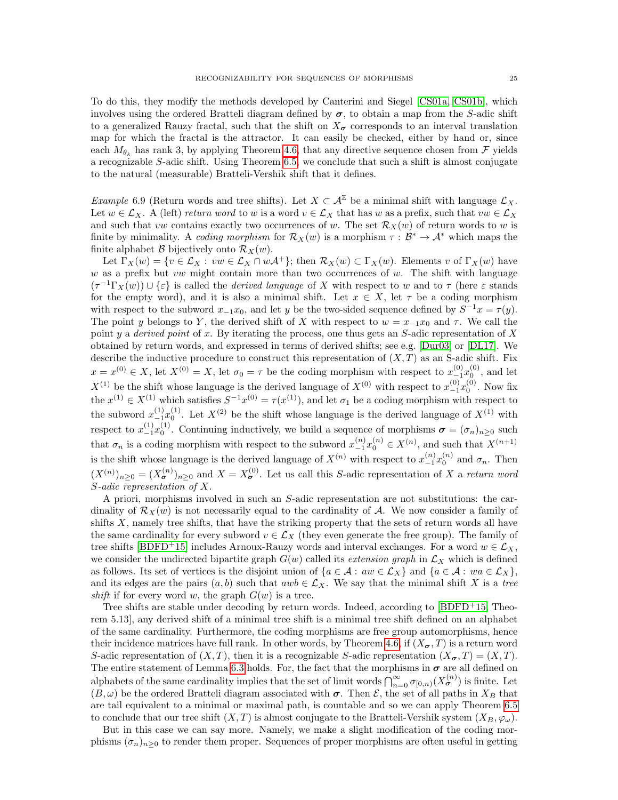To do this, they modify the methods developed by Canterini and Siegel [\[CS01a,](#page-26-9) [CS01b\]](#page-26-10), which involves using the ordered Bratteli diagram defined by  $\sigma$ , to obtain a map from the S-adic shift to a generalized Rauzy fractal, such that the shift on  $X_{\sigma}$  corresponds to an interval translation map for which the fractal is the attractor. It can easily be checked, either by hand or, since each  $M_{\theta_k}$  has rank 3, by applying Theorem [4.6,](#page-11-0) that any directive sequence chosen from  $\mathcal F$  yields a recognizable S-adic shift. Using Theorem [6.5,](#page-22-0) we conclude that such a shift is almost conjugate to the natural (measurable) Bratteli-Vershik shift that it defines.

Example 6.9 (Return words and tree shifts). Let  $X \subset \mathcal{A}^{\mathbb{Z}}$  be a minimal shift with language  $\mathcal{L}_X$ . Let  $w \in \mathcal{L}_X$ . A (left) return word to w is a word  $v \in \mathcal{L}_X$  that has w as a prefix, such that  $vw \in \mathcal{L}_X$ and such that vw contains exactly two occurrences of w. The set  $\mathcal{R}_X(w)$  of return words to w is finite by minimality. A coding morphism for  $\mathcal{R}_X(w)$  is a morphism  $\tau : \mathcal{B}^* \to \mathcal{A}^*$  which maps the finite alphabet  $\mathcal{B}$  bijectively onto  $\mathcal{R}_X(w)$ .

Let  $\Gamma_X(w) = \{v \in \mathcal{L}_X : vw \in \mathcal{L}_X \cap w\mathcal{A}^+\}$ ; then  $\mathcal{R}_X(w) \subset \Gamma_X(w)$ . Elements v of  $\Gamma_X(w)$  have w as a prefix but vw might contain more than two occurrences of  $w$ . The shift with language  $(\tau^{-1}\Gamma_X(w)) \cup \{\varepsilon\}$  is called the *derived language* of X with respect to w and to  $\tau$  (here  $\varepsilon$  stands for the empty word), and it is also a minimal shift. Let  $x \in X$ , let  $\tau$  be a coding morphism with respect to the subword  $x_{-1}x_0$ , and let y be the two-sided sequence defined by  $S^{-1}x = \tau(y)$ . The point y belongs to Y, the derived shift of X with respect to  $w = x_{-1}x_0$  and  $\tau$ . We call the point y a derived point of x. By iterating the process, one thus gets an  $S$ -adic representation of X obtained by return words, and expressed in terms of derived shifts; see e.g. [\[Dur03\]](#page-26-31) or [\[DL17\]](#page-26-16). We describe the inductive procedure to construct this representation of  $(X, T)$  as an S-adic shift. Fix  $x = x^{(0)} \in X$ , let  $X^{(0)} = X$ , let  $\sigma_0 = \tau$  be the coding morphism with respect to  $x_{-1}^{(0)}x_0^{(0)}$ , and let  $X^{(1)}$  be the shift whose language is the derived language of  $X^{(0)}$  with respect to  $x_{-1}^{(0)}x_0^{(0)}$ . Now fix the  $x^{(1)} \in X^{(1)}$  which satisfies  $S^{-1}x^{(0)} = \tau(x^{(1)})$ , and let  $\sigma_1$  be a coding morphism with respect to the subword  $x_{-1}^{(1)}x_0^{(1)}$ . Let  $X^{(2)}$  be the shift whose language is the derived language of  $X^{(1)}$  with respect to  $x_{-1}^{(1)}x_0^{(1)}$ . Continuing inductively, we build a sequence of morphisms  $\boldsymbol{\sigma} = (\sigma_n)_{n\geq 0}$  such that  $\sigma_n$  is a coding morphism with respect to the subword  $x_{-1}^{(n)}x_0^{(n)} \in X^{(n)}$ , and such that  $X^{(n+1)}$ is the shift whose language is the derived language of  $X^{(n)}$  with respect to  $x_{-1}^{(n)}x_0^{(n)}$  and  $\sigma_n$ . Then  $(X^{(n)})_{n\geq 0} = (X^{(n)}_{\sigma})_{n\geq 0}$  and  $X = X^{(0)}_{\sigma}$ . Let us call this S-adic representation of X a return word S-adic representation of X.

A priori, morphisms involved in such an S-adic representation are not substitutions: the cardinality of  $\mathcal{R}_X(w)$  is not necessarily equal to the cardinality of A. We now consider a family of shifts  $X$ , namely tree shifts, that have the striking property that the sets of return words all have the same cardinality for every subword  $v \in \mathcal{L}_X$  (they even generate the free group). The family of tree shifts [\[BDFD](#page-25-11)<sup>+</sup>15] includes Arnoux-Rauzy words and interval exchanges. For a word  $w \in \mathcal{L}_X$ , we consider the undirected bipartite graph  $G(w)$  called its extension graph in  $\mathcal{L}_X$  which is defined as follows. Its set of vertices is the disjoint union of  $\{a \in \mathcal{A} : aw \in \mathcal{L}_X\}$  and  $\{a \in \mathcal{A} : wa \in \mathcal{L}_X\}$ , and its edges are the pairs  $(a, b)$  such that  $awb \in \mathcal{L}_X$ . We say that the minimal shift X is a tree shift if for every word w, the graph  $G(w)$  is a tree.

Tree shifts are stable under decoding by return words. Indeed, according to [\[BDFD](#page-25-11)<sup>+</sup>15, Theorem 5.13], any derived shift of a minimal tree shift is a minimal tree shift defined on an alphabet of the same cardinality. Furthermore, the coding morphisms are free group automorphisms, hence their incidence matrices have full rank. In other words, by Theorem [4.6,](#page-11-0) if  $(X_{\sigma}, T)$  is a return word S-adic representation of  $(X, T)$ , then it is a recognizable S-adic representation  $(X_{\sigma}, T) = (X, T)$ . The entire statement of Lemma [6.3](#page-22-1) holds. For, the fact that the morphisms in  $\sigma$  are all defined on alphabets of the same cardinality implies that the set of limit words  $\bigcap_{n=0}^{\infty} \sigma_{[0,n)}(X_{\sigma}^{(n)})$  is finite. Let  $(B,\omega)$  be the ordered Bratteli diagram associated with  $\sigma$ . Then  $\mathcal{E}$ , the set of all paths in  $X_B$  that are tail equivalent to a minimal or maximal path, is countable and so we can apply Theorem [6.5](#page-22-0) to conclude that our tree shift  $(X, T)$  is almost conjugate to the Bratteli-Vershik system  $(X_B, \varphi_\omega)$ .

But in this case we can say more. Namely, we make a slight modification of the coding morphisms  $(\sigma_n)_{n>0}$  to render them proper. Sequences of proper morphisms are often useful in getting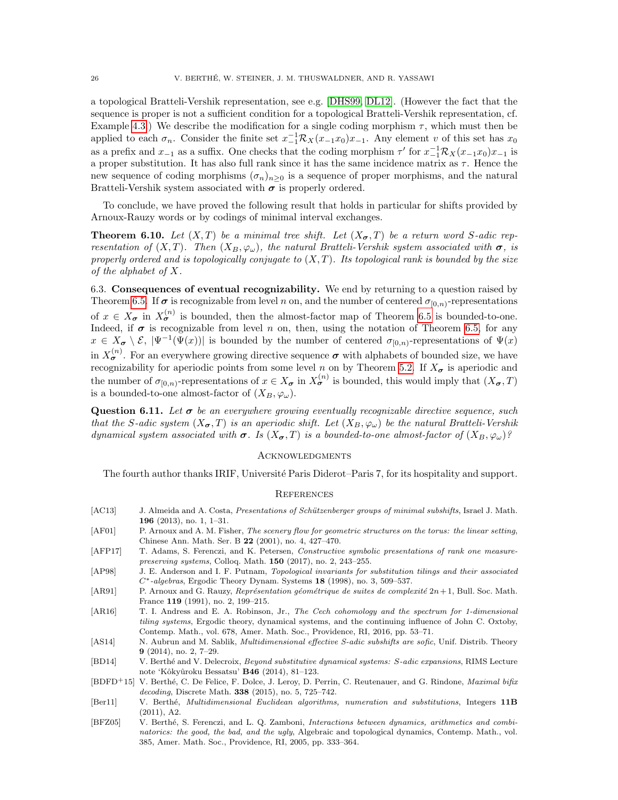a topological Bratteli-Vershik representation, see e.g. [\[DHS99,](#page-26-11) [DL12\]](#page-26-12). (However the fact that the sequence is proper is not a sufficient condition for a topological Bratteli-Vershik representation, cf. Example [4.3.](#page-10-3)) We describe the modification for a single coding morphism  $\tau$ , which must then be applied to each  $\sigma_n$ . Consider the finite set  $x_{-1}^{-1}R_X(x_{-1}x_0)x_{-1}$ . Any element v of this set has  $x_0$ as a prefix and  $x_{-1}$  as a suffix. One checks that the coding morphism  $\tau'$  for  $x_{-1}^{-1}R_X(x_{-1}x_0)x_{-1}$  is a proper substitution. It has also full rank since it has the same incidence matrix as  $\tau$ . Hence the new sequence of coding morphisms  $(\sigma_n)_{n>0}$  is a sequence of proper morphisms, and the natural Bratteli-Vershik system associated with  $\sigma$  is properly ordered.

To conclude, we have proved the following result that holds in particular for shifts provided by Arnoux-Rauzy words or by codings of minimal interval exchanges.

<span id="page-25-1"></span>**Theorem 6.10.** Let  $(X, T)$  be a minimal tree shift. Let  $(X_{\sigma}, T)$  be a return word S-adic representation of  $(X, T)$ . Then  $(X_B, \varphi_\omega)$ , the natural Bratteli-Vershik system associated with  $\sigma$ , is properly ordered and is topologically conjugate to  $(X, T)$ . Its topological rank is bounded by the size of the alphabet of X.

6.3. Consequences of eventual recognizability. We end by returning to a question raised by Theorem [6.5.](#page-22-0) If  $\sigma$  is recognizable from level n on, and the number of centered  $\sigma_{[0,n)}$ -representations of  $x \in X_{\sigma}$  in  $X_{\sigma}^{(n)}$  is bounded, then the almost-factor map of Theorem [6.5](#page-22-0) is bounded-to-one. Indeed, if  $\sigma$  is recognizable from level n on, then, using the notation of Theorem [6.5,](#page-22-0) for any  $x \in X_{\sigma} \setminus \mathcal{E}, |\Psi^{-1}(\Psi(x))|$  is bounded by the number of centered  $\sigma_{[0,n)}$ -representations of  $\Psi(x)$ in  $X_{\sigma}^{(n)}$ . For an everywhere growing directive sequence  $\sigma$  with alphabets of bounded size, we have recognizability for aperiodic points from some level n on by Theorem [5.2.](#page-12-3) If  $X_{\sigma}$  is aperiodic and the number of  $\sigma_{[0,n)}$ -representations of  $x \in X_{\sigma}$  in  $X_{\sigma}^{(n)}$  is bounded, this would imply that  $(X_{\sigma},T)$ is a bounded-to-one almost-factor of  $(X_B, \varphi_\omega)$ .

**Question 6.11.** Let  $\sigma$  be an everywhere growing eventually recognizable directive sequence, such that the S-adic system  $(X_{\sigma}, T)$  is an aperiodic shift. Let  $(X_B, \varphi_{\omega})$  be the natural Bratteli-Vershik dynamical system associated with  $\sigma$ . Is  $(X_{\sigma},T)$  is a bounded-to-one almost-factor of  $(X_{B},\varphi_{\omega})$ ?

## **ACKNOWLEDGMENTS**

The fourth author thanks IRIF, Université Paris Diderot–Paris 7, for its hospitality and support.

#### **REFERENCES**

- <span id="page-25-2"></span>[AC13] J. Almeida and A. Costa, Presentations of Schützenberger groups of minimal subshifts, Israel J. Math. 196 (2013), no. 1, 1–31.
- <span id="page-25-9"></span>[AF01] P. Arnoux and A. M. Fisher, The scenery flow for geometric structures on the torus: the linear setting, Chinese Ann. Math. Ser. B 22 (2001), no. 4, 427–470.
- <span id="page-25-10"></span>[AFP17] T. Adams, S. Ferenczi, and K. Petersen, Constructive symbolic presentations of rank one measurepreserving systems, Colloq. Math. 150 (2017), no. 2, 243–255.
- <span id="page-25-0"></span>[AP98] J. E. Anderson and I. F. Putnam, Topological invariants for substitution tilings and their associated  $C^*$ -algebras, Ergodic Theory Dynam. Systems 18 (1998), no. 3, 509–537.
- <span id="page-25-6"></span>[AR91] P. Arnoux and G. Rauzy, *Représentation géométrique de suites de complexité 2n*+1, Bull. Soc. Math. France 119 (1991), no. 2, 199–215.
- <span id="page-25-3"></span>[AR16] T. I. Andress and E. A. Robinson, Jr., The Cech cohomology and the spectrum for 1-dimensional tiling systems, Ergodic theory, dynamical systems, and the continuing influence of John C. Oxtoby, Contemp. Math., vol. 678, Amer. Math. Soc., Providence, RI, 2016, pp. 53–71.
- <span id="page-25-4"></span>[AS14] N. Aubrun and M. Sablik, *Multidimensional effective S-adic subshifts are sofic*, Unif. Distrib. Theory 9 (2014), no. 2, 7–29.
- <span id="page-25-5"></span>[BD14] V. Berthé and V. Delecroix, Beyond substitutive dynamical systems: S-adic expansions, RIMS Lecture note 'Kôkyûroku Bessatsu' **B46** (2014), 81-123.
- <span id="page-25-11"></span>[BDFD<sup>+</sup>15] V. Berthé, C. De Felice, F. Dolce, J. Leroy, D. Perrin, C. Reutenauer, and G. Rindone, *Maximal bifix* decoding, Discrete Math. 338 (2015), no. 5, 725–742.
- <span id="page-25-7"></span>[Ber11] V. Berthé, *Multidimensional Euclidean algorithms, numeration and substitutions*, Integers 11B (2011), A2.
- <span id="page-25-8"></span>[BFZ05] V. Berthé, S. Ferenczi, and L. Q. Zamboni, Interactions between dynamics, arithmetics and combinatorics: the good, the bad, and the ugly, Algebraic and topological dynamics, Contemp. Math., vol. 385, Amer. Math. Soc., Providence, RI, 2005, pp. 333–364.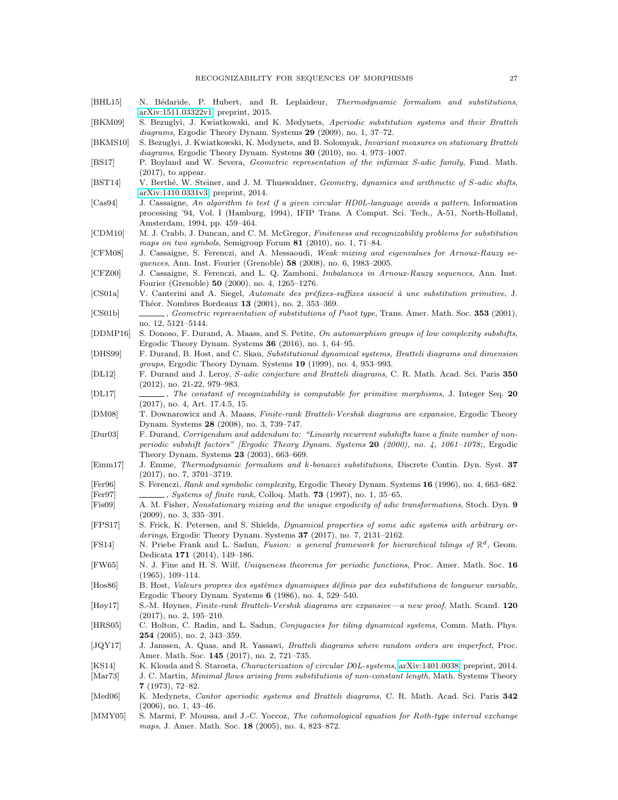- <span id="page-26-5"></span>[BHL15] N. Bédaride, P. Hubert, and R. Leplaideur, Thermodynamic formalism and substitutions, [arXiv:1511.03322v1,](https://arxiv.org/pdf/1511.03322v1.pdf) preprint, 2015.
- <span id="page-26-1"></span>[BKM09] S. Bezuglyi, J. Kwiatkowski, and K. Medynets, Aperiodic substitution systems and their Bratteli diagrams, Ergodic Theory Dynam. Systems 29 (2009), no. 1, 37-72.
- <span id="page-26-26"></span>[BKMS10] S. Bezuglyi, J. Kwiatkowski, K. Medynets, and B. Solomyak, Invariant measures on stationary Bratteli diagrams, Ergodic Theory Dynam. Systems 30 (2010), no. 4, 973-1007.
- <span id="page-26-30"></span>[BS17] P. Boyland and W. Severa, Geometric representation of the infixmax S-adic family, Fund. Math. (2017), to appear.
- <span id="page-26-20"></span>[BST14] V. Berthé, W. Steiner, and J. M. Thuswaldner, Geometry, dynamics and arithmetic of S-adic shifts, [arXiv:1410.0331v3,](http://arxiv.org/abs/1410.0331v3) preprint, 2014.
- <span id="page-26-2"></span>[Cas94] J. Cassaigne, An algorithm to test if a given circular HD0L-language avoids a pattern, Information processing '94, Vol. I (Hamburg, 1994), IFIP Trans. A Comput. Sci. Tech., A-51, North-Holland, Amsterdam, 1994, pp. 459–464.
- <span id="page-26-8"></span>[CDM10] M. J. Crabb, J. Duncan, and C. M. McGregor, Finiteness and recognizability problems for substitution maps on two symbols, Semigroup Forum 81 (2010), no. 1, 71–84.
- <span id="page-26-19"></span>[CFM08] J. Cassaigne, S. Ferenczi, and A. Messaoudi, Weak mixing and eigenvalues for Arnoux-Rauzy sequences, Ann. Inst. Fourier (Grenoble) 58 (2008), no. 6, 1983–2005.
- <span id="page-26-18"></span>[CFZ00] J. Cassaigne, S. Ferenczi, and L. Q. Zamboni, Imbalances in Arnoux-Rauzy sequences, Ann. Inst. Fourier (Grenoble) 50 (2000), no. 4, 1265–1276.
- <span id="page-26-9"></span>[CS01a] V. Canterini and A. Siegel, Automate des préfixes-suffixes associé à une substitution primitive, J. Théor. Nombres Bordeaux 13 (2001), no. 2, 353-369.
- <span id="page-26-10"></span>[CS01b] , Geometric representation of substitutions of Pisot type, Trans. Amer. Math. Soc. 353 (2001), no. 12, 5121–5144.
- <span id="page-26-13"></span>[DDMP16] S. Donoso, F. Durand, A. Maass, and S. Petite, On automorphism groups of low complexity subshifts, Ergodic Theory Dynam. Systems 36 (2016), no. 1, 64–95.
- <span id="page-26-11"></span>[DHS99] F. Durand, B. Host, and C. Skau, Substitutional dynamical systems, Bratteli diagrams and dimension groups, Ergodic Theory Dynam. Systems 19 (1999), no. 4, 953–993.
- <span id="page-26-12"></span>[DL12] F. Durand and J. Leroy, S-adic conjecture and Bratteli diagrams, C. R. Math. Acad. Sci. Paris 350 (2012), no. 21-22, 979–983.
- <span id="page-26-16"></span>[DL17] , The constant of recognizability is computable for primitive morphisms, J. Integer Seq. 20 (2017), no. 4, Art. 17.4.5, 15.
- <span id="page-26-7"></span>[DM08] T. Downarowicz and A. Maass, Finite-rank Bratteli-Vershik diagrams are expansive, Ergodic Theory Dynam. Systems 28 (2008), no. 3, 739–747.
- <span id="page-26-31"></span>[Dur03] F. Durand, Corrigendum and addendum to: "Linearly recurrent subshifts have a finite number of nonperiodic subshift factors" [Ergodic Theory Dynam. Systems 20 (2000), no. 4, 1061–1078;, Ergodic Theory Dynam. Systems 23 (2003), 663–669.
- <span id="page-26-6"></span>[Emm17] J. Emme, Thermodynamic formalism and k-bonacci substitutions, Discrete Contin. Dyn. Syst. 37 (2017), no. 7, 3701–3719.
- <span id="page-26-29"></span><span id="page-26-21"></span>[Fer96] S. Ferenczi, Rank and symbolic complexity, Ergodic Theory Dynam. Systems 16 (1996), no. 4, 663–682. [Fer97] , Systems of finite rank, Colloq. Math. 73 (1997), no. 1, 35–65.
- <span id="page-26-28"></span>[Fis09] A. M. Fisher, Nonstationary mixing and the unique ergodicity of adic transformations, Stoch. Dyn. 9 (2009), no. 3, 335–391.
- <span id="page-26-27"></span>[FPS17] S. Frick, K. Petersen, and S. Shields, Dynamical properties of some adic systems with arbitrary orderings, Ergodic Theory Dynam. Systems 37 (2017), no. 7, 2131–2162.
- <span id="page-26-15"></span>[FS14] N. Priebe Frank and L. Sadun, Fusion: a general framework for hierarchical tilings of  $\mathbb{R}^d$ , Geom. Dedicata 171 (2014), 149–186.
- <span id="page-26-17"></span>[FW65] N. J. Fine and H. S. Wilf, Uniqueness theorems for periodic functions, Proc. Amer. Math. Soc. 16 (1965), 109–114.
- <span id="page-26-4"></span>[Hos86] B. Host, Valeurs propres des systèmes dynamiques définis par des substitutions de longueur variable, Ergodic Theory Dynam. Systems 6 (1986), no. 4, 529–540.
- <span id="page-26-23"></span>[Høy17] S.-M. Høynes, Finite-rank Bratteli-Vershik diagrams are expansive—a new proof, Math. Scand. 120 (2017), no. 2, 195–210.
- <span id="page-26-14"></span>[HRS05] C. Holton, C. Radin, and L. Sadun, *Conjugacies for tiling dynamical systems*, Comm. Math. Phys. 254 (2005), no. 2, 343–359.
- <span id="page-26-25"></span>[JQY17] J. Janssen, A. Quas, and R. Yassawi, Bratteli diagrams where random orders are imperfect, Proc. Amer. Math. Soc. 145 (2017), no. 2, 721–735.
- <span id="page-26-3"></span>[KS14] K. Klouda and Š. Starosta, *Characterization of circular D0L-systems*, [arXiv:1401.0038,](https://arxiv.org/abs/1401.0038) preprint, 2014.
- <span id="page-26-0"></span>[Mar73] J. C. Martin, *Minimal flows arising from substitutions of non-constant length*, Math. Systems Theory 7 (1973), 72–82.
- <span id="page-26-24"></span>[Med06] K. Medynets, Cantor aperiodic systems and Bratteli diagrams, C. R. Math. Acad. Sci. Paris 342 (2006), no. 1, 43–46.
- <span id="page-26-22"></span>[MMY05] S. Marmi, P. Moussa, and J.-C. Yoccoz, The cohomological equation for Roth-type interval exchange maps, J. Amer. Math. Soc. 18 (2005), no. 4, 823–872.